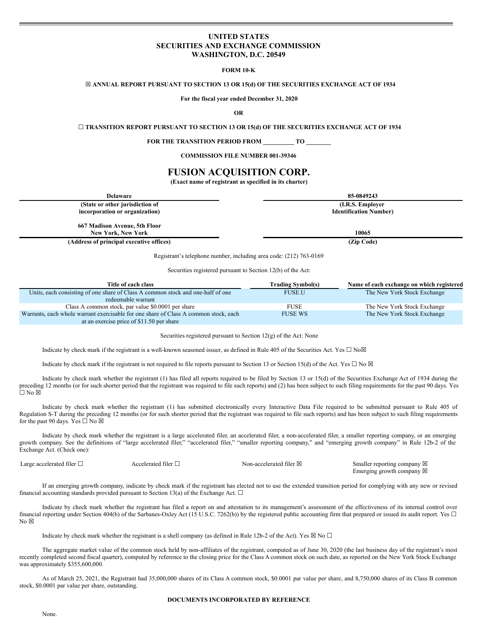# **UNITED STATES SECURITIES AND EXCHANGE COMMISSION WASHINGTON, D.C. 20549**

**FORM 10-K**

### ☒ **ANNUAL REPORT PURSUANT TO SECTION 13 OR 15(d) OF THE SECURITIES EXCHANGE ACT OF 1934**

**For the fiscal year ended December 31, 2020**

**OR**

☐ **TRANSITION REPORT PURSUANT TO SECTION 13 OR 15(d) OF THE SECURITIES EXCHANGE ACT OF 1934**

**FOR THE TRANSITION PERIOD FROM \_\_\_\_\_\_\_\_\_\_ TO \_\_\_\_\_\_\_\_**

**COMMISSION FILE NUMBER 001-39346**

# **FUSION ACQUISITION CORP.**

**(Exact name of registrant as specified in its charter)**

| <b>Delaware</b>                                            | 85-0849243                    |
|------------------------------------------------------------|-------------------------------|
| (State or other jurisdiction of                            | (I.R.S. Employer)             |
| incorporation or organization)                             | <b>Identification Number)</b> |
| 667 Madison Avenue, 5th Floor<br><b>New York, New York</b> | 10065                         |
| (Address of principal executive offices)                   | (Zip Code)                    |
|                                                            |                               |

Registrant's telephone number, including area code: (212) 763-0169

Securities registered pursuant to Section 12(b) of the Act:

| Title of each class                                                                  | <b>Trading Symbol(s)</b> | Name of each exchange on which registered |
|--------------------------------------------------------------------------------------|--------------------------|-------------------------------------------|
| Units, each consisting of one share of Class A common stock and one-half of one      | <b>FUSE.U</b>            | The New York Stock Exchange               |
| redeemable warrant                                                                   |                          |                                           |
| Class A common stock, par value \$0,0001 per share                                   | <b>FUSE</b>              | The New York Stock Exchange               |
| Warrants, each whole warrant exercisable for one share of Class A common stock, each | <b>FUSE WS</b>           | The New York Stock Exchange               |
| at an exercise price of \$11.50 per share                                            |                          |                                           |

Securities registered pursuant to Section 12(g) of the Act: None

Indicate by check mark if the registrant is a well-known seasoned issuer, as defined in Rule 405 of the Securities Act. Yes  $\Box$  No $\boxtimes$ 

Indicate by check mark if the registrant is not required to file reports pursuant to Section 13 or Section 15(d) of the Act. Yes  $\Box$  No  $\boxtimes$ 

Indicate by check mark whether the registrant (1) has filed all reports required to be filed by Section 13 or 15(d) of the Securities Exchange Act of 1934 during the preceding 12 months (or for such shorter period that the registrant was required to file such reports) and (2) has been subject to such filing requirements for the past 90 days. Yes  $\Box$  No  $\boxtimes$ 

Indicate by check mark whether the registrant (1) has submitted electronically every Interactive Data File required to be submitted pursuant to Rule 405 of Regulation S-T during the preceding 12 months (or for such shorter period that the registrant was required to file such reports) and has been subject to such filing requirements for the past 90 days. Yes  $\square$  No  $\boxtimes$ 

Indicate by check mark whether the registrant is a large accelerated filer, an accelerated filer, a non-accelerated filer, a smaller reporting company, or an emerging growth company. See the definitions of "large accelerated filer," "accelerated filer," "smaller reporting company," and "emerging growth company" in Rule 12b-2 of the Exchange Act. (Check one):

| Large accelerated filer $\square$ | Accelerated filer L | Non-accelerated filer $\boxtimes$ | Smaller reporting company $\boxtimes$ |
|-----------------------------------|---------------------|-----------------------------------|---------------------------------------|
|                                   |                     |                                   | Emerging growth company $\boxtimes$   |

If an emerging growth company, indicate by check mark if the registrant has elected not to use the extended transition period for complying with any new or revised financial accounting standards provided pursuant to Section 13(a) of the Exchange Act.  $\Box$ 

Indicate by check mark whether the registrant has filed a report on and attestation to its management's assessment of the effectiveness of its internal control over financial reporting under Section 404(b) of the Sarbanes-Oxley Act (15 U.S.C. 7262(b)) by the registered public accounting firm that prepared or issued its audit report. Yes  $\Box$  $No \n  $\boxtimes$$ 

Indicate by check mark whether the registrant is a shell company (as defined in Rule 12b-2 of the Act). Yes  $\boxtimes$  No  $\Box$ 

The aggregate market value of the common stock held by non-affiliates of the registrant, computed as of June 30, 2020 (the last business day of the registrant's most recently completed second fiscal quarter), computed by reference to the closing price for the Class A common stock on such date, as reported on the New York Stock Exchange was approximately \$355,600,000.

As of March 25, 2021, the Registrant had 35,000,000 shares of its Class A common stock, \$0.0001 par value per share, and 8,750,000 shares of its Class B common stock, \$0.0001 par value per share, outstanding.

#### **DOCUMENTS INCORPORATED BY REFERENCE**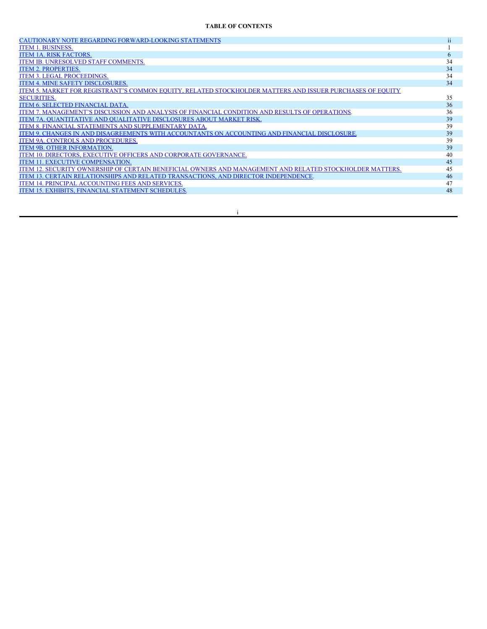# **TABLE OF CONTENTS**

| CAUTIONARY NOTE REGARDING FORWARD-LOOKING STATEMENTS                                                      | 11 |
|-----------------------------------------------------------------------------------------------------------|----|
| <b>ITEM 1. BUSINESS.</b>                                                                                  |    |
| <b>ITEM 1A. RISK FACTORS.</b>                                                                             | 6  |
| ITEM IB. UNRESOLVED STAFF COMMENTS.                                                                       | 34 |
| <b>ITEM 2. PROPERTIES.</b>                                                                                | 34 |
| <b>ITEM 3. LEGAL PROCEEDINGS.</b>                                                                         | 34 |
| <b>ITEM 4. MINE SAFETY DISCLOSURES.</b>                                                                   | 34 |
| ITEM 5. MARKET FOR REGISTRANT'S COMMON EQUITY, RELATED STOCKHOLDER MATTERS AND ISSUER PURCHASES OF EQUITY |    |
| <b>SECURITIES.</b>                                                                                        | 35 |
| ITEM 6. SELECTED FINANCIAL DATA.                                                                          | 36 |
| ITEM 7. MANAGEMENT'S DISCUSSION AND ANALYSIS OF FINANCIAL CONDITION AND RESULTS OF OPERATIONS.            | 36 |
| ITEM 7A. OUANTITATIVE AND QUALITATIVE DISCLOSURES ABOUT MARKET RISK.                                      | 39 |
| ITEM 8. FINANCIAL STATEMENTS AND SUPPLEMENTARY DATA.                                                      | 39 |
| ITEM 9. CHANGES IN AND DISAGREEMENTS WITH ACCOUNTANTS ON ACCOUNTING AND FINANCIAL DISCLOSURE.             | 39 |
| ITEM 9A. CONTROLS AND PROCEDURES.                                                                         | 39 |
| <b>ITEM 9B. OTHER INFORMATION.</b>                                                                        | 39 |
| ITEM 10. DIRECTORS, EXECUTIVE OFFICERS AND CORPORATE GOVERNANCE.                                          | 40 |
| <b>ITEM 11. EXECUTIVE COMPENSATION.</b>                                                                   | 45 |
| ITEM 12. SECURITY OWNERSHIP OF CERTAIN BENEFICIAL OWNERS AND MANAGEMENT AND RELATED STOCKHOLDER MATTERS.  | 45 |
| ITEM 13. CERTAIN RELATIONSHIPS AND RELATED TRANSACTIONS, AND DIRECTOR INDEPENDENCE.                       | 46 |
| ITEM 14. PRINCIPAL ACCOUNTING FEES AND SERVICES.                                                          | 47 |
| ITEM 15. EXHIBITS, FINANCIAL STATEMENT SCHEDULES.                                                         | 48 |

i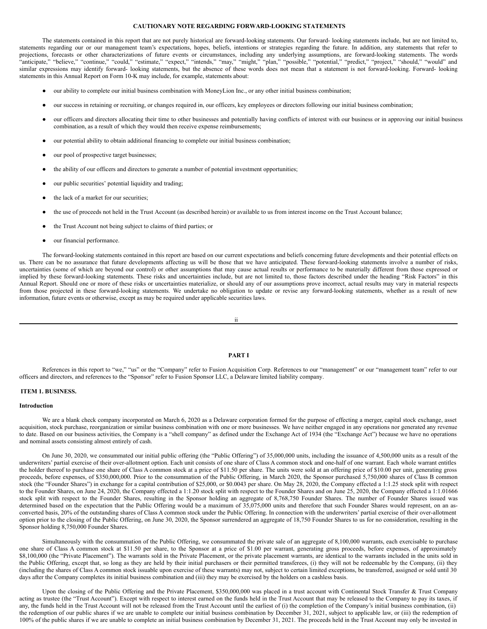### <span id="page-3-0"></span>**CAUTIONARY NOTE REGARDING FORWARD-LOOKING STATEMENTS**

The statements contained in this report that are not purely historical are forward-looking statements. Our forward- looking statements include, but are not limited to, statements regarding our or our management team's expectations, hopes, beliefs, intentions or strategies regarding the future. In addition, any statements that refer to projections, forecasts or other characterizations of future events or circumstances, including any underlying assumptions, are forward-looking statements. The words "anticipate," "believe," "continue," "could," "estimate," "expect," "intends," "may," "might," "plan," "possible," "potential," "predict," "project," "should," "would" and similar expressions may identify forward- looking statements, but the absence of these words does not mean that a statement is not forward-looking. Forward- looking statements in this Annual Report on Form 10-K may include, for example, statements about:

- our ability to complete our initial business combination with MoneyLion Inc., or any other initial business combination;
- our success in retaining or recruiting, or changes required in, our officers, key employees or directors following our initial business combination;
- our officers and directors allocating their time to other businesses and potentially having conflicts of interest with our business or in approving our initial business combination, as a result of which they would then receive expense reimbursements;
- our potential ability to obtain additional financing to complete our initial business combination;
- our pool of prospective target businesses;
- the ability of our officers and directors to generate a number of potential investment opportunities;
- our public securities' potential liquidity and trading;
- the lack of a market for our securities;
- the use of proceeds not held in the Trust Account (as described herein) or available to us from interest income on the Trust Account balance;
- the Trust Account not being subject to claims of third parties; or
- our financial performance.

The forward-looking statements contained in this report are based on our current expectations and beliefs concerning future developments and their potential effects on us. There can be no assurance that future developments affecting us will be those that we have anticipated. These forward-looking statements involve a number of risks, uncertainties (some of which are beyond our control) or other assumptions that may cause actual results or performance to be materially different from those expressed or implied by these forward-looking statements. These risks and uncertainties include, but are not limited to, those factors described under the heading "Risk Factors" in this Annual Report. Should one or more of these risks or uncertainties materialize, or should any of our assumptions prove incorrect, actual results may vary in material respects from those projected in these forward-looking statements. We undertake no obligation to update or revise any forward-looking statements, whether as a result of new information, future events or otherwise, except as may be required under applicable securities laws.

#### ii

#### **PART I**

References in this report to "we," "us" or the "Company" refer to Fusion Acquisition Corp. References to our "management" or our "management team" refer to our officers and directors, and references to the "Sponsor" refer to Fusion Sponsor LLC, a Delaware limited liability company.

#### <span id="page-3-1"></span>**ITEM 1. BUSINESS.**

# **Introduction**

We are a blank check company incorporated on March 6, 2020 as a Delaware corporation formed for the purpose of effecting a merger, capital stock exchange, asset acquisition, stock purchase, reorganization or similar business combination with one or more businesses. We have neither engaged in any operations nor generated any revenue to date. Based on our business activities, the Company is a "shell company" as defined under the Exchange Act of 1934 (the "Exchange Act") because we have no operations and nominal assets consisting almost entirely of cash.

On June 30, 2020, we consummated our initial public offering (the "Public Offering") of 35,000,000 units, including the issuance of 4,500,000 units as a result of the underwriters' partial exercise of their over-allotment option. Each unit consists of one share of Class A common stock and one-half of one warrant. Each whole warrant entitles the holder thereof to purchase one share of Class A common stock at a price of \$11.50 per share. The units were sold at an offering price of \$10.00 per unit, generating gross proceeds, before expenses, of \$350,000,000. Prior to the consummation of the Public Offering, in March 2020, the Sponsor purchased 5,750,000 shares of Class B common stock (the "Founder Shares") in exchange for a capital contribution of \$25,000, or \$0.0043 per share. On May 28, 2020, the Company effected a 1:1.25 stock split with respect to the Founder Shares, on June 24, 2020, the Company effected a 1:1.20 stock split with respect to the Founder Shares and on June 25, 2020, the Company effected a 1:1.01666 stock split with respect to the Founder Shares, resulting in the Sponsor holding an aggregate of 8,768,750 Founder Shares. The number of Founder Shares issued was determined based on the expectation that the Public Offering would be a maximum of 35,075,000 units and therefore that such Founder Shares would represent, on an asconverted basis, 20% of the outstanding shares of Class A common stock under the Public Offering. In connection with the underwriters' partial exercise of their over-allotment option prior to the closing of the Public Offering, on June 30, 2020, the Sponsor surrendered an aggregate of 18,750 Founder Shares to us for no consideration, resulting in the Sponsor holding 8,750,000 Founder Shares.

Simultaneously with the consummation of the Public Offering, we consummated the private sale of an aggregate of 8,100,000 warrants, each exercisable to purchase one share of Class A common stock at \$11.50 per share, to the Sponsor at a price of \$1.00 per warrant, generating gross proceeds, before expenses, of approximately \$8,100,000 (the "Private Placement"). The warrants sold in the Private Placement, or the private placement warrants, are identical to the warrants included in the units sold in the Public Offering, except that, so long as they are held by their initial purchasers or their permitted transferees, (i) they will not be redeemable by the Company, (ii) they (including the shares of Class A common stock issuable upon exercise of these warrants) may not, subject to certain limited exceptions, be transferred, assigned or sold until 30 days after the Company completes its initial business combination and (iii) they may be exercised by the holders on a cashless basis.

Upon the closing of the Public Offering and the Private Placement, \$350,000,000 was placed in a trust account with Continental Stock Transfer & Trust Company acting as trustee (the "Trust Account"). Except with respect to interest earned on the funds held in the Trust Account that may be released to the Company to pay its taxes, if any, the funds held in the Trust Account will not be released from the Trust Account until the earliest of (i) the completion of the Company's initial business combination, (ii) the redemption of our public shares if we are unable to complete our initial business combination by December 31, 2021, subject to applicable law, or (iii) the redemption of 100% of the public shares if we are unable to complete an initial business combination by December 31, 2021. The proceeds held in the Trust Account may only be invested in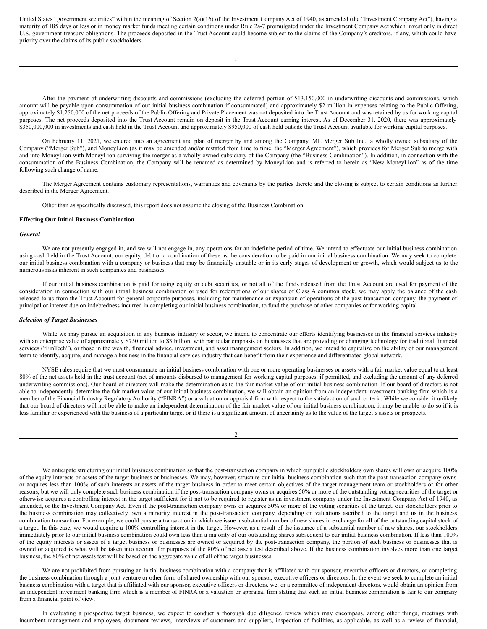United States "government securities" within the meaning of Section 2(a)(16) of the Investment Company Act of 1940, as amended (the "Investment Company Act"), having a maturity of 185 days or less or in money market funds meeting certain conditions under Rule 2a-7 promulgated under the Investment Company Act which invest only in direct U.S. government treasury obligations. The proceeds deposited in the Trust Account could become subject to the claims of the Company's creditors, if any, which could have priority over the claims of its public stockholders.

1

After the payment of underwriting discounts and commissions (excluding the deferred portion of \$13,150,000 in underwriting discounts and commissions, which amount will be payable upon consummation of our initial business combination if consummated) and approximately \$2 million in expenses relating to the Public Offering, approximately \$1,250,000 of the net proceeds of the Public Offering and Private Placement was not deposited into the Trust Account and was retained by us for working capital purposes. The net proceeds deposited into the Trust Account remain on deposit in the Trust Account earning interest. As of December 31, 2020, there was approximately \$350,000,000 in investments and cash held in the Trust Account and approximately \$950,000 of cash held outside the Trust Account available for working capital purposes.

On February 11, 2021, we entered into an agreement and plan of merger by and among the Company, ML Merger Sub Inc., a wholly owned subsidiary of the Company ("Merger Sub"), and MoneyLion (as it may be amended and/or restated from time to time, the "Merger Agreement"), which provides for Merger Sub to merge with and into MoneyLion with MoneyLion surviving the merger as a wholly owned subsidiary of the Company (the "Business Combination"). In addition, in connection with the consummation of the Business Combination, the Company will be renamed as determined by MoneyLion and is referred to herein as "New MoneyLion" as of the time following such change of name.

The Merger Agreement contains customary representations, warranties and covenants by the parties thereto and the closing is subject to certain conditions as further described in the Merger Agreement.

Other than as specifically discussed, this report does not assume the closing of the Business Combination.

#### **Effecting Our Initial Business Combination**

#### *General*

We are not presently engaged in, and we will not engage in, any operations for an indefinite period of time. We intend to effectuate our initial business combination using cash held in the Trust Account, our equity, debt or a combination of these as the consideration to be paid in our initial business combination. We may seek to complete our initial business combination with a company or business that may be financially unstable or in its early stages of development or growth, which would subject us to the numerous risks inherent in such companies and businesses.

If our initial business combination is paid for using equity or debt securities, or not all of the funds released from the Trust Account are used for payment of the consideration in connection with our initial business combination or used for redemptions of our shares of Class A common stock, we may apply the balance of the cash released to us from the Trust Account for general corporate purposes, including for maintenance or expansion of operations of the post-transaction company, the payment of principal or interest due on indebtedness incurred in completing our initial business combination, to fund the purchase of other companies or for working capital.

#### *Selection of Target Businesses*

While we may pursue an acquisition in any business industry or sector, we intend to concentrate our efforts identifying businesses in the financial services industry with an enterprise value of approximately \$750 million to \$3 billion, with particular emphasis on businesses that are providing or changing technology for traditional financial services ("FinTech"), or those in the wealth, financial advice, investment, and asset management sectors. In addition, we intend to capitalize on the ability of our management team to identify, acquire, and manage a business in the financial services industry that can benefit from their experience and differentiated global network.

NYSE rules require that we must consummate an initial business combination with one or more operating businesses or assets with a fair market value equal to at least 80% of the net assets held in the trust account (net of amounts disbursed to management for working capital purposes, if permitted, and excluding the amount of any deferred underwriting commissions). Our board of directors will make the determination as to the fair market value of our initial business combination. If our board of directors is not able to independently determine the fair market value of our initial business combination, we will obtain an opinion from an independent investment banking firm which is a member of the Financial Industry Regulatory Authority ("FINRA") or a valuation or appraisal firm with respect to the satisfaction of such criteria. While we consider it unlikely that our board of directors will not be able to make an independent determination of the fair market value of our initial business combination, it may be unable to do so if it is less familiar or experienced with the business of a particular target or if there is a significant amount of uncertainty as to the value of the target's assets or prospects.

| ł |
|---|
|   |
|   |

We anticipate structuring our initial business combination so that the post-transaction company in which our public stockholders own shares will own or acquire 100% of the equity interests or assets of the target business or businesses. We may, however, structure our initial business combination such that the post-transaction company owns or acquires less than 100% of such interests or assets of the target business in order to meet certain objectives of the target management team or stockholders or for other reasons, but we will only complete such business combination if the post-transaction company owns or acquires 50% or more of the outstanding voting securities of the target or otherwise acquires a controlling interest in the target sufficient for it not to be required to register as an investment company under the Investment Company Act of 1940, as amended, or the Investment Company Act. Even if the post-transaction company owns or acquires 50% or more of the voting securities of the target, our stockholders prior to the business combination may collectively own a minority interest in the post-transaction company, depending on valuations ascribed to the target and us in the business combination transaction. For example, we could pursue a transaction in which we issue a substantial number of new shares in exchange for all of the outstanding capital stock of a target. In this case, we would acquire a 100% controlling interest in the target. However, as a result of the issuance of a substantial number of new shares, our stockholders immediately prior to our initial business combination could own less than a majority of our outstanding shares subsequent to our initial business combination. If less than 100% of the equity interests or assets of a target business or businesses are owned or acquired by the post-transaction company, the portion of such business or businesses that is owned or acquired is what will be taken into account for purposes of the 80% of net assets test described above. If the business combination involves more than one target business, the 80% of net assets test will be based on the aggregate value of all of the target businesses.

We are not prohibited from pursuing an initial business combination with a company that is affiliated with our sponsor, executive officers or directors, or completing the business combination through a joint venture or other form of shared ownership with our sponsor, executive officers or directors. In the event we seek to complete an initial business combination with a target that is affiliated with our sponsor, executive officers or directors, we, or a committee of independent directors, would obtain an opinion from an independent investment banking firm which is a member of FINRA or a valuation or appraisal firm stating that such an initial business combination is fair to our company from a financial point of view.

In evaluating a prospective target business, we expect to conduct a thorough due diligence review which may encompass, among other things, meetings with incumbent management and employees, document reviews, interviews of customers and suppliers, inspection of facilities, as applicable, as well as a review of financial,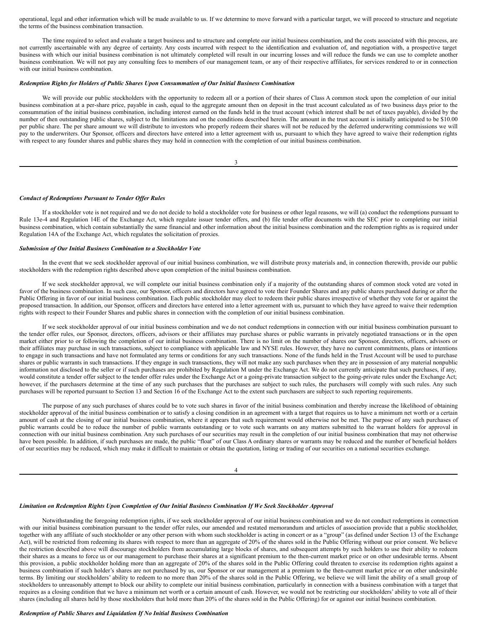operational, legal and other information which will be made available to us. If we determine to move forward with a particular target, we will proceed to structure and negotiate the terms of the business combination transaction.

The time required to select and evaluate a target business and to structure and complete our initial business combination, and the costs associated with this process, are not currently ascertainable with any degree of certainty. Any costs incurred with respect to the identification and evaluation of, and negotiation with, a prospective target business with which our initial business combination is not ultimately completed will result in our incurring losses and will reduce the funds we can use to complete another business combination. We will not pay any consulting fees to members of our management team, or any of their respective affiliates, for services rendered to or in connection with our initial business combination.

# *Redemption Rights for Holders of Public Shares Upon Consummation of Our Initial Business Combination*

We will provide our public stockholders with the opportunity to redeem all or a portion of their shares of Class A common stock upon the completion of our initial business combination at a per-share price, payable in cash, equal to the aggregate amount then on deposit in the trust account calculated as of two business days prior to the consummation of the initial business combination, including interest earned on the funds held in the trust account (which interest shall be net of taxes payable), divided by the number of then outstanding public shares, subject to the limitations and on the conditions described herein. The amount in the trust account is initially anticipated to be \$10.00 per public share. The per share amount we will distribute to investors who properly redeem their shares will not be reduced by the deferred underwriting commissions we will pay to the underwriters. Our Sponsor, officers and directors have entered into a letter agreement with us, pursuant to which they have agreed to waive their redemption rights with respect to any founder shares and public shares they may hold in connection with the completion of our initial business combination.

3

#### *Conduct of Redemptions Pursuant to Tender Of er Rules*

If a stockholder vote is not required and we do not decide to hold a stockholder vote for business or other legal reasons, we will (a) conduct the redemptions pursuant to Rule 13e-4 and Regulation 14E of the Exchange Act, which regulate issuer tender offers, and (b) file tender offer documents with the SEC prior to completing our initial business combination, which contain substantially the same financial and other information about the initial business combination and the redemption rights as is required under Regulation 14A of the Exchange Act, which regulates the solicitation of proxies.

# *Submission of Our Initial Business Combination to a Stockholder Vote*

In the event that we seek stockholder approval of our initial business combination, we will distribute proxy materials and, in connection therewith, provide our public stockholders with the redemption rights described above upon completion of the initial business combination.

If we seek stockholder approval, we will complete our initial business combination only if a majority of the outstanding shares of common stock voted are voted in favor of the business combination. In such case, our Sponsor, officers and directors have agreed to vote their Founder Shares and any public shares purchased during or after the Public Offering in favor of our initial business combination. Each public stockholder may elect to redeem their public shares irrespective of whether they vote for or against the proposed transaction. In addition, our Sponsor, officers and directors have entered into a letter agreement with us, pursuant to which they have agreed to waive their redemption rights with respect to their Founder Shares and public shares in connection with the completion of our initial business combination.

If we seek stockholder approval of our initial business combination and we do not conduct redemptions in connection with our initial business combination pursuant to the tender offer rules, our Sponsor, directors, officers, advisors or their affiliates may purchase shares or public warrants in privately negotiated transactions or in the open market either prior to or following the completion of our initial business combination. There is no limit on the number of shares our Sponsor, directors, officers, advisors or their affiliates may purchase in such transactions, subject to compliance with applicable law and NYSE rules. However, they have no current commitments, plans or intentions to engage in such transactions and have not formulated any terms or conditions for any such transactions. None of the funds held in the Trust Account will be used to purchase shares or public warrants in such transactions. If they engage in such transactions, they will not make any such purchases when they are in possession of any material nonpublic information not disclosed to the seller or if such purchases are prohibited by Regulation M under the Exchange Act. We do not currently anticipate that such purchases, if any, would constitute a tender offer subject to the tender offer rules under the Exchange Act or a going-private transaction subject to the going-private rules under the Exchange Act; however, if the purchasers determine at the time of any such purchases that the purchases are subject to such rules, the purchasers will comply with such rules. Any such purchases will be reported pursuant to Section 13 and Section 16 of the Exchange Act to the extent such purchasers are subject to such reporting requirements.

The purpose of any such purchases of shares could be to vote such shares in favor of the initial business combination and thereby increase the likelihood of obtaining stockholder approval of the initial business combination or to satisfy a closing condition in an agreement with a target that requires us to have a minimum net worth or a certain amount of cash at the closing of our initial business combination, where it appears that such requirement would otherwise not be met. The purpose of any such purchases of public warrants could be to reduce the number of public warrants outstanding or to vote such warrants on any matters submitted to the warrant holders for approval in connection with our initial business combination. Any such purchases of our securities may result in the completion of our initial business combination that may not otherwise have been possible. In addition, if such purchases are made, the public "float" of our Class A ordinary shares or warrants may be reduced and the number of beneficial holders of our securities may be reduced, which may make it difficult to maintain or obtain the quotation, listing or trading of our securities on a national securities exchange.

4

# Limitation on Redemption Rights Upon Completion of Our Initial Business Combination If We Seek Stockholder Approval

Notwithstanding the foregoing redemption rights, if we seek stockholder approval of our initial business combination and we do not conduct redemptions in connection with our initial business combination pursuant to the tender offer rules, our amended and restated memorandum and articles of association provide that a public stockholder, together with any affiliate of such stockholder or any other person with whom such stockholder is acting in concert or as a "group" (as defined under Section 13 of the Exchange Act), will be restricted from redeeming its shares with respect to more than an aggregate of 20% of the shares sold in the Public Offering without our prior consent. We believe the restriction described above will discourage stockholders from accumulating large blocks of shares, and subsequent attempts by such holders to use their ability to redeem their shares as a means to force us or our management to purchase their shares at a significant premium to the then-current market price or on other undesirable terms. Absent this provision, a public stockholder holding more than an aggregate of 20% of the shares sold in the Public Offering could threaten to exercise its redemption rights against a business combination if such holder's shares are not purchased by us, our Sponsor or our management at a premium to the then-current market price or on other undesirable terms. By limiting our stockholders' ability to redeem to no more than 20% of the shares sold in the Public Offering, we believe we will limit the ability of a small group of stockholders to unreasonably attempt to block our ability to complete our initial business combination, particularly in connection with a business combination with a target that requires as a closing condition that we have a minimum net worth or a certain amount of cash. However, we would not be restricting our stockholders' ability to vote all of their shares (including all shares held by those stockholders that hold more than 20% of the shares sold in the Public Offering) for or against our initial business combination.

# *Redemption of Public Shares and Liquidation If No Initial Business Combination*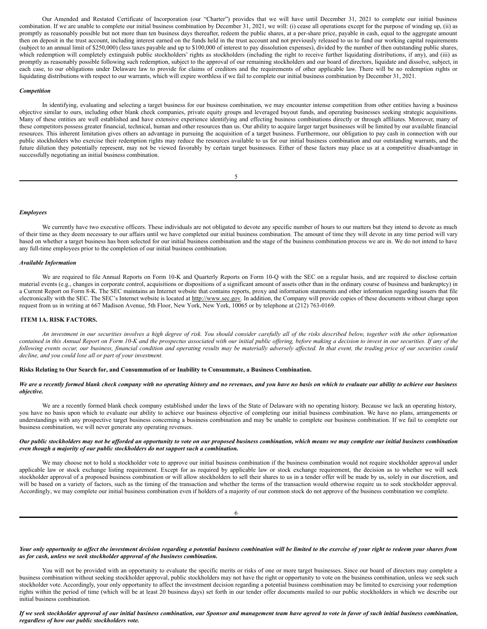Our Amended and Restated Certificate of Incorporation (our "Charter") provides that we will have until December 31, 2021 to complete our initial business combination. If we are unable to complete our initial business combination by December 31, 2021, we will: (i) cease all operations except for the purpose of winding up, (ii) as promptly as reasonably possible but not more than ten business days thereafter, redeem the public shares, at a per-share price, payable in cash, equal to the aggregate amount then on deposit in the trust account, including interest earned on the funds held in the trust account and not previously released to us to fund our working capital requirements (subject to an annual limit of \$250,000) (less taxes payable and up to \$100,000 of interest to pay dissolution expenses), divided by the number of then outstanding public shares, which redemption will completely extinguish public stockholders' rights as stockholders (including the right to receive further liquidating distributions, if any), and (iii) as promptly as reasonably possible following such redemption, subject to the approval of our remaining stockholders and our board of directors, liquidate and dissolve, subject, in each case, to our obligations under Delaware law to provide for claims of creditors and the requirements of other applicable law. There will be no redemption rights or liquidating distributions with respect to our warrants, which will expire worthless if we fail to complete our initial business combination by December 31, 2021.

#### *Competition*

In identifying, evaluating and selecting a target business for our business combination, we may encounter intense competition from other entities having a business objective similar to ours, including other blank check companies, private equity groups and leveraged buyout funds, and operating businesses seeking strategic acquisitions. Many of these entities are well established and have extensive experience identifying and effecting business combinations directly or through affiliates. Moreover, many of these competitors possess greater financial, technical, human and other resources than us. Our ability to acquire larger target businesses will be limited by our available financial resources. This inherent limitation gives others an advantage in pursuing the acquisition of a target business. Furthermore, our obligation to pay cash in connection with our public stockholders who exercise their redemption rights may reduce the resources available to us for our initial business combination and our outstanding warrants, and the future dilution they potentially represent, may not be viewed favorably by certain target businesses. Either of these factors may place us at a competitive disadvantage in successfully negotiating an initial business combination.

#### *Employees*

We currently have two executive officers. These individuals are not obligated to devote any specific number of hours to our matters but they intend to devote as much of their time as they deem necessary to our affairs until we have completed our initial business combination. The amount of time they will devote in any time period will vary based on whether a target business has been selected for our initial business combination and the stage of the business combination process we are in. We do not intend to have any full-time employees prior to the completion of our initial business combination.

# *Available Information*

We are required to file Annual Reports on Form 10-K and Quarterly Reports on Form 10-Q with the SEC on a regular basis, and are required to disclose certain material events (e.g., changes in corporate control, acquisitions or dispositions of a significant amount of assets other than in the ordinary course of business and bankruptcy) in a Current Report on Form 8-K. The SEC maintains an Internet website that contains reports, proxy and information statements and other information regarding issuers that file electronically with the SEC. The SEC's Internet website is located at http://www.sec.gov. In addition, the Company will provide copies of these documents without charge upon request from us in writing at 667 Madison Avenue, 5th Floor, New York, New York, 10065 or by telephone at (212) 763-0169.

# <span id="page-6-0"></span>**ITEM 1A. RISK FACTORS.**

An investment in our securities involves a high degree of risk. You should consider carefully all of the risks described below, together with the other information contained in this Annual Report on Form 10-K and the prospectus associated with our initial public offering, before making a decision to invest in our securities. If any of the following events occur, our business, financial condition and operating results may be materially adversely affected. In that event, the trading price of our securities could *decline, and you could lose all or part of your investment.*

### **Risks Relating to Our Search for, and Consummation of or Inability to Consummate, a Business Combination.**

# We are a recently formed blank check company with no operating history and no revenues, and you have no basis on which to evaluate our ability to achieve our business *objective.*

We are a recently formed blank check company established under the laws of the State of Delaware with no operating history. Because we lack an operating history, you have no basis upon which to evaluate our ability to achieve our business objective of completing our initial business combination. We have no plans, arrangements or understandings with any prospective target business concerning a business combination and may be unable to complete our business combination. If we fail to complete our business combination, we will never generate any operating revenues.

## Our public stockholders may not be afforded an opportunity to vote on our proposed business combination, which means we may complete our initial business combination *even though a majority of our public stockholders do not support such a combination.*

We may choose not to hold a stockholder vote to approve our initial business combination if the business combination would not require stockholder approval under applicable law or stock exchange listing requirement. Except for as required by applicable law or stock exchange requirement, the decision as to whether we will seek stockholder approval of a proposed business combination or will allow stockholders to sell their shares to us in a tender offer will be made by us, solely in our discretion, and will be based on a variety of factors, such as the timing of the transaction and whether the terms of the transaction would otherwise require us to seek stockholder approval. Accordingly, we may complete our initial business combination even if holders of a majority of our common stock do not approve of the business combination we complete.

## Your only opportunity to affect the investment decision regarding a potential business combination will be limited to the exercise of your right to redeem your shares from *us for cash, unless we seek stockholder approval of the business combination.*

You will not be provided with an opportunity to evaluate the specific merits or risks of one or more target businesses. Since our board of directors may complete a business combination without seeking stockholder approval, public stockholders may not have the right or opportunity to vote on the business combination, unless we seek such stockholder vote. Accordingly, your only opportunity to affect the investment decision regarding a potential business combination may be limited to exercising your redemption rights within the period of time (which will be at least 20 business days) set forth in our tender offer documents mailed to our public stockholders in which we describe our initial business combination.

If we seek stockholder approval of our initial business combination, our Sponsor and management team have agreed to vote in favor of such initial business combination, *regardless of how our public stockholders vote.*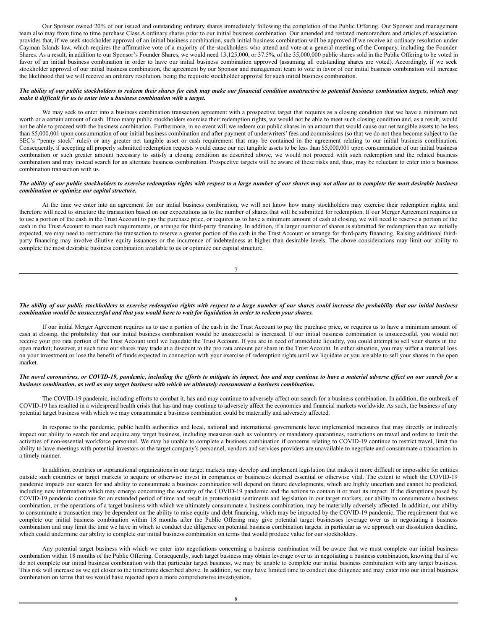Our Sponsor owned 20% of our issued and outstanding ordinary shares immediately following the completion of the Public Offering. Our Sponsor and management team also may from time to time purchase Class A ordinary shares prior to our initial business combination. Our amended and restated memorandum and articles of association provides that, if we seek stockholder approval of an initial business combination, such initial business combination will be approved if we receive an ordinary resolution under Cayman Islands law, which requires the affirmative vote of a majority of the stockholders who attend and vote at a general meeting of the Company, including the Founder Shares. As a result, in addition to our Sponsor's Founder Shares, we would need 13,125,000, or 37.5%, of the 35,000,000 public shares sold in the Public Offering to be voted in favor of an initial business combination in order to have our initial business combination approved (assuming all outstanding shares are voted). Accordingly, if we seek stockholder approval of our initial business combination, the agreement by our Sponsor and management team to vote in favor of our initial business combination will increase the likelihood that we will receive an ordinary resolution, being the requisite stockholder approval for such initial business combination.

## The ability of our public stockholders to redeem their shares for cash may make our financial condition unattractive to potential business combination targets, which may *make it dif icult for us to enter into a business combination with a target.*

We may seek to enter into a business combination transaction agreement with a prospective target that requires as a closing condition that we have a minimum net worth or a certain amount of cash. If too many public stockholders exercise their redemption rights, we would not be able to meet such closing condition and, as a result, would not be able to proceed with the business combination. Furthermore, in no event will we redeem our public shares in an amount that would cause our net tangible assets to be less than \$5,000,001 upon consummation of our initial business combination and after payment of underwriters' fees and commissions (so that we do not then become subject to the SEC's "penny stock" rules) or any greater net tangible asset or cash requirement that may be contained in the agreement relating to our initial business combination. Consequently, if accepting all properly submitted redemption requests would cause our net tangible assets to be less than \$5,000,001 upon consummation of our initial business combination or such greater amount necessary to satisfy a closing condition as described above, we would not proceed with such redemption and the related business combination and may instead search for an alternate business combination. Prospective targets will be aware of these risks and, thus, may be reluctant to enter into a business combination transaction with us.

### The ability of our public stockholders to exercise redemption rights with respect to a large number of our shares may not allow us to complete the most desirable business *combination or optimize our capital structure.*

At the time we enter into an agreement for our initial business combination, we will not know how many stockholders may exercise their redemption rights, and therefore will need to structure the transaction based on our expectations as to the number of shares that will be submitted for redemption. If our Merger Agreement requires us to use a portion of the cash in the Trust Account to pay the purchase price, or requires us to have a minimum amount of cash at closing, we will need to reserve a portion of the cash in the Trust Account to meet such requirements, or arrange for third-party financing. In addition, if a larger number of shares is submitted for redemption than we initially expected, we may need to restructure the transaction to reserve a greater portion of the cash in the Trust Account or arrange for third-party financing. Raising additional thirdparty financing may involve dilutive equity issuances or the incurrence of indebtedness at higher than desirable levels. The above considerations may limit our ability to complete the most desirable business combination available to us or optimize our capital structure.

7

# The ability of our public stockholders to exercise redemption rights with respect to a large number of our shares could increase the probability that our initial business combination would be unsuccessful and that you would have to wait for liquidation in order to redeem your shares.

If our initial Merger Agreement requires us to use a portion of the cash in the Trust Account to pay the purchase price, or requires us to have a minimum amount of cash at closing, the probability that our initial business combination would be unsuccessful is increased. If our initial business combination is unsuccessful, you would not receive your pro rata portion of the Trust Account until we liquidate the Trust Account. If you are in need of immediate liquidity, you could attempt to sell your shares in the open market; however, at such time our shares may trade at a discount to the pro rata amount per share in the Trust Account. In either situation, you may suffer a material loss on your investment or lose the benefit of funds expected in connection with your exercise of redemption rights until we liquidate or you are able to sell your shares in the open market.

# The novel coronavirus, or COVID-19, pandemic, including the efforts to mitigate its impact, has and may continue to have a material adverse effect on our search for a *business combination, as well as any target business with which we ultimately consummate a business combination.*

The COVID-19 pandemic, including efforts to combat it, has and may continue to adversely affect our search for a business combination. In addition, the outbreak of COVID-19 has resulted in a widespread health crisis that has and may continue to adversely affect the economies and financial markets worldwide. As such, the business of any potential target business with which we may consummate a business combination could be materially and adversely affected.

In response to the pandemic, public health authorities and local, national and international governments have implemented measures that may directly or indirectly impact our ability to search for and acquire any target business, including measures such as voluntary or mandatory quarantines, restrictions on travel and orders to limit the activities of non-essential workforce personnel. We may be unable to complete a business combination if concerns relating to COVID-19 continue to restrict travel, limit the ability to have meetings with potential investors or the target company's personnel, vendors and services providers are unavailable to negotiate and consummate a transaction in a timely manner.

In addition, countries or supranational organizations in our target markets may develop and implement legislation that makes it more difficult or impossible for entities outside such countries or target markets to acquire or otherwise invest in companies or businesses deemed essential or otherwise vital. The extent to which the COVID-19 pandemic impacts our search for and ability to consummate a business combination will depend on future developments, which are highly uncertain and cannot be predicted, including new information which may emerge concerning the severity of the COVID-19 pandemic and the actions to contain it or treat its impact. If the disruptions posed by COVID-19 pandemic continue for an extended period of time and result in protectionist sentiments and legislation in our target markets, our ability to consummate a business combination, or the operations of a target business with which we ultimately consummate a business combination, may be materially adversely affected. In addition, our ability to consummate a transaction may be dependent on the ability to raise equity and debt financing, which may be impacted by the COVID-19 pandemic. The requirement that we complete our initial business combination within 18 months after the Public Offering may give potential target businesses leverage over us in negotiating a business combination and may limit the time we have in which to conduct due diligence on potential business combination targets, in particular as we approach our dissolution deadline, which could undermine our ability to complete our initial business combination on terms that would produce value for our stockholders.

Any potential target business with which we enter into negotiations concerning a business combination will be aware that we must complete our initial business combination within 18 months of the Public Offering. Consequently, such target business may obtain leverage over us in negotiating a business combination, knowing that if we do not complete our initial business combination with that particular target business, we may be unable to complete our initial business combination with any target business. This risk will increase as we get closer to the timeframe described above. In addition, we may have limited time to conduct due diligence and may enter into our initial business combination on terms that we would have rejected upon a more comprehensive investigation.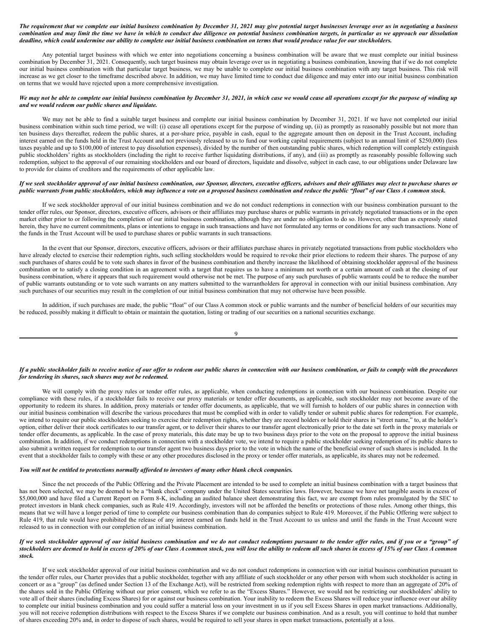### The requirement that we complete our initial business combination by December 31, 2021 may give potential target businesses leverage over us in negotiating a business combination and may limit the time we have in which to conduct due diligence on potential business combination targets, in particular as we approach our dissolution deadline, which could undermine our ability to complete our initial business combination on terms that would produce value for our stockholders.

Any potential target business with which we enter into negotiations concerning a business combination will be aware that we must complete our initial business combination by December 31, 2021. Consequently, such target business may obtain leverage over us in negotiating a business combination, knowing that if we do not complete our initial business combination with that particular target business, we may be unable to complete our initial business combination with any target business. This risk will increase as we get closer to the timeframe described above. In addition, we may have limited time to conduct due diligence and may enter into our initial business combination on terms that we would have rejected upon a more comprehensive investigation.

#### We may not be able to complete our initial business combination by December 31, 2021, in which case we would cease all operations except for the purpose of winding up *and we would redeem our public shares and liquidate.*

We may not be able to find a suitable target business and complete our initial business combination by December 31, 2021. If we have not completed our initial business combination within such time period, we will: (i) cease all operations except for the purpose of winding up, (ii) as promptly as reasonably possible but not more than ten business days thereafter, redeem the public shares, at a per-share price, payable in cash, equal to the aggregate amount then on deposit in the Trust Account, including interest earned on the funds held in the Trust Account and not previously released to us to fund our working capital requirements (subject to an annual limit of \$250,000) (less taxes payable and up to \$100,000 of interest to pay dissolution expenses), divided by the number of then outstanding public shares, which redemption will completely extinguish public stockholders' rights as stockholders (including the right to receive further liquidating distributions, if any), and (iii) as promptly as reasonably possible following such redemption, subject to the approval of our remaining stockholders and our board of directors, liquidate and dissolve, subject in each case, to our obligations under Delaware law to provide for claims of creditors and the requirements of other applicable law.

#### If we seek stockholder approval of our initial business combination, our Sponsor, directors, executive officers, advisors and their affiliates may elect to purchase shares or public warrants from public stockholders, which may influence a vote on a proposed business combination and reduce the public "float" of our Class A common stock.

If we seek stockholder approval of our initial business combination and we do not conduct redemptions in connection with our business combination pursuant to the tender offer rules, our Sponsor, directors, executive officers, advisors or their affiliates may purchase shares or public warrants in privately negotiated transactions or in the open market either prior to or following the completion of our initial business combination, although they are under no obligation to do so. However, other than as expressly stated herein, they have no current commitments, plans or intentions to engage in such transactions and have not formulated any terms or conditions for any such transactions. None of the funds in the Trust Account will be used to purchase shares or public warrants in such transactions.

In the event that our Sponsor, directors, executive officers, advisors or their affiliates purchase shares in privately negotiated transactions from public stockholders who have already elected to exercise their redemption rights, such selling stockholders would be required to revoke their prior elections to redeem their shares. The purpose of any such purchases of shares could be to vote such shares in favor of the business combination and thereby increase the likelihood of obtaining stockholder approval of the business combination or to satisfy a closing condition in an agreement with a target that requires us to have a minimum net worth or a certain amount of cash at the closing of our business combination, where it appears that such requirement would otherwise not be met. The purpose of any such purchases of public warrants could be to reduce the number of public warrants outstanding or to vote such warrants on any matters submitted to the warrantholders for approval in connection with our initial business combination. Any such purchases of our securities may result in the completion of our initial business combination that may not otherwise have been possible.

In addition, if such purchases are made, the public "float" of our Class A common stock or public warrants and the number of beneficial holders of our securities may be reduced, possibly making it difficult to obtain or maintain the quotation, listing or trading of our securities on a national securities exchange.

 $\overline{Q}$ 

## If a public stockholder fails to receive notice of our offer to redeem our public shares in connection with our business combination, or fails to comply with the procedures *for tendering its shares, such shares may not be redeemed.*

We will comply with the proxy rules or tender offer rules, as applicable, when conducting redemptions in connection with our business combination. Despite our compliance with these rules, if a stockholder fails to receive our proxy materials or tender offer documents, as applicable, such stockholder may not become aware of the opportunity to redeem its shares. In addition, proxy materials or tender offer documents, as applicable, that we will furnish to holders of our public shares in connection with our initial business combination will describe the various procedures that must be complied with in order to validly tender or submit public shares for redemption. For example, we intend to require our public stockholders seeking to exercise their redemption rights, whether they are record holders or hold their shares in "street name," to, at the holder's option, either deliver their stock certificates to our transfer agent, or to deliver their shares to our transfer agent electronically prior to the date set forth in the proxy materials or tender offer documents, as applicable. In the case of proxy materials, this date may be up to two business days prior to the vote on the proposal to approve the initial business combination. In addition, if we conduct redemptions in connection with a stockholder vote, we intend to require a public stockholder seeking redemption of its public shares to also submit a written request for redemption to our transfer agent two business days prior to the vote in which the name of the beneficial owner of such shares is included. In the event that a stockholder fails to comply with these or any other procedures disclosed in the proxy or tender offer materials, as applicable, its shares may not be redeemed.

# You will not be entitled to protections normally afforded to investors of many other blank check companies.

Since the net proceeds of the Public Offering and the Private Placement are intended to be used to complete an initial business combination with a target business that has not been selected, we may be deemed to be a "blank check" company under the United States securities laws. However, because we have net tangible assets in excess of \$5,000,000 and have filed a Current Report on Form 8-K, including an audited balance sheet demonstrating this fact, we are exempt from rules promulgated by the SEC to protect investors in blank check companies, such as Rule 419. Accordingly, investors will not be afforded the benefits or protections of those rules. Among other things, this means that we will have a longer period of time to complete our business combination than do companies subject to Rule 419. Moreover, if the Public Offering were subject to Rule 419, that rule would have prohibited the release of any interest earned on funds held in the Trust Account to us unless and until the funds in the Trust Account were released to us in connection with our completion of an initial business combination.

#### If we seek stockholder approval of our initial business combination and we do not conduct redemptions pursuant to the tender offer rules, and if you or a "group" of stockholders are deemed to hold in excess of 20% of our Class A common stock, you will lose the ability to redeem all such shares in excess of 15% of our Class A common *stock.*

If we seek stockholder approval of our initial business combination and we do not conduct redemptions in connection with our initial business combination pursuant to the tender offer rules, our Charter provides that a public stockholder, together with any affiliate of such stockholder or any other person with whom such stockholder is acting in concert or as a "group" (as defined under Section 13 of the Exchange Act), will be restricted from seeking redemption rights with respect to more than an aggregate of 20% of the shares sold in the Public Offering without our prior consent, which we refer to as the "Excess Shares." However, we would not be restricting our stockholders' ability to vote all of their shares (including Excess Shares) for or against our business combination. Your inability to redeem the Excess Shares will reduce your influence over our ability to complete our initial business combination and you could suffer a material loss on your investment in us if you sell Excess Shares in open market transactions. Additionally, you will not receive redemption distributions with respect to the Excess Shares if we complete our business combination. And as a result, you will continue to hold that number of shares exceeding 20% and, in order to dispose of such shares, would be required to sell your shares in open market transactions, potentially at a loss.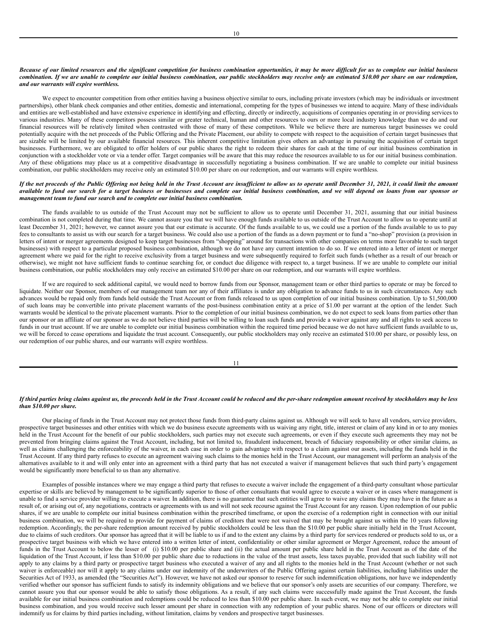## Because of our limited resources and the significant competition for business combination opportunities, it may be more difficult for us to complete our initial business combination. If we are unable to complete our initial business combination, our public stockholders may receive only an estimated \$10.00 per share on our redemption, *and our warrants will expire worthless.*

We expect to encounter competition from other entities having a business objective similar to ours, including private investors (which may be individuals or investment partnerships), other blank check companies and other entities, domestic and international, competing for the types of businesses we intend to acquire. Many of these individuals and entities are well-established and have extensive experience in identifying and effecting, directly or indirectly, acquisitions of companies operating in or providing services to various industries. Many of these competitors possess similar or greater technical, human and other resources to ours or more local industry knowledge than we do and our financial resources will be relatively limited when contrasted with those of many of these competitors. While we believe there are numerous target businesses we could potentially acquire with the net proceeds of the Public Offering and the Private Placement, our ability to compete with respect to the acquisition of certain target businesses that are sizable will be limited by our available financial resources. This inherent competitive limitation gives others an advantage in pursuing the acquisition of certain target businesses. Furthermore, we are obligated to offer holders of our public shares the right to redeem their shares for cash at the time of our initial business combination in conjunction with a stockholder vote or via a tender offer. Target companies will be aware that this may reduce the resources available to us for our initial business combination. Any of these obligations may place us at a competitive disadvantage in successfully negotiating a business combination. If we are unable to complete our initial business combination, our public stockholders may receive only an estimated \$10.00 per share on our redemption, and our warrants will expire worthless.

### If the net proceeds of the Public Offering not being held in the Trust Account are insufficient to allow us to operate until December 31, 2021, it could limit the amount available to fund our search for a target business or businesses and complete our initial business combination, and we will depend on loans from our sponsor or *management team to fund our search and to complete our initial business combination.*

The funds available to us outside of the Trust Account may not be sufficient to allow us to operate until December 31, 2021, assuming that our initial business combination is not completed during that time. We cannot assure you that we will have enough funds available to us outside of the Trust Account to allow us to operate until at least December 31, 2021; however, we cannot assure you that our estimate is accurate. Of the funds available to us, we could use a portion of the funds available to us to pay fees to consultants to assist us with our search for a target business. We could also use a portion of the funds as a down payment or to fund a "no-shop" provision (a provision in letters of intent or merger agreements designed to keep target businesses from "shopping" around for transactions with other companies on terms more favorable to such target businesses) with respect to a particular proposed business combination, although we do not have any current intention to do so. If we entered into a letter of intent or merger agreement where we paid for the right to receive exclusivity from a target business and were subsequently required to forfeit such funds (whether as a result of our breach or otherwise), we might not have sufficient funds to continue searching for, or conduct due diligence with respect to, a target business. If we are unable to complete our initial business combination, our public stockholders may only receive an estimated \$10.00 per share on our redemption, and our warrants will expire worthless.

If we are required to seek additional capital, we would need to borrow funds from our Sponsor, management team or other third parties to operate or may be forced to liquidate. Neither our Sponsor, members of our management team nor any of their affiliates is under any obligation to advance funds to us in such circumstances. Any such advances would be repaid only from funds held outside the Trust Account or from funds released to us upon completion of our initial business combination. Up to \$1,500,000 of such loans may be convertible into private placement warrants of the post-business combination entity at a price of \$1.00 per warrant at the option of the lender. Such warrants would be identical to the private placement warrants. Prior to the completion of our initial business combination, we do not expect to seek loans from parties other than our sponsor or an affiliate of our sponsor as we do not believe third parties will be willing to loan such funds and provide a waiver against any and all rights to seek access to funds in our trust account. If we are unable to complete our initial business combination within the required time period because we do not have sufficient funds available to us, we will be forced to cease operations and liquidate the trust account. Consequently, our public stockholders may only receive an estimated \$10.00 per share, or possibly less, on our redemption of our public shares, and our warrants will expire worthless.

#### 11

### If third parties bring claims against us, the proceeds held in the Trust Account could be reduced and the per-share redemption amount received by stockholders may be less *than \$10.00 per share.*

Our placing of funds in the Trust Account may not protect those funds from third-party claims against us. Although we will seek to have all vendors, service providers, prospective target businesses and other entities with which we do business execute agreements with us waiving any right, title, interest or claim of any kind in or to any monies held in the Trust Account for the benefit of our public stockholders, such parties may not execute such agreements, or even if they execute such agreements they may not be prevented from bringing claims against the Trust Account, including, but not limited to, fraudulent inducement, breach of fiduciary responsibility or other similar claims, as well as claims challenging the enforceability of the waiver, in each case in order to gain advantage with respect to a claim against our assets, including the funds held in the Trust Account. If any third party refuses to execute an agreement waiving such claims to the monies held in the Trust Account, our management will perform an analysis of the alternatives available to it and will only enter into an agreement with a third party that has not executed a waiver if management believes that such third party's engagement would be significantly more beneficial to us than any alternative.

Examples of possible instances where we may engage a third party that refuses to execute a waiver include the engagement of a third-party consultant whose particular expertise or skills are believed by management to be significantly superior to those of other consultants that would agree to execute a waiver or in cases where management is unable to find a service provider willing to execute a waiver. In addition, there is no guarantee that such entities will agree to waive any claims they may have in the future as a result of, or arising out of, any negotiations, contracts or agreements with us and will not seek recourse against the Trust Account for any reason. Upon redemption of our public shares, if we are unable to complete our initial business combination within the prescribed timeframe, or upon the exercise of a redemption right in connection with our initial business combination, we will be required to provide for payment of claims of creditors that were not waived that may be brought against us within the 10 years following redemption. Accordingly, the per-share redemption amount received by public stockholders could be less than the \$10.00 per public share initially held in the Trust Account, due to claims of such creditors. Our sponsor has agreed that it will be liable to us if and to the extent any claims by a third party for services rendered or products sold to us, or a prospective target business with which we have entered into a written letter of intent, confidentiality or other similar agreement or Merger Agreement, reduce the amount of funds in the Trust Account to below the lesser of (i) \$10.00 per public share and (ii) the actual amount per public share held in the Trust Account as of the date of the liquidation of the Trust Account, if less than \$10.00 per public share due to reductions in the value of the trust assets, less taxes payable, provided that such liability will not apply to any claims by a third party or prospective target business who executed a waiver of any and all rights to the monies held in the Trust Account (whether or not such waiver is enforceable) nor will it apply to any claims under our indemnity of the underwriters of the Public Offering against certain liabilities, including liabilities under the Securities Act of 1933, as amended (the "Securities Act"). However, we have not asked our sponsor to reserve for such indemnification obligations, nor have we independently verified whether our sponsor has sufficient funds to satisfy its indemnity obligations and we believe that our sponsor's only assets are securities of our company. Therefore, we cannot assure you that our sponsor would be able to satisfy those obligations. As a result, if any such claims were successfully made against the Trust Account, the funds available for our initial business combination and redemptions could be reduced to less than \$10.00 per public share. In such event, we may not be able to complete our initial business combination, and you would receive such lesser amount per share in connection with any redemption of your public shares. None of our officers or directors will indemnify us for claims by third parties including, without limitation, claims by vendors and prospective target businesses.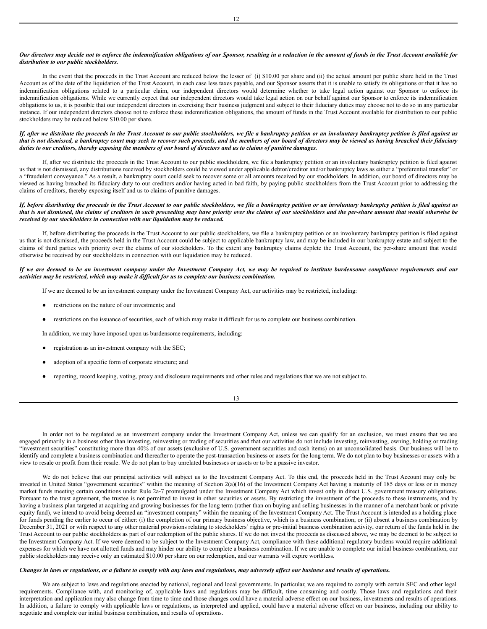### Our directors may decide not to enforce the indemnification obligations of our Sponsor, resulting in a reduction in the amount of funds in the Trust Account available for *distribution to our public stockholders.*

In the event that the proceeds in the Trust Account are reduced below the lesser of (i) \$10.00 per share and (ii) the actual amount per public share held in the Trust Account as of the date of the liquidation of the Trust Account, in each case less taxes payable, and our Sponsor asserts that it is unable to satisfy its obligations or that it has no indemnification obligations related to a particular claim, our independent directors would determine whether to take legal action against our Sponsor to enforce its indemnification obligations. While we currently expect that our independent directors would take legal action on our behalf against our Sponsor to enforce its indemnification obligations to us, it is possible that our independent directors in exercising their business judgment and subject to their fiduciary duties may choose not to do so in any particular instance. If our independent directors choose not to enforce these indemnification obligations, the amount of funds in the Trust Account available for distribution to our public stockholders may be reduced below \$10.00 per share.

#### If, after we distribute the proceeds in the Trust Account to our public stockholders, we file a bankruptcy petition or an involuntary bankruptcy petition is filed against us that is not dismissed, a bankruptcy court may seek to recover such proceeds, and the members of our board of directors may be viewed as having breached their fiduciary duties to our creditors, thereby exposing the members of our board of directors and us to claims of punitive damages.

If, after we distribute the proceeds in the Trust Account to our public stockholders, we file a bankruptcy petition or an involuntary bankruptcy petition is filed against us that is not dismissed, any distributions received by stockholders could be viewed under applicable debtor/creditor and/or bankruptcy laws as either a "preferential transfer" or a "fraudulent conveyance." As a result, a bankruptcy court could seek to recover some or all amounts received by our stockholders. In addition, our board of directors may be viewed as having breached its fiduciary duty to our creditors and/or having acted in bad faith, by paying public stockholders from the Trust Account prior to addressing the claims of creditors, thereby exposing itself and us to claims of punitive damages.

### If, before distributing the proceeds in the Trust Account to our public stockholders, we file a bankruptcy petition or an involuntary bankruptcy petition is filed against us that is not dismissed, the claims of creditors in such proceeding may have priority over the claims of our stockholders and the per-share amount that would otherwise be *received by our stockholders in connection with our liquidation may be reduced.*

If, before distributing the proceeds in the Trust Account to our public stockholders, we file a bankruptcy petition or an involuntary bankruptcy petition is filed against us that is not dismissed, the proceeds held in the Trust Account could be subject to applicable bankruptcy law, and may be included in our bankruptcy estate and subject to the claims of third parties with priority over the claims of our stockholders. To the extent any bankruptcy claims deplete the Trust Account, the per-share amount that would otherwise be received by our stockholders in connection with our liquidation may be reduced.

### If we are deemed to be an investment company under the Investment Company Act, we may be required to institute burdensome compliance requirements and our *activities may be restricted, which may make it dif icult for us to complete our business combination.*

If we are deemed to be an investment company under the Investment Company Act, our activities may be restricted, including:

- restrictions on the nature of our investments; and
- restrictions on the issuance of securities, each of which may make it difficult for us to complete our business combination.

In addition, we may have imposed upon us burdensome requirements, including:

- registration as an investment company with the SEC;
- adoption of a specific form of corporate structure; and
- reporting, record keeping, voting, proxy and disclosure requirements and other rules and regulations that we are not subject to.

In order not to be regulated as an investment company under the Investment Company Act, unless we can qualify for an exclusion, we must ensure that we are engaged primarily in a business other than investing, reinvesting or trading of securities and that our activities do not include investing, reinvesting, owning, holding or trading "investment securities" constituting more than 40% of our assets (exclusive of U.S. government securities and cash items) on an unconsolidated basis. Our business will be to identify and complete a business combination and thereafter to operate the post-transaction business or assets for the long term. We do not plan to buy businesses or assets with a view to resale or profit from their resale. We do not plan to buy unrelated businesses or assets or to be a passive investor.

We do not believe that our principal activities will subject us to the Investment Company Act. To this end, the proceeds held in the Trust Account may only be invested in United States "government securities" within the meaning of Section 2(a)(16) of the Investment Company Act having a maturity of 185 days or less or in money market funds meeting certain conditions under Rule 2a-7 promulgated under the Investment Company Act which invest only in direct U.S. government treasury obligations. Pursuant to the trust agreement, the trustee is not permitted to invest in other securities or assets. By restricting the investment of the proceeds to these instruments, and by having a business plan targeted at acquiring and growing businesses for the long term (rather than on buying and selling businesses in the manner of a merchant bank or private equity fund), we intend to avoid being deemed an "investment company" within the meaning of the Investment Company Act. The Trust Account is intended as a holding place for funds pending the earlier to occur of either: (i) the completion of our primary business objective, which is a business combination; or (ii) absent a business combination by December 31, 2021 or with respect to any other material provisions relating to stockholders' rights or pre-initial business combination activity, our return of the funds held in the Trust Account to our public stockholders as part of our redemption of the public shares. If we do not invest the proceeds as discussed above, we may be deemed to be subject to the Investment Company Act. If we were deemed to be subject to the Investment Company Act, compliance with these additional regulatory burdens would require additional expenses for which we have not allotted funds and may hinder our ability to complete a business combination. If we are unable to complete our initial business combination, our public stockholders may receive only an estimated \$10.00 per share on our redemption, and our warrants will expire worthless.

#### Changes in laws or regulations, or a failure to comply with any laws and regulations, may adversely affect our business and results of operations.

We are subject to laws and regulations enacted by national, regional and local governments. In particular, we are required to comply with certain SEC and other legal requirements. Compliance with, and monitoring of, applicable laws and regulations may be difficult, time consuming and costly. Those laws and regulations and their interpretation and application may also change from time to time and those changes could have a material adverse effect on our business, investments and results of operations. In addition, a failure to comply with applicable laws or regulations, as interpreted and applied, could have a material adverse effect on our business, including our ability to negotiate and complete our initial business combination, and results of operations.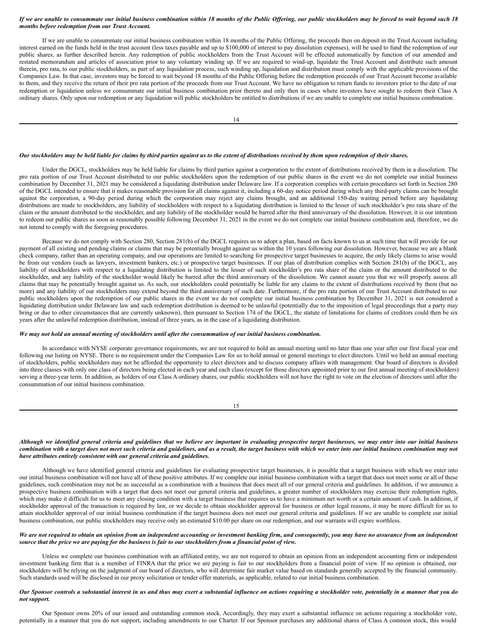### If we are unable to consummate our initial business combination within 18 months of the Public Offering, our public stockholders may be forced to wait beyond such 18 *months before redemption from our Trust Account.*

If we are unable to consummate our initial business combination within 18 months of the Public Offering, the proceeds then on deposit in the Trust Account including interest earned on the funds held in the trust account (less taxes payable and up to \$100,000 of interest to pay dissolution expenses), will be used to fund the redemption of our public shares, as further described herein. Any redemption of public stockholders from the Trust Account will be effected automatically by function of our amended and restated memorandum and articles of association prior to any voluntary winding up. If we are required to wind-up, liquidate the Trust Account and distribute such amount therein, pro rata, to our public stockholders, as part of any liquidation process, such winding up, liquidation and distribution must comply with the applicable provisions of the Companies Law. In that case, investors may be forced to wait beyond 18 months of the Public Offering before the redemption proceeds of our Trust Account become available to them, and they receive the return of their pro rata portion of the proceeds from our Trust Account. We have no obligation to return funds to investors prior to the date of our redemption or liquidation unless we consummate our initial business combination prior thereto and only then in cases where investors have sought to redeem their Class A ordinary shares. Only upon our redemption or any liquidation will public stockholders be entitled to distributions if we are unable to complete our initial business combination.

# Our stockholders may be held liable for claims by third parties against us to the extent of distributions received by them upon redemption of their shares.

Under the DGCL, stockholders may be held liable for claims by third parties against a corporation to the extent of distributions received by them in a dissolution. The pro rata portion of our Trust Account distributed to our public stockholders upon the redemption of our public shares in the event we do not complete our initial business combination by December 31, 2021 may be considered a liquidating distribution under Delaware law. If a corporation complies with certain procedures set forth in Section 280 of the DGCL intended to ensure that it makes reasonable provision for all claims against it, including a 60-day notice period during which any third-party claims can be brought against the corporation, a 90-day period during which the corporation may reject any claims brought, and an additional 150-day waiting period before any liquidating distributions are made to stockholders, any liability of stockholders with respect to a liquidating distribution is limited to the lesser of such stockholder's pro rata share of the claim or the amount distributed to the stockholder, and any liability of the stockholder would be barred after the third anniversary of the dissolution. However, it is our intention to redeem our public shares as soon as reasonably possible following December 31, 2021 in the event we do not complete our initial business combination and, therefore, we do not intend to comply with the foregoing procedures.

Because we do not comply with Section 280, Section 281(b) of the DGCL requires us to adopt a plan, based on facts known to us at such time that will provide for our payment of all existing and pending claims or claims that may be potentially brought against us within the 10 years following our dissolution. However, because we are a blank check company, rather than an operating company, and our operations are limited to searching for prospective target businesses to acquire, the only likely claims to arise would be from our vendors (such as lawyers, investment bankers, etc.) or prospective target businesses. If our plan of distribution complies with Section 281(b) of the DGCL, any liability of stockholders with respect to a liquidating distribution is limited to the lesser of such stockholder's pro rata share of the claim or the amount distributed to the stockholder, and any liability of the stockholder would likely be barred after the third anniversary of the dissolution. We cannot assure you that we will properly assess all claims that may be potentially brought against us. As such, our stockholders could potentially be liable for any claims to the extent of distributions received by them (but no more) and any liability of our stockholders may extend beyond the third anniversary of such date. Furthermore, if the pro rata portion of our Trust Account distributed to our public stockholders upon the redemption of our public shares in the event we do not complete our initial business combination by December 31, 2021 is not considered a liquidating distribution under Delaware law and such redemption distribution is deemed to be unlawful (potentially due to the imposition of legal proceedings that a party may bring or due to other circumstances that are currently unknown), then pursuant to Section 174 of the DGCL, the statute of limitations for claims of creditors could then be six years after the unlawful redemption distribution, instead of three years, as in the case of a liquidating distribution.

#### We may not hold an annual meeting of stockholders until after the consummation of our initial business combination.

In accordance with NYSE corporate governance requirements, we are not required to hold an annual meeting until no later than one year after our first fiscal year end following our listing on NYSE. There is no requirement under the Companies Law for us to hold annual or general meetings to elect directors. Until we hold an annual meeting of stockholders, public stockholders may not be afforded the opportunity to elect directors and to discuss company affairs with management. Our board of directors is divided into three classes with only one class of directors being elected in each year and each class (except for those directors appointed prior to our first annual meeting of stockholders) serving a three-year term. In addition, as holders of our Class A ordinary shares, our public stockholders will not have the right to vote on the election of directors until after the consummation of our initial business combination.

| ĉ<br>۰.<br>×<br>v |
|-------------------|

#### Although we identified general criteria and guidelines that we believe are important in evaluating prospective target businesses, we may enter into our initial business combination with a target does not meet such criteria and guidelines, and as a result, the target business with which we enter into our initial business combination may not *have attributes entirely consistent with our general criteria and guidelines.*

Although we have identified general criteria and guidelines for evaluating prospective target businesses, it is possible that a target business with which we enter into our initial business combination will not have all of these positive attributes. If we complete our initial business combination with a target that does not meet some or all of these guidelines, such combination may not be as successful as a combination with a business that does meet all of our general criteria and guidelines. In addition, if we announce a prospective business combination with a target that does not meet our general criteria and guidelines, a greater number of stockholders may exercise their redemption rights, which may make it difficult for us to meet any closing condition with a target business that requires us to have a minimum net worth or a certain amount of cash. In addition, if stockholder approval of the transaction is required by law, or we decide to obtain stockholder approval for business or other legal reasons, it may be more difficult for us to attain stockholder approval of our initial business combination if the target business does not meet our general criteria and guidelines. If we are unable to complete our initial business combination, our public stockholders may receive only an estimated \$10.00 per share on our redemption, and our warrants will expire worthless.

# We are not required to obtain an opinion from an independent accounting or investment banking firm, and consequently, you may have no assurance from an independent source that the price we are paying for the business is fair to our stockholders from a financial point of view.

Unless we complete our business combination with an affiliated entity, we are not required to obtain an opinion from an independent accounting firm or independent investment banking firm that is a member of FINRA that the price we are paying is fair to our stockholders from a financial point of view. If no opinion is obtained, our stockholders will be relying on the judgment of our board of directors, who will determine fair market value based on standards generally accepted by the financial community. Such standards used will be disclosed in our proxy solicitation or tender offer materials, as applicable, related to our initial business combination.

#### Our Sponsor controls a substantial interest in us and thus may exert a substantial influence on actions requiring a stockholder vote, potentially in a manner that you do *not support.*

Our Sponsor owns 20% of our issued and outstanding common stock. Accordingly, they may exert a substantial influence on actions requiring a stockholder vote, potentially in a manner that you do not support, including amendments to our Charter. If our Sponsor purchases any additional shares of Class A common stock, this would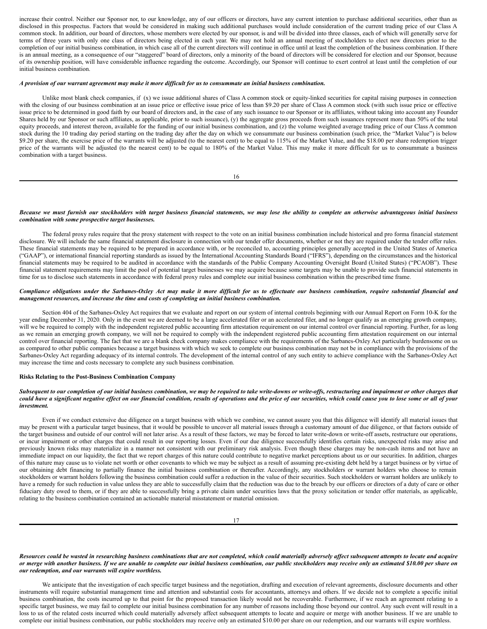increase their control. Neither our Sponsor nor, to our knowledge, any of our officers or directors, have any current intention to purchase additional securities, other than as disclosed in this prospectus. Factors that would be considered in making such additional purchases would include consideration of the current trading price of our Class A common stock. In addition, our board of directors, whose members were elected by our sponsor, is and will be divided into three classes, each of which will generally serve for terms of three years with only one class of directors being elected in each year. We may not hold an annual meeting of stockholders to elect new directors prior to the completion of our initial business combination, in which case all of the current directors will continue in office until at least the completion of the business combination. If there is an annual meeting, as a consequence of our "staggered" board of directors, only a minority of the board of directors will be considered for election and our Sponsor, because of its ownership position, will have considerable influence regarding the outcome. Accordingly, our Sponsor will continue to exert control at least until the completion of our initial business combination.

# A provision of our warrant agreement may make it more difficult for us to consummate an initial business combination.

Unlike most blank check companies, if (x) we issue additional shares of Class A common stock or equity-linked securities for capital raising purposes in connection with the closing of our business combination at an issue price or effective issue price of less than \$9.20 per share of Class A common stock (with such issue price or effective issue price to be determined in good faith by our board of directors and, in the case of any such issuance to our Sponsor or its affiliates, without taking into account any Founder Shares held by our Sponsor or such affiliates, as applicable, prior to such issuance), (y) the aggregate gross proceeds from such issuances represent more than 50% of the total equity proceeds, and interest thereon, available for the funding of our initial business combination, and (z) the volume weighted average trading price of our Class A common stock during the 10 trading day period starting on the trading day after the day on which we consummate our business combination (such price, the "Market Value") is below \$9.20 per share, the exercise price of the warrants will be adjusted (to the nearest cent) to be equal to 115% of the Market Value, and the \$18.00 per share redemption trigger price of the warrants will be adjusted (to the nearest cent) to be equal to 180% of the Market Value. This may make it more difficult for us to consummate a business combination with a target business.

| I<br>I<br>×<br>٧ |
|------------------|

#### Because we must furnish our stockholders with target business financial statements, we may lose the ability to complete an otherwise advantageous initial business *combination with some prospective target businesses.*

The federal proxy rules require that the proxy statement with respect to the vote on an initial business combination include historical and pro forma financial statement disclosure. We will include the same financial statement disclosure in connection with our tender offer documents, whether or not they are required under the tender offer rules. These financial statements may be required to be prepared in accordance with, or be reconciled to, accounting principles generally accepted in the United States of America ("GAAP"), or international financial reporting standards as issued by the International Accounting Standards Board ("IFRS"), depending on the circumstances and the historical financial statements may be required to be audited in accordance with the standards of the Public Company Accounting Oversight Board (United States) ("PCAOB"). These financial statement requirements may limit the pool of potential target businesses we may acquire because some targets may be unable to provide such financial statements in time for us to disclose such statements in accordance with federal proxy rules and complete our initial business combination within the prescribed time frame.

#### Compliance obligations under the Sarbanes-Oxley Act may make it more difficult for us to effectuate our business combination, require substantial financial and *management resources, and increase the time and costs of completing an initial business combination.*

Section 404 of the Sarbanes-Oxley Act requires that we evaluate and report on our system of internal controls beginning with our Annual Report on Form 10-K for the year ending December 31, 2020. Only in the event we are deemed to be a large accelerated filer or an accelerated filer, and no longer qualify as an emerging growth company, will we be required to comply with the independent registered public accounting firm attestation requirement on our internal control over financial reporting. Further, for as long as we remain an emerging growth company, we will not be required to comply with the independent registered public accounting firm attestation requirement on our internal control over financial reporting. The fact that we are a blank check company makes compliance with the requirements of the Sarbanes-Oxley Act particularly burdensome on us as compared to other public companies because a target business with which we seek to complete our business combination may not be in compliance with the provisions of the Sarbanes-Oxley Act regarding adequacy of its internal controls. The development of the internal control of any such entity to achieve compliance with the Sarbanes-Oxley Act may increase the time and costs necessary to complete any such business combination.

#### **Risks Relating to the Post-Business Combination Company**

#### Subsequent to our completion of our initial business combination, we may be required to take write-downs or write-offs, restructuring and impairment or other charges that could have a significant negative effect on our financial condition, results of operations and the price of our securities, which could cause you to lose some or all of your *investment.*

Even if we conduct extensive due diligence on a target business with which we combine, we cannot assure you that this diligence will identify all material issues that may be present with a particular target business, that it would be possible to uncover all material issues through a customary amount of due diligence, or that factors outside of the target business and outside of our control will not later arise. As a result of these factors, we may be forced to later write-down or write-off assets, restructure our operations, or incur impairment or other charges that could result in our reporting losses. Even if our due diligence successfully identifies certain risks, unexpected risks may arise and previously known risks may materialize in a manner not consistent with our preliminary risk analysis. Even though these charges may be non-cash items and not have an immediate impact on our liquidity, the fact that we report charges of this nature could contribute to negative market perceptions about us or our securities. In addition, charges of this nature may cause us to violate net worth or other covenants to which we may be subject as a result of assuming pre-existing debt held by a target business or by virtue of our obtaining debt financing to partially finance the initial business combination or thereafter. Accordingly, any stockholders or warrant holders who choose to remain stockholders or warrant holders following the business combination could suffer a reduction in the value of their securities. Such stockholders or warrant holders are unlikely to have a remedy for such reduction in value unless they are able to successfully claim that the reduction was due to the breach by our officers or directors of a duty of care or other fiduciary duty owed to them, or if they are able to successfully bring a private claim under securities laws that the proxy solicitation or tender offer materials, as applicable, relating to the business combination contained an actionable material misstatement or material omission.

Resources could be wasted in researching business combinations that are not completed, which could materially adversely affect subsequent attempts to locate and acquire or merge with another business. If we are unable to complete our initial business combination, our public stockholders may receive only an estimated \$10.00 per share on *our redemption, and our warrants will expire worthless.*

We anticipate that the investigation of each specific target business and the negotiation, drafting and execution of relevant agreements, disclosure documents and other instruments will require substantial management time and attention and substantial costs for accountants, attorneys and others. If we decide not to complete a specific initial business combination, the costs incurred up to that point for the proposed transaction likely would not be recoverable. Furthermore, if we reach an agreement relating to a specific target business, we may fail to complete our initial business combination for any number of reasons including those beyond our control. Any such event will result in a loss to us of the related costs incurred which could materially adversely affect subsequent attempts to locate and acquire or merge with another business. If we are unable to complete our initial business combination, our public stockholders may receive only an estimated \$10.00 per share on our redemption, and our warrants will expire worthless.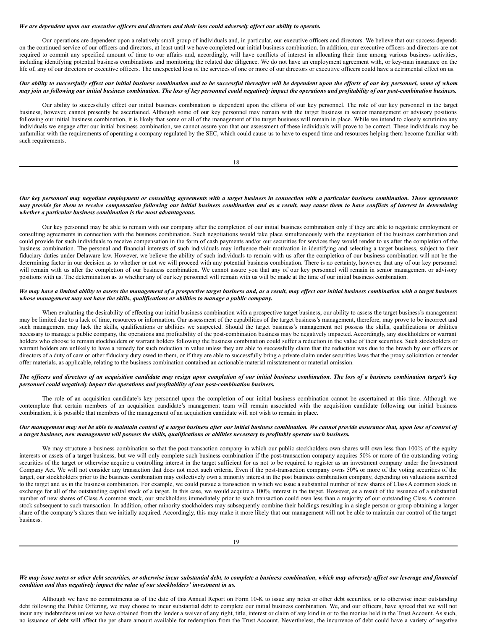#### We are dependent upon our executive officers and directors and their loss could adversely affect our ability to operate.

Our operations are dependent upon a relatively small group of individuals and, in particular, our executive officers and directors. We believe that our success depends on the continued service of our officers and directors, at least until we have completed our initial business combination. In addition, our executive officers and directors are not required to commit any specified amount of time to our affairs and, accordingly, will have conflicts of interest in allocating their time among various business activities, including identifying potential business combinations and monitoring the related due diligence. We do not have an employment agreement with, or key-man insurance on the life of, any of our directors or executive officers. The unexpected loss of the services of one or more of our directors or executive officers could have a detrimental effect on us.

### Our ability to successfully effect our initial business combination and to be successful thereafter will be dependent upon the efforts of our key personnel, some of whom may join us following our initial business combination. The loss of key personnel could negatively impact the operations and profitability of our post-combination business.

Our ability to successfully effect our initial business combination is dependent upon the efforts of our key personnel. The role of our key personnel in the target business, however, cannot presently be ascertained. Although some of our key personnel may remain with the target business in senior management or advisory positions following our initial business combination, it is likely that some or all of the management of the target business will remain in place. While we intend to closely scrutinize any individuals we engage after our initial business combination, we cannot assure you that our assessment of these individuals will prove to be correct. These individuals may be unfamiliar with the requirements of operating a company regulated by the SEC, which could cause us to have to expend time and resources helping them become familiar with such requirements.

18

#### Our key personnel may negotiate employment or consulting agreements with a target business in connection with a particular business combination. These agreements may provide for them to receive compensation following our initial business combination and as a result, may cause them to have conflicts of interest in determining *whether a particular business combination is the most advantageous.*

Our key personnel may be able to remain with our company after the completion of our initial business combination only if they are able to negotiate employment or consulting agreements in connection with the business combination. Such negotiations would take place simultaneously with the negotiation of the business combination and could provide for such individuals to receive compensation in the form of cash payments and/or our securities for services they would render to us after the completion of the business combination. The personal and financial interests of such individuals may influence their motivation in identifying and selecting a target business, subject to their fiduciary duties under Delaware law. However, we believe the ability of such individuals to remain with us after the completion of our business combination will not be the determining factor in our decision as to whether or not we will proceed with any potential business combination. There is no certainty, however, that any of our key personnel will remain with us after the completion of our business combination. We cannot assure you that any of our key personnel will remain in senior management or advisory positions with us. The determination as to whether any of our key personnel will remain with us will be made at the time of our initial business combination.

### We may have a limited ability to assess the management of a prospective target business and, as a result, may effect our initial business combination with a target business *whose management may not have the skills, qualifications or abilities to manage a public company.*

When evaluating the desirability of effecting our initial business combination with a prospective target business, our ability to assess the target business's management may be limited due to a lack of time, resources or information. Our assessment of the capabilities of the target business's management, therefore, may prove to be incorrect and such management may lack the skills, qualifications or abilities we suspected. Should the target business's management not possess the skills, qualifications or abilities necessary to manage a public company, the operations and profitability of the post-combination business may be negatively impacted. Accordingly, any stockholders or warrant holders who choose to remain stockholders or warrant holders following the business combination could suffer a reduction in the value of their securities. Such stockholders or warrant holders are unlikely to have a remedy for such reduction in value unless they are able to successfully claim that the reduction was due to the breach by our officers or directors of a duty of care or other fiduciary duty owed to them, or if they are able to successfully bring a private claim under securities laws that the proxy solicitation or tender offer materials, as applicable, relating to the business combination contained an actionable material misstatement or material omission.

#### The officers and directors of an acquisition candidate may resign upon completion of our initial business combination. The loss of a business combination target's key *personnel could negatively impact the operations and profitability of our post-combination business.*

The role of an acquisition candidate's key personnel upon the completion of our initial business combination cannot be ascertained at this time. Although we contemplate that certain members of an acquisition candidate's management team will remain associated with the acquisition candidate following our initial business combination, it is possible that members of the management of an acquisition candidate will not wish to remain in place.

# Our management may not be able to maintain control of a target business after our initial business combination. We cannot provide assurance that, upon loss of control of a target business, new management will possess the skills, qualifications or abilities necessary to profitably operate such business.

We may structure a business combination so that the post-transaction company in which our public stockholders own shares will own less than 100% of the equity interests or assets of a target business, but we will only complete such business combination if the post-transaction company acquires 50% or more of the outstanding voting securities of the target or otherwise acquire a controlling interest in the target sufficient for us not to be required to register as an investment company under the Investment Company Act. We will not consider any transaction that does not meet such criteria. Even if the post-transaction company owns 50% or more of the voting securities of the target, our stockholders prior to the business combination may collectively own a minority interest in the post business combination company, depending on valuations ascribed to the target and us in the business combination. For example, we could pursue a transaction in which we issue a substantial number of new shares of Class A common stock in exchange for all of the outstanding capital stock of a target. In this case, we would acquire a 100% interest in the target. However, as a result of the issuance of a substantial number of new shares of Class A common stock, our stockholders immediately prior to such transaction could own less than a majority of our outstanding Class A common stock subsequent to such transaction. In addition, other minority stockholders may subsequently combine their holdings resulting in a single person or group obtaining a larger share of the company's shares than we initially acquired. Accordingly, this may make it more likely that our management will not be able to maintain our control of the target business.

### We may issue notes or other debt securities, or otherwise incur substantial debt, to complete a business combination, which may adversely affect our leverage and financial *condition and thus negatively impact the value of our stockholders' investment in us.*

Although we have no commitments as of the date of this Annual Report on Form 10-K to issue any notes or other debt securities, or to otherwise incur outstanding debt following the Public Offering, we may choose to incur substantial debt to complete our initial business combination. We, and our officers, have agreed that we will not incur any indebtedness unless we have obtained from the lender a waiver of any right, title, interest or claim of any kind in or to the monies held in the Trust Account. As such, no issuance of debt will affect the per share amount available for redemption from the Trust Account. Nevertheless, the incurrence of debt could have a variety of negative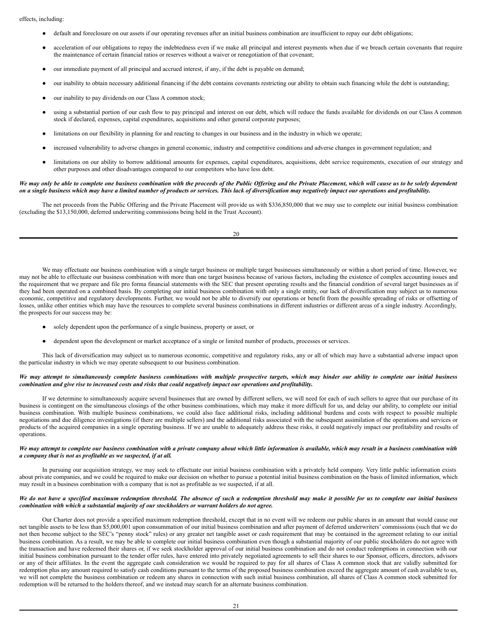effects, including:

- default and foreclosure on our assets if our operating revenues after an initial business combination are insufficient to repay our debt obligations;
- acceleration of our obligations to repay the indebtedness even if we make all principal and interest payments when due if we breach certain covenants that require the maintenance of certain financial ratios or reserves without a waiver or renegotiation of that covenant;
- our immediate payment of all principal and accrued interest, if any, if the debt is payable on demand;
- our inability to obtain necessary additional financing if the debt contains covenants restricting our ability to obtain such financing while the debt is outstanding;
- our inability to pay dividends on our Class A common stock;
- using a substantial portion of our cash flow to pay principal and interest on our debt, which will reduce the funds available for dividends on our Class A common stock if declared, expenses, capital expenditures, acquisitions and other general corporate purposes;
- limitations on our flexibility in planning for and reacting to changes in our business and in the industry in which we operate;
- increased vulnerability to adverse changes in general economic, industry and competitive conditions and adverse changes in government regulation; and
- limitations on our ability to borrow additional amounts for expenses, capital expenditures, acquisitions, debt service requirements, execution of our strategy and other purposes and other disadvantages compared to our competitors who have less debt.

## We may only be able to complete one business combination with the proceeds of the Public Offering and the Private Placement, which will cause us to be solely dependent on a single business which may have a limited number of products or services. This lack of diversification may negatively impact our operations and profitability.

The net proceeds from the Public Offering and the Private Placement will provide us with \$336,850,000 that we may use to complete our initial business combination (excluding the \$13,150,000, deferred underwriting commissions being held in the Trust Account).

We may effectuate our business combination with a single target business or multiple target businesses simultaneously or within a short period of time. However, we may not be able to effectuate our business combination with more than one target business because of various factors, including the existence of complex accounting issues and the requirement that we prepare and file pro forma financial statements with the SEC that present operating results and the financial condition of several target businesses as if they had been operated on a combined basis. By completing our initial business combination with only a single entity, our lack of diversification may subject us to numerous economic, competitive and regulatory developments. Further, we would not be able to diversify our operations or benefit from the possible spreading of risks or offsetting of losses, unlike other entities which may have the resources to complete several business combinations in different industries or different areas of a single industry. Accordingly, the prospects for our success may be:

- solely dependent upon the performance of a single business, property or asset, or
- dependent upon the development or market acceptance of a single or limited number of products, processes or services.

This lack of diversification may subject us to numerous economic, competitive and regulatory risks, any or all of which may have a substantial adverse impact upon the particular industry in which we may operate subsequent to our business combination.

#### We may attempt to simultaneously complete business combinations with multiple prospective targets, which may hinder our ability to complete our initial business combination and give rise to increased costs and risks that could negatively impact our operations and profitability.

If we determine to simultaneously acquire several businesses that are owned by different sellers, we will need for each of such sellers to agree that our purchase of its business is contingent on the simultaneous closings of the other business combinations, which may make it more difficult for us, and delay our ability, to complete our initial business combination. With multiple business combinations, we could also face additional risks, including additional burdens and costs with respect to possible multiple negotiations and due diligence investigations (if there are multiple sellers) and the additional risks associated with the subsequent assimilation of the operations and services or products of the acquired companies in a single operating business. If we are unable to adequately address these risks, it could negatively impact our profitability and results of operations.

#### We may attempt to complete our business combination with a private company about which little information is available, which may result in a business combination with *a company that is not as profitable as we suspected, if at all.*

In pursuing our acquisition strategy, we may seek to effectuate our initial business combination with a privately held company. Very little public information exists about private companies, and we could be required to make our decision on whether to pursue a potential initial business combination on the basis of limited information, which may result in a business combination with a company that is not as profitable as we suspected, if at all.

## We do not have a specified maximum redemption threshold. The absence of such a redemption threshold may make it possible for us to complete our initial business *combination with which a substantial majority of our stockholders or warrant holders do not agree.*

Our Charter does not provide a specified maximum redemption threshold, except that in no event will we redeem our public shares in an amount that would cause our net tangible assets to be less than \$5,000,001 upon consummation of our initial business combination and after payment of deferred underwriters' commissions (such that we do not then become subject to the SEC's "penny stock" rules) or any greater net tangible asset or cash requirement that may be contained in the agreement relating to our initial business combination. As a result, we may be able to complete our initial business combination even though a substantial majority of our public stockholders do not agree with the transaction and have redeemed their shares or, if we seek stockholder approval of our initial business combination and do not conduct redemptions in connection with our initial business combination pursuant to the tender offer rules, have entered into privately negotiated agreements to sell their shares to our Sponsor, officers, directors, advisors or any of their affiliates. In the event the aggregate cash consideration we would be required to pay for all shares of Class A common stock that are validly submitted for redemption plus any amount required to satisfy cash conditions pursuant to the terms of the proposed business combination exceed the aggregate amount of cash available to us, we will not complete the business combination or redeem any shares in connection with such initial business combination, all shares of Class A common stock submitted for redemption will be returned to the holders thereof, and we instead may search for an alternate business combination.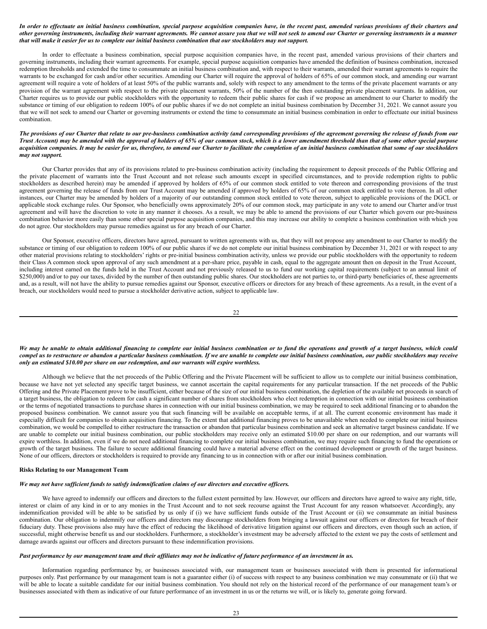### In order to effectuate an initial business combination, special purpose acquisition companies have, in the recent past, amended various provisions of their charters and other governing instruments, including their warrant agreements. We cannot assure you that we will not seek to amend our Charter or governing instruments in a manner that will make it easier for us to complete our initial business combination that our stockholders may not support.

In order to effectuate a business combination, special purpose acquisition companies have, in the recent past, amended various provisions of their charters and governing instruments, including their warrant agreements. For example, special purpose acquisition companies have amended the definition of business combination, increased redemption thresholds and extended the time to consummate an initial business combination and, with respect to their warrants, amended their warrant agreements to require the warrants to be exchanged for cash and/or other securities. Amending our Charter will require the approval of holders of 65% of our common stock, and amending our warrant agreement will require a vote of holders of at least 50% of the public warrants and, solely with respect to any amendment to the terms of the private placement warrants or any provision of the warrant agreement with respect to the private placement warrants, 50% of the number of the then outstanding private placement warrants. In addition, our Charter requires us to provide our public stockholders with the opportunity to redeem their public shares for cash if we propose an amendment to our Charter to modify the substance or timing of our obligation to redeem 100% of our public shares if we do not complete an initial business combination by December 31, 2021. We cannot assure you that we will not seek to amend our Charter or governing instruments or extend the time to consummate an initial business combination in order to effectuate our initial business combination.

#### The provisions of our Charter that relate to our pre-business combination activity (and corresponding provisions of the agreement governing the release of funds from our Trust Account) may be amended with the approval of holders of 65% of our common stock, which is a lower amendment threshold than that of some other special purpose acquisition companies. It may be easier for us, therefore, to amend our Charter to facilitate the completion of an initial business combination that some of our stockholders *may not support.*

Our Charter provides that any of its provisions related to pre-business combination activity (including the requirement to deposit proceeds of the Public Offering and the private placement of warrants into the Trust Account and not release such amounts except in specified circumstances, and to provide redemption rights to public stockholders as described herein) may be amended if approved by holders of 65% of our common stock entitled to vote thereon and corresponding provisions of the trust agreement governing the release of funds from our Trust Account may be amended if approved by holders of 65% of our common stock entitled to vote thereon. In all other instances, our Charter may be amended by holders of a majority of our outstanding common stock entitled to vote thereon, subject to applicable provisions of the DGCL or applicable stock exchange rules. Our Sponsor, who beneficially owns approximately 20% of our common stock, may participate in any vote to amend our Charter and/or trust agreement and will have the discretion to vote in any manner it chooses. As a result, we may be able to amend the provisions of our Charter which govern our pre-business combination behavior more easily than some other special purpose acquisition companies, and this may increase our ability to complete a business combination with which you do not agree. Our stockholders may pursue remedies against us for any breach of our Charter.

Our Sponsor, executive officers, directors have agreed, pursuant to written agreements with us, that they will not propose any amendment to our Charter to modify the substance or timing of our obligation to redeem 100% of our public shares if we do not complete our initial business combination by December 31, 2021 or with respect to any other material provisions relating to stockholders' rights or pre-initial business combination activity, unless we provide our public stockholders with the opportunity to redeem their Class A common stock upon approval of any such amendment at a per-share price, payable in cash, equal to the aggregate amount then on deposit in the Trust Account, including interest earned on the funds held in the Trust Account and not previously released to us to fund our working capital requirements (subject to an annual limit of \$250,000) and/or to pay our taxes, divided by the number of then outstanding public shares. Our stockholders are not parties to, or third-party beneficiaries of, these agreements and, as a result, will not have the ability to pursue remedies against our Sponsor, executive officers or directors for any breach of these agreements. As a result, in the event of a breach, our stockholders would need to pursue a stockholder derivative action, subject to applicable law.

22

## We may be unable to obtain additional financing to complete our initial business combination or to fund the operations and growth of a target business, which could compel us to restructure or abandon a particular business combination. If we are unable to complete our initial business combination, our public stockholders may receive *only an estimated \$10.00 per share on our redemption, and our warrants will expire worthless.*

Although we believe that the net proceeds of the Public Offering and the Private Placement will be sufficient to allow us to complete our initial business combination, because we have not yet selected any specific target business, we cannot ascertain the capital requirements for any particular transaction. If the net proceeds of the Public Offering and the Private Placement prove to be insufficient, either because of the size of our initial business combination, the depletion of the available net proceeds in search of a target business, the obligation to redeem for cash a significant number of shares from stockholders who elect redemption in connection with our initial business combination or the terms of negotiated transactions to purchase shares in connection with our initial business combination, we may be required to seek additional financing or to abandon the proposed business combination. We cannot assure you that such financing will be available on acceptable terms, if at all. The current economic environment has made it especially difficult for companies to obtain acquisition financing. To the extent that additional financing proves to be unavailable when needed to complete our initial business combination, we would be compelled to either restructure the transaction or abandon that particular business combination and seek an alternative target business candidate. If we are unable to complete our initial business combination, our public stockholders may receive only an estimated \$10.00 per share on our redemption, and our warrants will expire worthless. In addition, even if we do not need additional financing to complete our initial business combination, we may require such financing to fund the operations or growth of the target business. The failure to secure additional financing could have a material adverse effect on the continued development or growth of the target business. None of our officers, directors or stockholders is required to provide any financing to us in connection with or after our initial business combination.

# **Risks Relating to our Management Team**

### We may not have sufficient funds to satisfy indemnification claims of our directors and executive officers.

We have agreed to indemnify our officers and directors to the fullest extent permitted by law. However, our officers and directors have agreed to waive any right, title, interest or claim of any kind in or to any monies in the Trust Account and to not seek recourse against the Trust Account for any reason whatsoever. Accordingly, any indemnification provided will be able to be satisfied by us only if (i) we have sufficient funds outside of the Trust Account or (ii) we consummate an initial business combination. Our obligation to indemnify our officers and directors may discourage stockholders from bringing a lawsuit against our officers or directors for breach of their fiduciary duty. These provisions also may have the effect of reducing the likelihood of derivative litigation against our officers and directors, even though such an action, if successful, might otherwise benefit us and our stockholders. Furthermore, a stockholder's investment may be adversely affected to the extent we pay the costs of settlement and damage awards against our officers and directors pursuant to these indemnification provisions.

# Past performance by our management team and their affiliates may not be indicative of future performance of an investment in us.

Information regarding performance by, or businesses associated with, our management team or businesses associated with them is presented for informational purposes only. Past performance by our management team is not a guarantee either (i) of success with respect to any business combination we may consummate or (ii) that we will be able to locate a suitable candidate for our initial business combination. You should not rely on the historical record of the performance of our management team's or businesses associated with them as indicative of our future performance of an investment in us or the returns we will, or is likely to, generate going forward.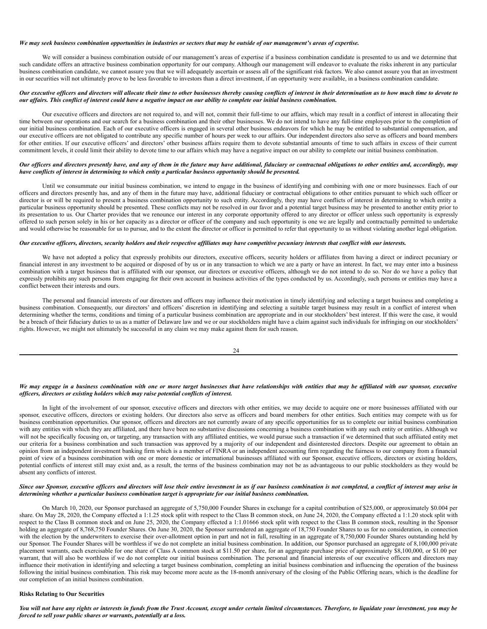#### We may seek business combination opportunities in industries or sectors that may be outside of our management's areas of expertise.

We will consider a business combination outside of our management's areas of expertise if a business combination candidate is presented to us and we determine that such candidate offers an attractive business combination opportunity for our company. Although our management will endeavor to evaluate the risks inherent in any particular business combination candidate, we cannot assure you that we will adequately ascertain or assess all of the significant risk factors. We also cannot assure you that an investment in our securities will not ultimately prove to be less favorable to investors than a direct investment, if an opportunity were available, in a business combination candidate.

# Our executive officers and directors will allocate their time to other businesses thereby causing conflicts of interest in their determination as to how much time to devote to our affairs. This conflict of interest could have a negative impact on our ability to complete our initial business combination.

Our executive officers and directors are not required to, and will not, commit their full-time to our affairs, which may result in a conflict of interest in allocating their time between our operations and our search for a business combination and their other businesses. We do not intend to have any full-time employees prior to the completion of our initial business combination. Each of our executive officers is engaged in several other business endeavors for which he may be entitled to substantial compensation, and our executive officers are not obligated to contribute any specific number of hours per week to our affairs. Our independent directors also serve as officers and board members for other entities. If our executive officers' and directors' other business affairs require them to devote substantial amounts of time to such affairs in excess of their current commitment levels, it could limit their ability to devote time to our affairs which may have a negative impact on our ability to complete our initial business combination.

## Our officers and directors presently have, and any of them in the future may have additional, fiduciary or contractual obligations to other entities and, accordingly, may *have conflicts of interest in determining to which entity a particular business opportunity should be presented.*

Until we consummate our initial business combination, we intend to engage in the business of identifying and combining with one or more businesses. Each of our officers and directors presently has, and any of them in the future may have, additional fiduciary or contractual obligations to other entities pursuant to which such officer or director is or will be required to present a business combination opportunity to such entity. Accordingly, they may have conflicts of interest in determining to which entity a particular business opportunity should be presented. These conflicts may not be resolved in our favor and a potential target business may be presented to another entity prior to its presentation to us. Our Charter provides that we renounce our interest in any corporate opportunity offered to any director or officer unless such opportunity is expressly offered to such person solely in his or her capacity as a director or officer of the company and such opportunity is one we are legally and contractually permitted to undertake and would otherwise be reasonable for us to pursue, and to the extent the director or officer is permitted to refer that opportunity to us without violating another legal obligation.

# Our executive officers, directors, security holders and their respective affiliates may have competitive pecuniary interests that conflict with our interests.

We have not adopted a policy that expressly prohibits our directors, executive officers, security holders or affiliates from having a direct or indirect pecuniary or financial interest in any investment to be acquired or disposed of by us or in any transaction to which we are a party or have an interest. In fact, we may enter into a business combination with a target business that is affiliated with our sponsor, our directors or executive officers, although we do not intend to do so. Nor do we have a policy that expressly prohibits any such persons from engaging for their own account in business activities of the types conducted by us. Accordingly, such persons or entities may have a conflict between their interests and ours.

The personal and financial interests of our directors and officers may influence their motivation in timely identifying and selecting a target business and completing a business combination. Consequently, our directors' and officers' discretion in identifying and selecting a suitable target business may result in a conflict of interest when determining whether the terms, conditions and timing of a particular business combination are appropriate and in our stockholders' best interest. If this were the case, it would be a breach of their fiduciary duties to us as a matter of Delaware law and we or our stockholders might have a claim against such individuals for infringing on our stockholders' rights. However, we might not ultimately be successful in any claim we may make against them for such reason.

| I |  |
|---|--|

### We may engage in a business combination with one or more target businesses that have relationships with entities that may be affiliated with our sponsor, executive *of icers, directors or existing holders which may raise potential conflicts of interest.*

In light of the involvement of our sponsor, executive officers and directors with other entities, we may decide to acquire one or more businesses affiliated with our sponsor, executive officers, directors or existing holders. Our directors also serve as officers and board members for other entities. Such entities may compete with us for business combination opportunities. Our sponsor, officers and directors are not currently aware of any specific opportunities for us to complete our initial business combination with any entities with which they are affiliated, and there have been no substantive discussions concerning a business combination with any such entity or entities. Although we will not be specifically focusing on, or targeting, any transaction with any affiliated entities, we would pursue such a transaction if we determined that such affiliated entity met our criteria for a business combination and such transaction was approved by a majority of our independent and disinterested directors. Despite our agreement to obtain an opinion from an independent investment banking firm which is a member of FINRA or an independent accounting firm regarding the fairness to our company from a financial point of view of a business combination with one or more domestic or international businesses affiliated with our Sponsor, executive officers, directors or existing holders, potential conflicts of interest still may exist and, as a result, the terms of the business combination may not be as advantageous to our public stockholders as they would be absent any conflicts of interest.

# Since our Sponsor, executive officers and directors will lose their entire investment in us if our business combination is not completed, a conflict of interest may arise in *determining whether a particular business combination target is appropriate for our initial business combination.*

On March 10, 2020, our Sponsor purchased an aggregate of 5,750,000 Founder Shares in exchange for a capital contribution of \$25,000, or approximately \$0.004 per share. On May 28, 2020, the Company effected a 1:1.25 stock split with respect to the Class B common stock, on June 24, 2020, the Company effected a 1:1.20 stock split with respect to the Class B common stock and on June 25, 2020, the Company effected a 1:1.01666 stock split with respect to the Class B common stock, resulting in the Sponsor holding an aggregate of 8,768,750 Founder Shares. On June 30, 2020, the Sponsor surrendered an aggregate of 18,750 Founder Shares to us for no consideration, in connection with the election by the underwriters to exercise their over-allotment option in part and not in full, resulting in an aggregate of 8,750,000 Founder Shares outstanding held by our Sponsor. The Founder Shares will be worthless if we do not complete an initial business combination. In addition, our Sponsor purchased an aggregate of 8,100,000 private placement warrants, each exercisable for one share of Class A common stock at \$11.50 per share, for an aggregate purchase price of approximately \$8,100,000, or \$1.00 per warrant, that will also be worthless if we do not complete our initial business combination. The personal and financial interests of our executive officers and directors may influence their motivation in identifying and selecting a target business combination, completing an initial business combination and influencing the operation of the business following the initial business combination. This risk may become more acute as the 18-month anniversary of the closing of the Public Offering nears, which is the deadline for our completion of an initial business combination.

# **Risks Relating to Our Securities**

You will not have any rights or interests in funds from the Trust Account, except under certain limited circumstances. Therefore, to liquidate your investment, you may be *forced to sell your public shares or warrants, potentially at a loss.*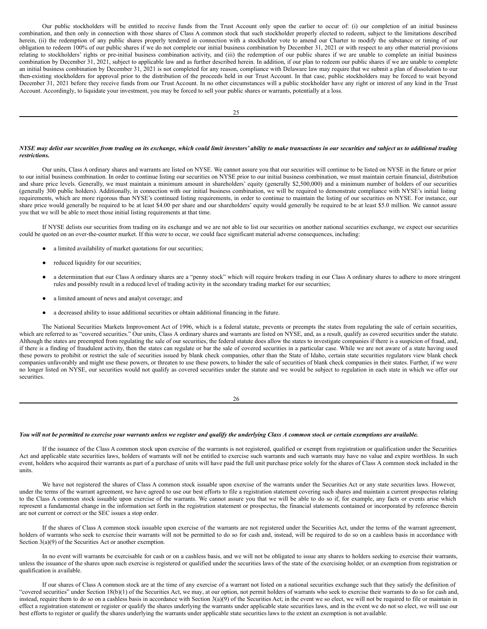Our public stockholders will be entitled to receive funds from the Trust Account only upon the earlier to occur of: (i) our completion of an initial business combination, and then only in connection with those shares of Class A common stock that such stockholder properly elected to redeem, subject to the limitations described herein, (ii) the redemption of any public shares properly tendered in connection with a stockholder vote to amend our Charter to modify the substance or timing of our obligation to redeem 100% of our public shares if we do not complete our initial business combination by December 31, 2021 or with respect to any other material provisions relating to stockholders' rights or pre-initial business combination activity, and (iii) the redemption of our public shares if we are unable to complete an initial business combination by December 31, 2021, subject to applicable law and as further described herein. In addition, if our plan to redeem our public shares if we are unable to complete an initial business combination by December 31, 2021 is not completed for any reason, compliance with Delaware law may require that we submit a plan of dissolution to our then-existing stockholders for approval prior to the distribution of the proceeds held in our Trust Account. In that case, public stockholders may be forced to wait beyond December 31, 2021 before they receive funds from our Trust Account. In no other circumstances will a public stockholder have any right or interest of any kind in the Trust Account. Accordingly, to liquidate your investment, you may be forced to sell your public shares or warrants, potentially at a loss.

#### NYSE may delist our securities from trading on its exchange, which could limit investors' ability to make transactions in our securities and subject us to additional trading *restrictions.*

Our units, Class A ordinary shares and warrants are listed on NYSE. We cannot assure you that our securities will continue to be listed on NYSE in the future or prior to our initial business combination. In order to continue listing our securities on NYSE prior to our initial business combination, we must maintain certain financial, distribution and share price levels. Generally, we must maintain a minimum amount in shareholders' equity (generally \$2,500,000) and a minimum number of holders of our securities (generally 300 public holders). Additionally, in connection with our initial business combination, we will be required to demonstrate compliance with NYSE's initial listing requirements, which are more rigorous than NYSE's continued listing requirements, in order to continue to maintain the listing of our securities on NYSE. For instance, our share price would generally be required to be at least \$4.00 per share and our shareholders' equity would generally be required to be at least \$5.0 million. We cannot assure you that we will be able to meet those initial listing requirements at that time.

If NYSE delists our securities from trading on its exchange and we are not able to list our securities on another national securities exchange, we expect our securities could be quoted on an over-the-counter market. If this were to occur, we could face significant material adverse consequences, including:

- a limited availability of market quotations for our securities;
- reduced liquidity for our securities;
- a determination that our Class A ordinary shares are a "penny stock" which will require brokers trading in our Class A ordinary shares to adhere to more stringent rules and possibly result in a reduced level of trading activity in the secondary trading market for our securities;
- a limited amount of news and analyst coverage; and
- a decreased ability to issue additional securities or obtain additional financing in the future.

The National Securities Markets Improvement Act of 1996, which is a federal statute, prevents or preempts the states from regulating the sale of certain securities, which are referred to as "covered securities." Our units, Class A ordinary shares and warrants are listed on NYSE, and, as a result, qualify as covered securities under the statute. Although the states are preempted from regulating the sale of our securities, the federal statute does allow the states to investigate companies if there is a suspicion of fraud, and, if there is a finding of fraudulent activity, then the states can regulate or bar the sale of covered securities in a particular case. While we are not aware of a state having used these powers to prohibit or restrict the sale of securities issued by blank check companies, other than the State of Idaho, certain state securities regulators view blank check companies unfavorably and might use these powers, or threaten to use these powers, to hinder the sale of securities of blank check companies in their states. Further, if we were no longer listed on NYSE, our securities would not qualify as covered securities under the statute and we would be subject to regulation in each state in which we offer our securities.

26

# You will not be permitted to exercise your warrants unless we register and qualify the underlying Class A common stock or certain exemptions are available.

If the issuance of the Class A common stock upon exercise of the warrants is not registered, qualified or exempt from registration or qualification under the Securities Act and applicable state securities laws, holders of warrants will not be entitled to exercise such warrants and such warrants may have no value and expire worthless. In such event, holders who acquired their warrants as part of a purchase of units will have paid the full unit purchase price solely for the shares of Class A common stock included in the units.

We have not registered the shares of Class A common stock issuable upon exercise of the warrants under the Securities Act or any state securities laws. However, under the terms of the warrant agreement, we have agreed to use our best efforts to file a registration statement covering such shares and maintain a current prospectus relating to the Class A common stock issuable upon exercise of the warrants. We cannot assure you that we will be able to do so if, for example, any facts or events arise which represent a fundamental change in the information set forth in the registration statement or prospectus, the financial statements contained or incorporated by reference therein are not current or correct or the SEC issues a stop order.

If the shares of Class A common stock issuable upon exercise of the warrants are not registered under the Securities Act, under the terms of the warrant agreement, holders of warrants who seek to exercise their warrants will not be permitted to do so for cash and, instead, will be required to do so on a cashless basis in accordance with Section 3(a)(9) of the Securities Act or another exemption.

In no event will warrants be exercisable for cash or on a cashless basis, and we will not be obligated to issue any shares to holders seeking to exercise their warrants, unless the issuance of the shares upon such exercise is registered or qualified under the securities laws of the state of the exercising holder, or an exemption from registration or qualification is available.

If our shares of Class A common stock are at the time of any exercise of a warrant not listed on a national securities exchange such that they satisfy the definition of "covered securities" under Section 18(b)(1) of the Securities Act, we may, at our option, not permit holders of warrants who seek to exercise their warrants to do so for cash and, instead, require them to do so on a cashless basis in accordance with Section 3(a)(9) of the Securities Act; in the event we so elect, we will not be required to file or maintain in effect a registration statement or register or qualify the shares underlying the warrants under applicable state securities laws, and in the event we do not so elect, we will use our best efforts to register or qualify the shares underlying the warrants under applicable state securities laws to the extent an exemption is not available.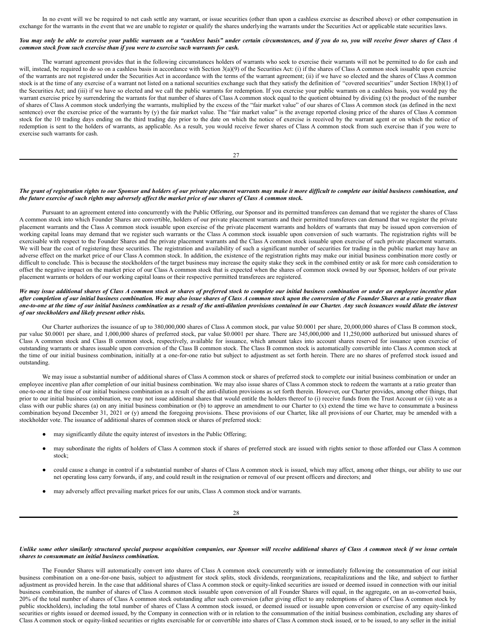In no event will we be required to net cash settle any warrant, or issue securities (other than upon a cashless exercise as described above) or other compensation in exchange for the warrants in the event that we are unable to register or qualify the shares underlying the warrants under the Securities Act or applicable state securities laws.

# You may only be able to exercise your public warrants on a "cashless basis" under certain circumstances, and if you do so, you will receive fewer shares of Class A *common stock from such exercise than if you were to exercise such warrants for cash.*

The warrant agreement provides that in the following circumstances holders of warrants who seek to exercise their warrants will not be permitted to do for cash and will, instead, be required to do so on a cashless basis in accordance with Section 3(a)(9) of the Securities Act: (i) if the shares of Class A common stock issuable upon exercise of the warrants are not registered under the Securities Act in accordance with the terms of the warrant agreement; (ii) if we have so elected and the shares of Class A common stock is at the time of any exercise of a warrant not listed on a national securities exchange such that they satisfy the definition of "covered securities" under Section 18(b)(1) of the Securities Act; and (iii) if we have so elected and we call the public warrants for redemption. If you exercise your public warrants on a cashless basis, you would pay the warrant exercise price by surrendering the warrants for that number of shares of Class A common stock equal to the quotient obtained by dividing (x) the product of the number of shares of Class A common stock underlying the warrants, multiplied by the excess of the "fair market value" of our shares of Class A common stock (as defined in the next sentence) over the exercise price of the warrants by (y) the fair market value. The "fair market value" is the average reported closing price of the shares of Class A common stock for the 10 trading days ending on the third trading day prior to the date on which the notice of exercise is received by the warrant agent or on which the notice of redemption is sent to the holders of warrants, as applicable. As a result, you would receive fewer shares of Class A common stock from such exercise than if you were to exercise such warrants for cash.

27

# The grant of registration rights to our Sponsor and holders of our private placement warrants may make it more difficult to complete our initial business combination, and the future exercise of such rights may adversely affect the market price of our shares of Class A common stock.

Pursuant to an agreement entered into concurrently with the Public Offering, our Sponsor and its permitted transferees can demand that we register the shares of Class A common stock into which Founder Shares are convertible, holders of our private placement warrants and their permitted transferees can demand that we register the private placement warrants and the Class A common stock issuable upon exercise of the private placement warrants and holders of warrants that may be issued upon conversion of working capital loans may demand that we register such warrants or the Class A common stock issuable upon conversion of such warrants. The registration rights will be exercisable with respect to the Founder Shares and the private placement warrants and the Class A common stock issuable upon exercise of such private placement warrants. We will bear the cost of registering these securities. The registration and availability of such a significant number of securities for trading in the public market may have an adverse effect on the market price of our Class A common stock. In addition, the existence of the registration rights may make our initial business combination more costly or difficult to conclude. This is because the stockholders of the target business may increase the equity stake they seek in the combined entity or ask for more cash consideration to offset the negative impact on the market price of our Class A common stock that is expected when the shares of common stock owned by our Sponsor, holders of our private placement warrants or holders of our working capital loans or their respective permitted transferees are registered.

# We may issue additional shares of Class A common stock or shares of preferred stock to complete our initial business combination or under an employee incentive plan after completion of our initial business combination. We may also issue shares of Class A common stock upon the conversion of the Founder Shares at a ratio greater than one-to-one at the time of our initial business combination as a result of the anti-dilution provisions contained in our Charter. Any such issuances would dilute the interest *of our stockholders and likely present other risks.*

Our Charter authorizes the issuance of up to 380,000,000 shares of Class A common stock, par value \$0.0001 per share, 20,000,000 shares of Class B common stock, par value \$0,0001 per share, and 1,000,000 shares of preferred stock, par value \$0,0001 per share. There are 345,000,000 and 11,250,000 authorized but unissued shares of Class A common stock and Class B common stock, respectively, available for issuance, which amount takes into account shares reserved for issuance upon exercise of outstanding warrants or shares issuable upon conversion of the Class B common stock. The Class B common stock is automatically convertible into Class A common stock at the time of our initial business combination, initially at a one-for-one ratio but subject to adjustment as set forth herein. There are no shares of preferred stock issued and outstanding.

We may issue a substantial number of additional shares of Class A common stock or shares of preferred stock to complete our initial business combination or under an employee incentive plan after completion of our initial business combination. We may also issue shares of Class A common stock to redeem the warrants at a ratio greater than one-to-one at the time of our initial business combination as a result of the anti-dilution provisions as set forth therein. However, our Charter provides, among other things, that prior to our initial business combination, we may not issue additional shares that would entitle the holders thereof to (i) receive funds from the Trust Account or (ii) vote as a class with our public shares (a) on any initial business combination or (b) to approve an amendment to our Charter to  $(x)$  extend the time we have to consummate a business combination beyond December 31, 2021 or (y) amend the foregoing provisions. These provisions of our Charter, like all provisions of our Charter, may be amended with a stockholder vote. The issuance of additional shares of common stock or shares of preferred stock:

- may significantly dilute the equity interest of investors in the Public Offering;
- may subordinate the rights of holders of Class A common stock if shares of preferred stock are issued with rights senior to those afforded our Class A common stock;
- could cause a change in control if a substantial number of shares of Class A common stock is issued, which may affect, among other things, our ability to use our net operating loss carry forwards, if any, and could result in the resignation or removal of our present officers and directors; and
- may adversely affect prevailing market prices for our units, Class A common stock and/or warrants.

## Unlike some other similarly structured special purpose acquisition companies, our Sponsor will receive additional shares of Class A common stock if we issue certain *shares to consummate an initial business combination.*

The Founder Shares will automatically convert into shares of Class A common stock concurrently with or immediately following the consummation of our initial business combination on a one-for-one basis, subject to adjustment for stock splits, stock dividends, reorganizations, recapitalizations and the like, and subject to further adjustment as provided herein. In the case that additional shares of Class A common stock or equity-linked securities are issued or deemed issued in connection with our initial business combination, the number of shares of Class A common stock issuable upon conversion of all Founder Shares will equal, in the aggregate, on an as-converted basis, 20% of the total number of shares of Class A common stock outstanding after such conversion (after giving effect to any redemptions of shares of Class A common stock by public stockholders), including the total number of shares of Class A common stock issued, or deemed issued or issuable upon conversion or exercise of any equity-linked securities or rights issued or deemed issued, by the Company in connection with or in relation to the consummation of the initial business combination, excluding any shares of Class A common stock or equity-linked securities or rights exercisable for or convertible into shares of Class A common stock issued, or to be issued, to any seller in the initial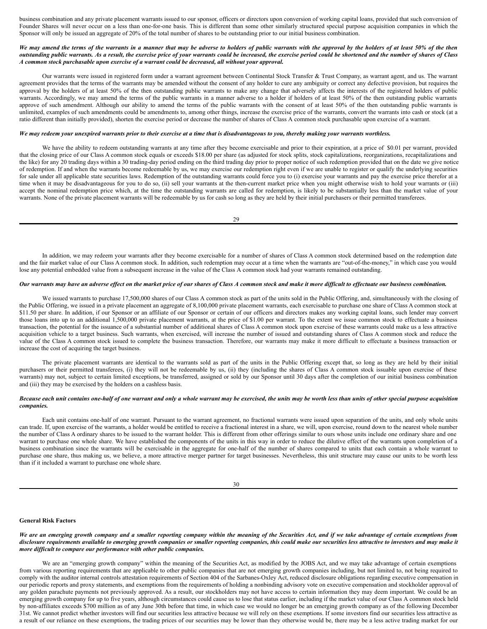business combination and any private placement warrants issued to our sponsor, officers or directors upon conversion of working capital loans, provided that such conversion of Founder Shares will never occur on a less than one-for-one basis. This is different than some other similarly structured special purpose acquisition companies in which the Sponsor will only be issued an aggregate of 20% of the total number of shares to be outstanding prior to our initial business combination.

# We may amend the terms of the warrants in a manner that may be adverse to holders of public warrants with the approval by the holders of at least 50% of the then outstanding public warrants. As a result, the exercise price of your warrants could be increased, the exercise period could be shortened and the number of shares of Class *A common stock purchasable upon exercise of a warrant could be decreased, all without your approval.*

Our warrants were issued in registered form under a warrant agreement between Continental Stock Transfer & Trust Company, as warrant agent, and us. The warrant agreement provides that the terms of the warrants may be amended without the consent of any holder to cure any ambiguity or correct any defective provision, but requires the approval by the holders of at least 50% of the then outstanding public warrants to make any change that adversely affects the interests of the registered holders of public warrants. Accordingly, we may amend the terms of the public warrants in a manner adverse to a holder if holders of at least 50% of the then outstanding public warrants approve of such amendment. Although our ability to amend the terms of the public warrants with the consent of at least 50% of the then outstanding public warrants is unlimited, examples of such amendments could be amendments to, among other things, increase the exercise price of the warrants, convert the warrants into cash or stock (at a ratio different than initially provided), shorten the exercise period or decrease the number of shares of Class A common stock purchasable upon exercise of a warrant.

#### We may redeem your unexpired warrants prior to their exercise at a time that is disadvantageous to you, thereby making your warrants worthless.

We have the ability to redeem outstanding warrants at any time after they become exercisable and prior to their expiration, at a price of \$0.01 per warrant, provided that the closing price of our Class A common stock equals or exceeds \$18.00 per share (as adjusted for stock splits, stock capitalizations, reorganizations, recapitalizations and the like) for any 20 trading days within a 30 trading-day period ending on the third trading day prior to proper notice of such redemption provided that on the date we give notice of redemption. If and when the warrants become redeemable by us, we may exercise our redemption right even if we are unable to register or qualify the underlying securities for sale under all applicable state securities laws. Redemption of the outstanding warrants could force you to (i) exercise your warrants and pay the exercise price therefor at a time when it may be disadvantageous for you to do so, (ii) sell your warrants at the then-current market price when you might otherwise wish to hold your warrants or (iii) accept the nominal redemption price which, at the time the outstanding warrants are called for redemption, is likely to be substantially less than the market value of your warrants. None of the private placement warrants will be redeemable by us for cash so long as they are held by their initial purchasers or their permitted transferees.

29

In addition, we may redeem your warrants after they become exercisable for a number of shares of Class A common stock determined based on the redemption date and the fair market value of our Class A common stock. In addition, such redemption may occur at a time when the warrants are "out-of-the-money," in which case you would lose any potential embedded value from a subsequent increase in the value of the Class A common stock had your warrants remained outstanding.

# Our warrants may have an adverse effect on the market price of our shares of Class A common stock and make it more difficult to effectuate our business combination.

We issued warrants to purchase 17,500,000 shares of our Class A common stock as part of the units sold in the Public Offering, and, simultaneously with the closing of the Public Offering, we issued in a private placement an aggregate of 8,100,000 private placement warrants, each exercisable to purchase one share of Class A common stock at \$11.50 per share. In addition, if our Sponsor or an affiliate of our Sponsor or certain of our officers and directors makes any working capital loans, such lender may convert those loans into up to an additional 1,500,000 private placement warrants, at the price of \$1.00 per warrant. To the extent we issue common stock to effectuate a business transaction, the potential for the issuance of a substantial number of additional shares of Class A common stock upon exercise of these warrants could make us a less attractive acquisition vehicle to a target business. Such warrants, when exercised, will increase the number of issued and outstanding shares of Class A common stock and reduce the value of the Class A common stock issued to complete the business transaction. Therefore, our warrants may make it more difficult to effectuate a business transaction or increase the cost of acquiring the target business.

The private placement warrants are identical to the warrants sold as part of the units in the Public Offering except that, so long as they are held by their initial purchasers or their permitted transferees, (i) they will not be redeemable by us, (ii) they (including the shares of Class A common stock issuable upon exercise of these warrants) may not, subject to certain limited exceptions, be transferred, assigned or sold by our Sponsor until 30 days after the completion of our initial business combination and (iii) they may be exercised by the holders on a cashless basis.

# Because each unit contains one-half of one warrant and only a whole warrant may be exercised, the units may be worth less than units of other special purpose acquisition *companies.*

Each unit contains one-half of one warrant. Pursuant to the warrant agreement, no fractional warrants were issued upon separation of the units, and only whole units can trade. If, upon exercise of the warrants, a holder would be entitled to receive a fractional interest in a share, we will, upon exercise, round down to the nearest whole number the number of Class A ordinary shares to be issued to the warrant holder. This is different from other offerings similar to ours whose units include one ordinary share and one warrant to purchase one whole share. We have established the components of the units in this way in order to reduce the dilutive effect of the warrants upon completion of a business combination since the warrants will be exercisable in the aggregate for one-half of the number of shares compared to units that each contain a whole warrant to purchase one share, thus making us, we believe, a more attractive merger partner for target businesses. Nevertheless, this unit structure may cause our units to be worth less than if it included a warrant to purchase one whole share.

30

# **General Risk Factors**

We are an emerging growth company and a smaller reporting company within the meaning of the Securities Act, and if we take advantage of certain exemptions from disclosure requirements available to emerging growth companies or smaller reporting companies, this could make our securities less attractive to investors and may make it *more dif icult to compare our performance with other public companies.*

We are an "emerging growth company" within the meaning of the Securities Act, as modified by the JOBS Act, and we may take advantage of certain exemptions from various reporting requirements that are applicable to other public companies that are not emerging growth companies including, but not limited to, not being required to comply with the auditor internal controls attestation requirements of Section 404 of the Sarbanes-Oxley Act, reduced disclosure obligations regarding executive compensation in our periodic reports and proxy statements, and exemptions from the requirements of holding a nonbinding advisory vote on executive compensation and stockholder approval of any golden parachute payments not previously approved. As a result, our stockholders may not have access to certain information they may deem important. We could be an emerging growth company for up to five years, although circumstances could cause us to lose that status earlier, including if the market value of our Class A common stock held by non-affiliates exceeds \$700 million as of any June 30th before that time, in which case we would no longer be an emerging growth company as of the following December 31st. We cannot predict whether investors will find our securities less attractive because we will rely on these exemptions. If some investors find our securities less attractive as a result of our reliance on these exemptions, the trading prices of our securities may be lower than they otherwise would be, there may be a less active trading market for our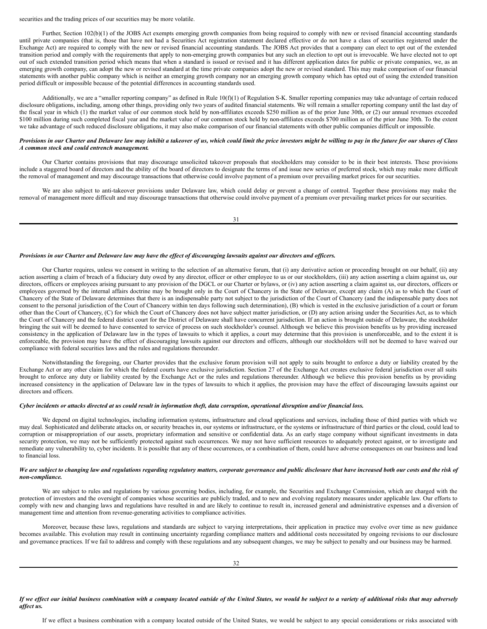securities and the trading prices of our securities may be more volatile.

Further, Section 102(b)(1) of the JOBS Act exempts emerging growth companies from being required to comply with new or revised financial accounting standards until private companies (that is, those that have not had a Securities Act registration statement declared effective or do not have a class of securities registered under the Exchange Act) are required to comply with the new or revised financial accounting standards. The JOBS Act provides that a company can elect to opt out of the extended transition period and comply with the requirements that apply to non-emerging growth companies but any such an election to opt out is irrevocable. We have elected not to opt out of such extended transition period which means that when a standard is issued or revised and it has different application dates for public or private companies, we, as an emerging growth company, can adopt the new or revised standard at the time private companies adopt the new or revised standard. This may make comparison of our financial statements with another public company which is neither an emerging growth company nor an emerging growth company which has opted out of using the extended transition period difficult or impossible because of the potential differences in accounting standards used.

Additionally, we are a "smaller reporting company" as defined in Rule 10(f)(1) of Regulation S-K. Smaller reporting companies may take advantage of certain reduced disclosure obligations, including, among other things, providing only two years of audited financial statements. We will remain a smaller reporting company until the last day of the fiscal year in which (1) the market value of our common stock held by non-affiliates exceeds \$250 million as of the prior June 30th, or (2) our annual revenues exceeded \$100 million during such completed fiscal year and the market value of our common stock held by non-affiliates exceeds \$700 million as of the prior June 30th. To the extent we take advantage of such reduced disclosure obligations, it may also make comparison of our financial statements with other public companies difficult or impossible.

### Provisions in our Charter and Delaware law may inhibit a takeover of us, which could limit the price investors might be willing to pay in the future for our shares of Class *A common stock and could entrench management.*

Our Charter contains provisions that may discourage unsolicited takeover proposals that stockholders may consider to be in their best interests. These provisions include a staggered board of directors and the ability of the board of directors to designate the terms of and issue new series of preferred stock, which may make more difficult the removal of management and may discourage transactions that otherwise could involve payment of a premium over prevailing market prices for our securities.

We are also subject to anti-takeover provisions under Delaware law, which could delay or prevent a change of control. Together these provisions may make the removal of management more difficult and may discourage transactions that otherwise could involve payment of a premium over prevailing market prices for our securities.

31

#### Provisions in our Charter and Delaware law may have the effect of discouraging lawsuits against our directors and officers.

Our Charter requires, unless we consent in writing to the selection of an alternative forum, that (i) any derivative action or proceeding brought on our behalf, (ii) any action asserting a claim of breach of a fiduciary duty owed by any director, officer or other employee to us or our stockholders, (iii) any action asserting a claim against us, our directors, officers or employees arising pursuant to any provision of the DGCL or our Charter or bylaws, or (iv) any action asserting a claim against us, our directors, officers or employees governed by the internal affairs doctrine may be brought only in the Court of Chancery in the State of Delaware, except any claim (A) as to which the Court of Chancery of the State of Delaware determines that there is an indispensable party not subject to the jurisdiction of the Court of Chancery (and the indispensable party does not consent to the personal jurisdiction of the Court of Chancery within ten days following such determination), (B) which is vested in the exclusive jurisdiction of a court or forum other than the Court of Chancery, (C) for which the Court of Chancery does not have subject matter jurisdiction, or (D) any action arising under the Securities Act, as to which the Court of Chancery and the federal district court for the District of Delaware shall have concurrent jurisdiction. If an action is brought outside of Delaware, the stockholder bringing the suit will be deemed to have consented to service of process on such stockholder's counsel. Although we believe this provision benefits us by providing increased consistency in the application of Delaware law in the types of lawsuits to which it applies, a court may determine that this provision is unenforceable, and to the extent it is enforceable, the provision may have the effect of discouraging lawsuits against our directors and officers, although our stockholders will not be deemed to have waived our compliance with federal securities laws and the rules and regulations thereunder.

Notwithstanding the foregoing, our Charter provides that the exclusive forum provision will not apply to suits brought to enforce a duty or liability created by the Exchange Act or any other claim for which the federal courts have exclusive jurisdiction. Section 27 of the Exchange Act creates exclusive federal jurisdiction over all suits brought to enforce any duty or liability created by the Exchange Act or the rules and regulations thereunder. Although we believe this provision benefits us by providing increased consistency in the application of Delaware law in the types of lawsuits to which it applies, the provision may have the effect of discouraging lawsuits against our directors and officers.

# Cyber incidents or attacks directed at us could result in information theft, data corruption, operational disruption and/or financial loss.

We depend on digital technologies, including information systems, infrastructure and cloud applications and services, including those of third parties with which we may deal. Sophisticated and deliberate attacks on, or security breaches in, our systems or infrastructure, or the systems or infrastructure of third parties or the cloud, could lead to corruption or misappropriation of our assets, proprietary information and sensitive or confidential data. As an early stage company without significant investments in data security protection, we may not be sufficiently protected against such occurrences. We may not have sufficient resources to adequately protect against, or to investigate and remediate any vulnerability to, cyber incidents. It is possible that any of these occurrences, or a combination of them, could have adverse consequences on our business and lead to financial loss.

# We are subject to changing law and regulations regarding regulatory matters, corporate governance and public disclosure that have increased both our costs and the risk of *non-compliance.*

We are subject to rules and regulations by various governing bodies, including, for example, the Securities and Exchange Commission, which are charged with the protection of investors and the oversight of companies whose securities are publicly traded, and to new and evolving regulatory measures under applicable law. Our efforts to comply with new and changing laws and regulations have resulted in and are likely to continue to result in, increased general and administrative expenses and a diversion of management time and attention from revenue-generating activities to compliance activities.

Moreover, because these laws, regulations and standards are subject to varying interpretations, their application in practice may evolve over time as new guidance becomes available. This evolution may result in continuing uncertainty regarding compliance matters and additional costs necessitated by ongoing revisions to our disclosure and governance practices. If we fail to address and comply with these regulations and any subsequent changes, we may be subject to penalty and our business may be harmed.

If we effect our initial business combination with a company located outside of the United States, we would be subject to a variety of additional risks that may adversely *af ect us.*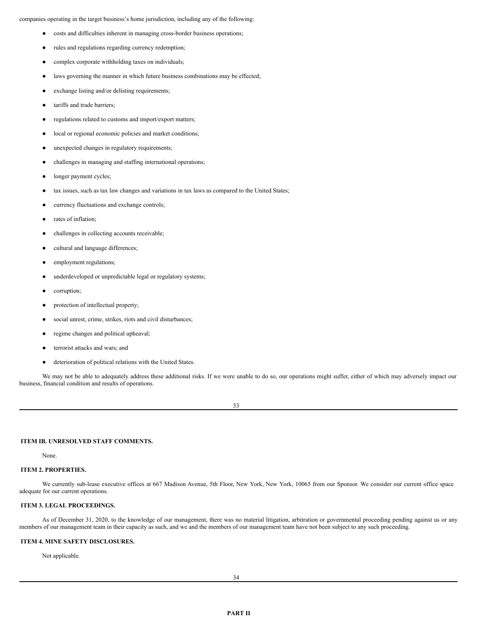companies operating in the target business's home jurisdiction, including any of the following:

- costs and difficulties inherent in managing cross-border business operations;
- rules and regulations regarding currency redemption;
- complex corporate withholding taxes on individuals;
- laws governing the manner in which future business combinations may be effected;
- exchange listing and/or delisting requirements;
- tariffs and trade barriers;
- regulations related to customs and import/export matters;
- local or regional economic policies and market conditions;
- unexpected changes in regulatory requirements;
- challenges in managing and staffing international operations;
- longer payment cycles;
- tax issues, such as tax law changes and variations in tax laws as compared to the United States;
- currency fluctuations and exchange controls;
- rates of inflation;
- challenges in collecting accounts receivable;
- cultural and language differences;
- employment regulations;
- underdeveloped or unpredictable legal or regulatory systems;
- corruption;
- protection of intellectual property;
- social unrest, crime, strikes, riots and civil disturbances;
- regime changes and political upheaval;
- terrorist attacks and wars; and
- deterioration of political relations with the United States.

We may not be able to adequately address these additional risks. If we were unable to do so, our operations might suffer, either of which may adversely impact our business, financial condition and results of operations.

33

# <span id="page-21-0"></span>**ITEM IB. UNRESOLVED STAFF COMMENTS.**

None.

# <span id="page-21-1"></span>**ITEM 2. PROPERTIES.**

We currently sub-lease executive offices at 667 Madison Avenue, 5th Floor, New York, New York, 10065 from our Sponsor. We consider our current office space adequate for our current operations.

# <span id="page-21-2"></span>**ITEM 3. LEGAL PROCEEDINGS.**

As of December 31, 2020, to the knowledge of our management, there was no material litigation, arbitration or governmental proceeding pending against us or any members of our management team in their capacity as such, and we and the members of our management team have not been subject to any such proceeding.

# <span id="page-21-3"></span>**ITEM 4. MINE SAFETY DISCLOSURES.**

Not applicable.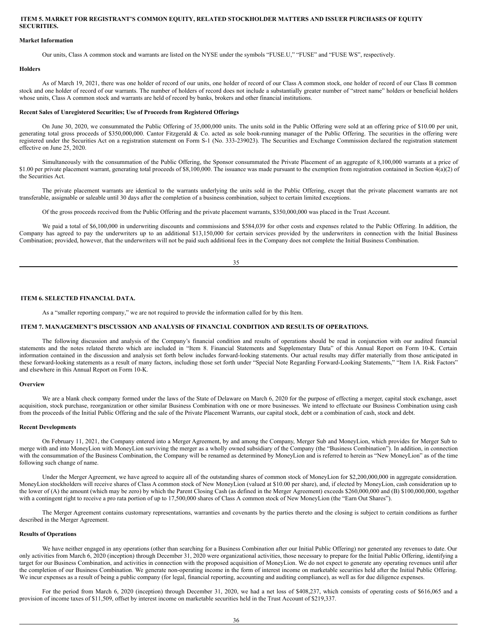# <span id="page-22-0"></span>**ITEM 5. MARKET FOR REGISTRANT'S COMMON EQUITY, RELATED STOCKHOLDER MATTERS AND ISSUER PURCHASES OF EQUITY SECURITIES.**

# **Market Information**

Our units, Class A common stock and warrants are listed on the NYSE under the symbols "FUSE.U," "FUSE" and "FUSE WS", respectively.

### **Holders**

As of March 19, 2021, there was one holder of record of our units, one holder of record of our Class A common stock, one holder of record of our Class B common stock and one holder of record of our warrants. The number of holders of record does not include a substantially greater number of "street name" holders or beneficial holders whose units, Class A common stock and warrants are held of record by banks, brokers and other financial institutions.

### **Recent Sales of Unregistered Securities; Use of Proceeds from Registered Offerings**

On June 30, 2020, we consummated the Public Offering of 35,000,000 units. The units sold in the Public Offering were sold at an offering price of \$10.00 per unit, generating total gross proceeds of \$350,000,000. Cantor Fitzgerald & Co. acted as sole book-running manager of the Public Offering. The securities in the offering were registered under the Securities Act on a registration statement on Form S-1 (No. 333-239023). The Securities and Exchange Commission declared the registration statement effective on June 25, 2020.

Simultaneously with the consummation of the Public Offering, the Sponsor consummated the Private Placement of an aggregate of 8,100,000 warrants at a price of \$1.00 per private placement warrant, generating total proceeds of \$8,100,000. The issuance was made pursuant to the exemption from registration contained in Section 4(a)(2) of the Securities Act.

The private placement warrants are identical to the warrants underlying the units sold in the Public Offering, except that the private placement warrants are not transferable, assignable or saleable until 30 days after the completion of a business combination, subject to certain limited exceptions.

Of the gross proceeds received from the Public Offering and the private placement warrants, \$350,000,000 was placed in the Trust Account.

We paid a total of \$6,100,000 in underwriting discounts and commissions and \$584,039 for other costs and expenses related to the Public Offering. In addition, the Company has agreed to pay the underwriters up to an additional \$13,150,000 for certain services provided by the underwriters in connection with the Initial Business Combination; provided, however, that the underwriters will not be paid such additional fees in the Company does not complete the Initial Business Combination.

35

# <span id="page-22-1"></span>**ITEM 6. SELECTED FINANCIAL DATA.**

As a "smaller reporting company," we are not required to provide the information called for by this Item.

# <span id="page-22-2"></span>**ITEM 7. MANAGEMENT'S DISCUSSION AND ANALYSIS OF FINANCIAL CONDITION AND RESULTS OF OPERATIONS.**

The following discussion and analysis of the Company's financial condition and results of operations should be read in conjunction with our audited financial statements and the notes related thereto which are included in "Item 8. Financial Statements and Supplementary Data" of this Annual Report on Form 10-K. Certain information contained in the discussion and analysis set forth below includes forward-looking statements. Our actual results may differ materially from those anticipated in these forward-looking statements as a result of many factors, including those set forth under "Special Note Regarding Forward-Looking Statements," "Item 1A. Risk Factors" and elsewhere in this Annual Report on Form 10-K.

#### **Overview**

We are a blank check company formed under the laws of the State of Delaware on March 6, 2020 for the purpose of effecting a merger, capital stock exchange, asset acquisition, stock purchase, reorganization or other similar Business Combination with one or more businesses. We intend to effectuate our Business Combination using cash from the proceeds of the Initial Public Offering and the sale of the Private Placement Warrants, our capital stock, debt or a combination of cash, stock and debt.

# **Recent Developments**

On February 11, 2021, the Company entered into a Merger Agreement, by and among the Company, Merger Sub and MoneyLion, which provides for Merger Sub to merge with and into MoneyLion with MoneyLion surviving the merger as a wholly owned subsidiary of the Company (the "Business Combination"). In addition, in connection with the consummation of the Business Combination, the Company will be renamed as determined by MoneyLion and is referred to herein as "New MoneyLion" as of the time following such change of name.

Under the Merger Agreement, we have agreed to acquire all of the outstanding shares of common stock of MoneyLion for \$2,200,000,000 in aggregate consideration. MoneyLion stockholders will receive shares of Class A common stock of New MoneyLion (valued at \$10.00 per share), and, if elected by MoneyLion, cash consideration up to the lower of (A) the amount (which may be zero) by which the Parent Closing Cash (as defined in the Merger Agreement) exceeds \$260,000,000 and (B) \$100,000,000, together with a contingent right to receive a pro rata portion of up to 17,500,000 shares of Class A common stock of New MoneyLion (the "Earn Out Shares").

The Merger Agreement contains customary representations, warranties and covenants by the parties thereto and the closing is subject to certain conditions as further described in the Merger Agreement.

#### **Results of Operations**

We have neither engaged in any operations (other than searching for a Business Combination after our Initial Public Offering) nor generated any revenues to date. Our only activities from March 6, 2020 (inception) through December 31, 2020 were organizational activities, those necessary to prepare for the Initial Public Offering, identifying a target for our Business Combination, and activities in connection with the proposed acquisition of MoneyLion. We do not expect to generate any operating revenues until after the completion of our Business Combination. We generate non-operating income in the form of interest income on marketable securities held after the Initial Public Offering. We incur expenses as a result of being a public company (for legal, financial reporting, accounting and auditing compliance), as well as for due diligence expenses.

For the period from March 6, 2020 (inception) through December 31, 2020, we had a net loss of \$408,237, which consists of operating costs of \$616,065 and a provision of income taxes of \$11,509, offset by interest income on marketable securities held in the Trust Account of \$219,337.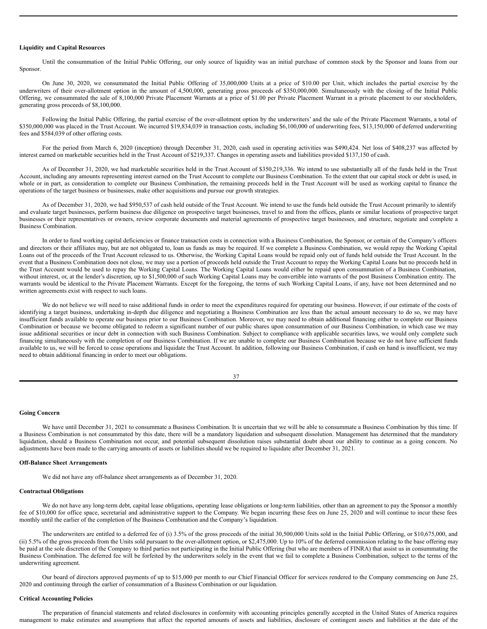### **Liquidity and Capital Resources**

Until the consummation of the Initial Public Offering, our only source of liquidity was an initial purchase of common stock by the Sponsor and loans from our Sponsor.

On June 30, 2020, we consummated the Initial Public Offering of 35,000,000 Units at a price of \$10.00 per Unit, which includes the partial exercise by the underwriters of their over-allotment option in the amount of 4,500,000, generating gross proceeds of \$350,000,000. Simultaneously with the closing of the Initial Public Offering, we consummated the sale of 8,100,000 Private Placement Warrants at a price of \$1.00 per Private Placement Warrant in a private placement to our stockholders, generating gross proceeds of \$8,100,000.

Following the Initial Public Offering, the partial exercise of the over-allotment option by the underwriters' and the sale of the Private Placement Warrants, a total of \$350,000,000 was placed in the Trust Account. We incurred \$19,834,039 in transaction costs, including \$6,100,000 of underwriting fees, \$13,150,000 of deferred underwriting fees and \$584,039 of other offering costs.

For the period from March 6, 2020 (inception) through December 31, 2020, cash used in operating activities was \$490,424. Net loss of \$408,237 was affected by interest earned on marketable securities held in the Trust Account of \$219,337. Changes in operating assets and liabilities provided \$137,150 of cash.

As of December 31, 2020, we had marketable securities held in the Trust Account of \$350,219,336. We intend to use substantially all of the funds held in the Trust Account, including any amounts representing interest earned on the Trust Account to complete our Business Combination. To the extent that our capital stock or debt is used, in whole or in part, as consideration to complete our Business Combination, the remaining proceeds held in the Trust Account will be used as working capital to finance the operations of the target business or businesses, make other acquisitions and pursue our growth strategies.

As of December 31, 2020, we had \$950,537 of cash held outside of the Trust Account. We intend to use the funds held outside the Trust Account primarily to identify and evaluate target businesses, perform business due diligence on prospective target businesses, travel to and from the offices, plants or similar locations of prospective target businesses or their representatives or owners, review corporate documents and material agreements of prospective target businesses, and structure, negotiate and complete a Business Combination.

In order to fund working capital deficiencies or finance transaction costs in connection with a Business Combination, the Sponsor, or certain of the Company's officers and directors or their affiliates may, but are not obligated to, loan us funds as may be required. If we complete a Business Combination, we would repay the Working Capital Loans out of the proceeds of the Trust Account released to us. Otherwise, the Working Capital Loans would be repaid only out of funds held outside the Trust Account. In the event that a Business Combination does not close, we may use a portion of proceeds held outside the Trust Account to repay the Working Capital Loans but no proceeds held in the Trust Account would be used to repay the Working Capital Loans. The Working Capital Loans would either be repaid upon consummation of a Business Combination, without interest, or, at the lender's discretion, up to \$1,500,000 of such Working Capital Loans may be convertible into warrants of the post Business Combination entity. The warrants would be identical to the Private Placement Warrants. Except for the foregoing, the terms of such Working Capital Loans, if any, have not been determined and no written agreements exist with respect to such loans.

We do not believe we will need to raise additional funds in order to meet the expenditures required for operating our business. However, if our estimate of the costs of identifying a target business, undertaking in-depth due diligence and negotiating a Business Combination are less than the actual amount necessary to do so, we may have insufficient funds available to operate our business prior to our Business Combination. Moreover, we may need to obtain additional financing either to complete our Business Combination or because we become obligated to redeem a significant number of our public shares upon consummation of our Business Combination, in which case we may issue additional securities or incur debt in connection with such Business Combination. Subject to compliance with applicable securities laws, we would only complete such financing simultaneously with the completion of our Business Combination. If we are unable to complete our Business Combination because we do not have sufficient funds available to us, we will be forced to cease operations and liquidate the Trust Account. In addition, following our Business Combination, if cash on hand is insufficient, we may need to obtain additional financing in order to meet our obligations.

37

#### **Going Concern**

We have until December 31, 2021 to consummate a Business Combination. It is uncertain that we will be able to consummate a Business Combination by this time. If a Business Combination is not consummated by this date, there will be a mandatory liquidation and subsequent dissolution. Management has determined that the mandatory liquidation, should a Business Combination not occur, and potential subsequent dissolution raises substantial doubt about our ability to continue as a going concern. No adjustments have been made to the carrying amounts of assets or liabilities should we be required to liquidate after December 31, 2021.

#### **Off-Balance Sheet Arrangements**

We did not have any off-balance sheet arrangements as of December 31, 2020.

## **Contractual Obligations**

We do not have any long-term debt, capital lease obligations, operating lease obligations or long-term liabilities, other than an agreement to pay the Sponsor a monthly fee of \$10,000 for office space, secretarial and administrative support to the Company. We began incurring these fees on June 25, 2020 and will continue to incur these fees monthly until the earlier of the completion of the Business Combination and the Company's liquidation.

The underwriters are entitled to a deferred fee of (i) 3.5% of the gross proceeds of the initial 30,500,000 Units sold in the Initial Public Offering, or \$10,675,000, and (ii) 5.5% of the gross proceeds from the Units sold pursuant to the over-allotment option, or \$2,475,000. Up to 10% of the deferred commission relating to the base offering may be paid at the sole discretion of the Company to third parties not participating in the Initial Public Offering (but who are members of FINRA) that assist us in consummating the Business Combination. The deferred fee will be forfeited by the underwriters solely in the event that we fail to complete a Business Combination, subject to the terms of the underwriting agreement.

Our board of directors approved payments of up to \$15,000 per month to our Chief Financial Officer for services rendered to the Company commencing on June 25, 2020 and continuing through the earlier of consummation of a Business Combination or our liquidation.

### **Critical Accounting Policies**

The preparation of financial statements and related disclosures in conformity with accounting principles generally accepted in the United States of America requires management to make estimates and assumptions that affect the reported amounts of assets and liabilities, disclosure of contingent assets and liabilities at the date of the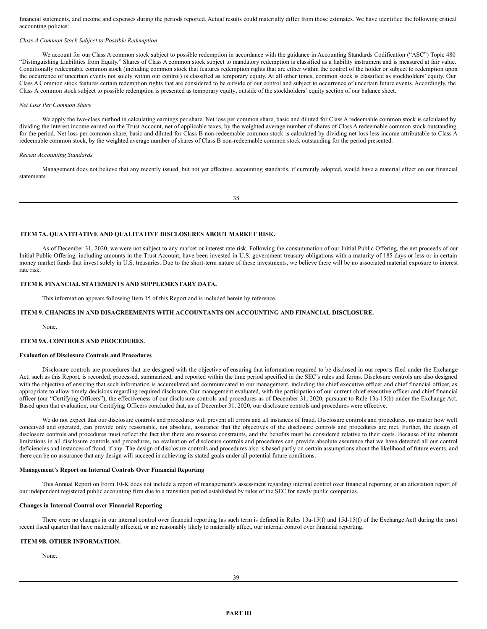financial statements, and income and expenses during the periods reported. Actual results could materially differ from those estimates. We have identified the following critical accounting policies:

#### *Class A Common Stock Subject to Possible Redemption*

We account for our Class A common stock subject to possible redemption in accordance with the guidance in Accounting Standards Codification ("ASC") Topic 480 "Distinguishing Liabilities from Equity." Shares of Class A common stock subject to mandatory redemption is classified as a liability instrument and is measured at fair value. Conditionally redeemable common stock (including common stock that features redemption rights that are either within the control of the holder or subject to redemption upon the occurrence of uncertain events not solely within our control) is classified as temporary equity. At all other times, common stock is classified as stockholders' equity. Our Class A Common stock features certain redemption rights that are considered to be outside of our control and subject to occurrence of uncertain future events. Accordingly, the Class A common stock subject to possible redemption is presented as temporary equity, outside of the stockholders' equity section of our balance sheet.

# *Net Loss Per Common Share*

We apply the two-class method in calculating earnings per share. Net loss per common share, basic and diluted for Class A redeemable common stock is calculated by dividing the interest income earned on the Trust Account, net of applicable taxes, by the weighted average number of shares of Class A redeemable common stock outstanding for the period. Net loss per common share, basic and diluted for Class B non-redeemable common stock is calculated by dividing net loss less income attributable to Class A redeemable common stock, by the weighted average number of shares of Class B non-redeemable common stock outstanding for the period presented.

#### *Recent Accounting Standards*

Management does not believe that any recently issued, but not yet effective, accounting standards, if currently adopted, would have a material effect on our financial statements.

38

#### <span id="page-24-0"></span>**ITEM 7A. QUANTITATIVE AND QUALITATIVE DISCLOSURES ABOUT MARKET RISK.**

As of December 31, 2020, we were not subject to any market or interest rate risk. Following the consummation of our Initial Public Offering, the net proceeds of our Initial Public Offering, including amounts in the Trust Account, have been invested in U.S. government treasury obligations with a maturity of 185 days or less or in certain money market funds that invest solely in U.S. treasuries. Due to the short-term nature of these investments, we believe there will be no associated material exposure to interest rate risk.

# <span id="page-24-1"></span>**ITEM 8. FINANCIAL STATEMENTS AND SUPPLEMENTARY DATA.**

This information appears following Item 15 of this Report and is included herein by reference.

# <span id="page-24-2"></span>**ITEM 9. CHANGES IN AND DISAGREEMENTS WITH ACCOUNTANTS ON ACCOUNTING AND FINANCIAL DISCLOSURE.**

None.

# <span id="page-24-3"></span>**ITEM 9A. CONTROLS AND PROCEDURES.**

# **Evaluation of Disclosure Controls and Procedures**

Disclosure controls are procedures that are designed with the objective of ensuring that information required to be disclosed in our reports filed under the Exchange Act, such as this Report, is recorded, processed, summarized, and reported within the time period specified in the SEC's rules and forms. Disclosure controls are also designed with the objective of ensuring that such information is accumulated and communicated to our management, including the chief executive officer and chief financial officer, as appropriate to allow timely decisions regarding required disclosure. Our management evaluated, with the participation of our current chief executive officer and chief financial officer (our "Certifying Officers"), the effectiveness of our disclosure controls and procedures as of December 31, 2020, pursuant to Rule 13a-15(b) under the Exchange Act. Based upon that evaluation, our Certifying Officers concluded that, as of December 31, 2020, our disclosure controls and procedures were effective.

We do not expect that our disclosure controls and procedures will prevent all errors and all instances of fraud. Disclosure controls and procedures, no matter how well conceived and operated, can provide only reasonable, not absolute, assurance that the objectives of the disclosure controls and procedures are met. Further, the design of disclosure controls and procedures must reflect the fact that there are resource constraints, and the benefits must be considered relative to their costs. Because of the inherent limitations in all disclosure controls and procedures, no evaluation of disclosure controls and procedures can provide absolute assurance that we have detected all our control deficiencies and instances of fraud, if any. The design of disclosure controls and procedures also is based partly on certain assumptions about the likelihood of future events, and there can be no assurance that any design will succeed in achieving its stated goals under all potential future conditions.

#### **Management's Report on Internal Controls Over Financial Reporting**

This Annual Report on Form 10-K does not include a report of management's assessment regarding internal control over financial reporting or an attestation report of our independent registered public accounting firm due to a transition period established by rules of the SEC for newly public companies.

# **Changes in Internal Control over Financial Reporting**

There were no changes in our internal control over financial reporting (as such term is defined in Rules 13a-15(f) and 15d-15(f) of the Exchange Act) during the most recent fiscal quarter that have materially affected, or are reasonably likely to materially affect, our internal control over financial reporting.

## <span id="page-24-4"></span>**ITEM 9B. OTHER INFORMATION.**

None.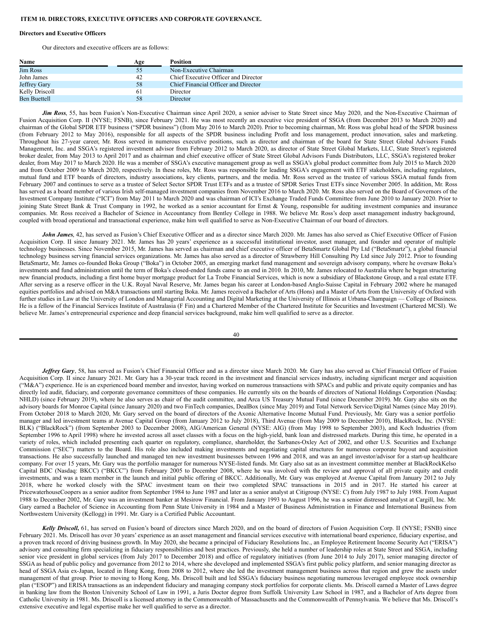#### <span id="page-25-0"></span>**ITEM 10. DIRECTORS, EXECUTIVE OFFICERS AND CORPORATE GOVERNANCE.**

### **Directors and Executive Officers**

Our directors and executive officers are as follows:

| Name                | Age | Position                             |
|---------------------|-----|--------------------------------------|
| <b>Jim Ross</b>     | 55  | Non-Executive Chairman               |
| John James          | 42  | Chief Executive Officer and Director |
| Jeffrey Gary        | 58  | Chief Financial Officer and Director |
| Kelly Driscoll      | 61  | Director                             |
| <b>Ben Buettell</b> | 58  | Director                             |

Jim Ross, 55, has been Fusion's Non-Executive Chairman since April 2020, a senior adviser to State Street since May 2020, and the Non-Executive Chairman of Fusion Acquisition Corp. II (NYSE; FSNB), since February 2021. He was most recently an executive vice president of SSGA (from December 2013 to March 2020) and chairman of the Global SPDR ETF business ("SPDR business") (from May 2016 to March 2020). Prior to becoming chairman, Mr. Ross was global head of the SPDR business (from February 2012 to May 2016), responsible for all aspects of the SPDR business including Profit and loss management, product innovation, sales and marketing. Throughout his 27-year career, Mr. Ross served in numerous executive positions, such as director and chairman of the board for State Street Global Advisors Funds Management, Inc. and SSGA's registered investment advisor from February 2012 to March 2020, as director of State Street Global Markets, LLC, State Street's registered broker dealer, from May 2013 to April 2017 and as chairman and chief executive officer of State Street Global Advisors Funds Distributors, LLC, SSGA's registered broker dealer, from May 2017 to March 2020. He was a member of SSGA's executive management group as well as SSGA's global product committee from July 2015 to March 2020 and from October 2009 to March 2020, respectively. In these roles, Mr. Ross was responsible for leading SSGA's engagement with ETF stakeholders, including regulators, mutual fund and ETF boards of directors, industry associations, key clients, partners, and the media. Mr. Ross served as the trustee of various SSGA mutual funds from February 2007 and continues to serve as a trustee of Select Sector SPDR Trust ETFs and as a trustee of SPDR Series Trust ETFs since November 2005. In addition, Mr. Ross has served as a board member of various Irish self-managed investment companies from November 2016 to March 2020. Mr. Ross also served on the Board of Governors of the Investment Company Institute ("ICI") from May 2011 to March 2020 and was chairman of ICI's Exchange Traded Funds Committee from June 2010 to January 2020. Prior to joining State Street Bank & Trust Company in 1992, he worked as a senior accountant for Ernst & Young, responsible for auditing investment companies and insurance companies. Mr. Ross received a Bachelor of Science in Accountancy from Bentley College in 1988. We believe Mr. Ross's deep asset management industry background, coupled with broad operational and transactional experience, make him well qualified to serve as Non-Executive Chairman of our board of directors.

*John James*, 42, has served as Fusion's Chief Executive Officer and as a director since March 2020. Mr. James has also served as Chief Executive Officer of Fusion Acquisition Corp. II since January 2021. Mr. James has 20 years' experience as a successful institutional investor, asset manager, and founder and operator of multiple technology businesses. Since November 2015, Mr. James has served as chairman and chief executive officer of BetaSmartz Global Pty Ltd ("BetaSmartz"), a global financial technology business serving financial services organizations. Mr. James has also served as a director of Strawberry Hill Consulting Pty Ltd since July 2012. Prior to founding BetaSmartz, Mr. James co-founded Boka Group ("Boka") in October 2005, an emerging market fund management and sovereign advisory company, where he oversaw Boka's investments and fund administration until the term of Boka's closed-ended funds came to an end in 2010. In 2010, Mr. James relocated to Australia where he began structuring new financial products, including a first home buyer mortgage product for La Trobe Financial Services, which is now a subsidiary of Blackstone Group, and a real estate ETF. After serving as a reserve officer in the U.K. Royal Naval Reserve, Mr. James began his career at London-based Anglo-Suisse Capital in February 2002 where he managed equities portfolios and advised on M&A transactions until starting Boka. Mr. James received a Bachelor of Arts (Hons) and a Master of Arts from the University of Oxford with further studies in Law at the University of London and Managerial Accounting and Digital Marketing at the University of Illinois at Urbana-Champaign — College of Business. He is a fellow of the Financial Services Institute of Australasia (F Fin) and a Chartered Member of the Chartered Institute for Securities and Investment (Chartered MCSI). We believe Mr. James's entrepreneurial experience and deep financial services background, make him well qualified to serve as a director.

$$
^{40}
$$

*Jeffrey Gary*, 58, has served as Fusion's Chief Financial Officer and as a director since March 2020. Mr. Gary has also served as Chief Financial Officer of Fusion Acquisition Corp. II since January 2021. Mr. Gary has a 30-year track record in the investment and financial services industry, including significant merger and acquisition ("M&A") experience. He is an experienced board member and investor, having worked on numerous transactions with SPACs and public and private equity companies and has directly led audit, fiduciary, and corporate governance committees of these companies. He currently sits on the boards of directors of National Holdings Corporation (Nasdaq: NHLD) (since February 2019), where he also serves as chair of the audit committee, and Arca US Treasury Mutual Fund (since December 2019). Mr. Gary also sits on the advisory boards for Monroe Capital (since January 2020) and two FinTech companies, DealBox (since May 2019) and Total Network Service/Digital Names (since May 2019). From October 2018 to March 2020, Mr. Gary served on the board of directors of the Axonic Alternative Income Mutual Fund. Previously, Mr. Gary was a senior portfolio manager and led investment teams at Avenue Capital Group (from January 2012 to July 2018), Third Avenue (from May 2009 to December 2010), BlackRock, Inc. (NYSE: BLK) ("BlackRock") (from September 2003 to December 2008), AIG/American General (NYSE: AIG) (from May 1998 to September 2003), and Koch Industries (from September 1996 to April 1998) where he invested across all asset classes with a focus on the high-yield, bank loan and distressed markets. During this time, he operated in a variety of roles, which included presenting each quarter on regulatory, compliance, shareholder, the Sarbanes-Oxley Act of 2002, and other U.S. Securities and Exchange Commission ("SEC") matters to the Board. His role also included making investments and negotiating capital structures for numerous corporate buyout and acquisition transactions. He also successfully launched and managed ten new investment businesses between 1996 and 2018, and was an angel investor/advisor for a start-up healthcare company. For over 15 years, Mr. Gary was the portfolio manager for numerous NYSE-listed funds. Mr. Gary also sat as an investment committee member at BlackRockKelso Capital BDC (Nasdaq: BKCC) ("BKCC") from February 2005 to December 2008, where he was involved with the review and approval of all private equity and credit investments, and was a team member in the launch and initial public offering of BKCC. Additionally, Mr. Gary was employed at Avenue Capital from January 2012 to July 2018, where he worked closely with the SPAC investment team on their two completed SPAC transactions in 2015 and in 2017. He started his career at PricewaterhouseCoopers as a senior auditor from September 1984 to June 1987 and later as a senior analyst at Citigroup (NYSE: C) from July 1987 to July 1988. From August 1988 to December 2002, Mr. Gary was an investment banker at Mesirow Financial. From January 1993 to August 1996, he was a senior distressed analyst at Cargill, Inc. Mr. Gary earned a Bachelor of Science in Accounting from Penn State University in 1984 and a Master of Business Administration in Finance and International Business from Northwestern University (Kellogg) in 1991. Mr. Gary is a Certified Public Accountant.

*Kelly Driscoll***,** 61, has served on Fusion's board of directors since March 2020, and on the board of directors of Fusion Acquisition Corp. II (NYSE; FSNB) since February 2021. Ms. Driscoll has over 30 years' experience as an asset management and financial services executive with international board experience, fiduciary expertise, and a proven track record of driving business growth. In May 2020, she became a principal of Fiduciary Resolutions Inc., an Employee Retirement Income Security Act ("ERISA") advisory and consulting firm specializing in fiduciary responsibilities and best practices. Previously, she held a number of leadership roles at State Street and SSGA, including senior vice president in global services (from July 2017 to December 2018) and office of regulatory initiatives (from June 2014 to July 2017), senior managing director of SSGA as head of public policy and governance from 2012 to 2014, where she developed and implemented SSGA's first public policy platform, and senior managing director as head of SSGA Asia ex-Japan, located in Hong Kong, from 2008 to 2012, where she led the investment management business across that region and grew the assets under management of that group. Prior to moving to Hong Kong, Ms. Driscoll built and led SSGA's fiduciary business negotiating numerous leveraged employee stock ownership plan ("ESOP") and ERISA transactions as an independent fiduciary and managing company stock portfolios for corporate clients. Ms. Driscoll earned a Master of Laws degree in banking law from the Boston University School of Law in 1991, a Juris Doctor degree from Suffolk University Law School in 1987, and a Bachelor of Arts degree from Catholic University in 1981. Ms. Driscoll is a licensed attorney in the Commonwealth of Massachusetts and the Commonwealth of Pennsylvania. We believe that Ms. Driscoll's extensive executive and legal expertise make her well qualified to serve as a director.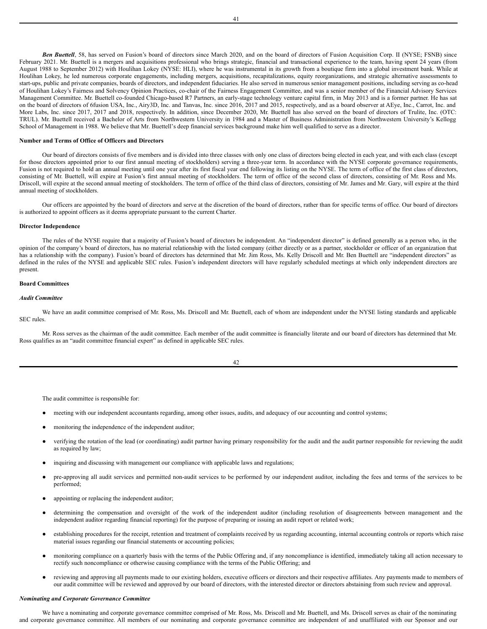*Ben Buettell*, 58, has served on Fusion's board of directors since March 2020, and on the board of directors of Fusion Acquisition Corp. II (NYSE; FSNB) since February 2021. Mr. Buettell is a mergers and acquisitions professional who brings strategic, financial and transactional experience to the team, having spent 24 years (from August 1988 to September 2012) with Houlihan Lokey (NYSE: HLI), where he was instrumental in its growth from a boutique firm into a global investment bank. While at Houlihan Lokey, he led numerous corporate engagements, including mergers, acquisitions, recapitalizations, equity reorganizations, and strategic alternative assessments to start-ups, public and private companies, boards of directors, and independent fiduciaries. He also served in numerous senior management positions, including serving as co-head of Houlihan Lokey's Fairness and Solvency Opinion Practices, co-chair of the Fairness Engagement Committee, and was a senior member of the Financial Advisory Services Management Committee. Mr. Buettell co-founded Chicago-based R7 Partners, an early-stage technology venture capital firm, in May 2013 and is a former partner. He has sat on the board of directors of 6fusion USA, Inc., Airy3D, Inc. and Tanvas, Inc. since 2016, 2017 and 2015, respectively, and as a board observer at AEye, Inc., Carrot, Inc. and More Labs, Inc. since 2017, 2017 and 2018, respectively. In addition, since December 2020, Mr. Buettell has also served on the board of directors of Trulite, Inc. (OTC: TRUL). Mr. Buettell received a Bachelor of Arts from Northwestern University in 1984 and a Master of Business Administration from Northwestern University's Kellogg School of Management in 1988. We believe that Mr. Buettell's deep financial services background make him well qualified to serve as a director.

#### **Number and Terms of Office of Officers and Directors**

Our board of directors consists of five members and is divided into three classes with only one class of directors being elected in each year, and with each class (except for those directors appointed prior to our first annual meeting of stockholders) serving a three-year term. In accordance with the NYSE corporate governance requirements, Fusion is not required to hold an annual meeting until one year after its first fiscal year end following its listing on the NYSE. The term of office of the first class of directors, consisting of Mr. Buettell, will expire at Fusion's first annual meeting of stockholders. The term of office of the second class of directors, consisting of Mr. Ross and Ms. Driscoll, will expire at the second annual meeting of stockholders. The term of office of the third class of directors, consisting of Mr. James and Mr. Gary, will expire at the third annual meeting of stockholders.

Our officers are appointed by the board of directors and serve at the discretion of the board of directors, rather than for specific terms of office. Our board of directors is authorized to appoint officers as it deems appropriate pursuant to the current Charter.

## **Director Independence**

The rules of the NYSE require that a majority of Fusion's board of directors be independent. An "independent director" is defined generally as a person who, in the opinion of the company's board of directors, has no material relationship with the listed company (either directly or as a partner, stockholder or officer of an organization that has a relationship with the company). Fusion's board of directors has determined that Mr. Jim Ross, Ms. Kelly Driscoll and Mr. Ben Buettell are "independent directors" as defined in the rules of the NYSE and applicable SEC rules. Fusion's independent directors will have regularly scheduled meetings at which only independent directors are present.

# **Board Committees**

#### *Audit Committee*

We have an audit committee comprised of Mr. Ross, Ms. Driscoll and Mr. Buettell, each of whom are independent under the NYSE listing standards and applicable SEC rules.

Mr. Ross serves as the chairman of the audit committee. Each member of the audit committee is financially literate and our board of directors has determined that Mr. Ross qualifies as an "audit committee financial expert" as defined in applicable SEC rules.

The audit committee is responsible for:

- meeting with our independent accountants regarding, among other issues, audits, and adequacy of our accounting and control systems;
- monitoring the independence of the independent auditor;
- verifying the rotation of the lead (or coordinating) audit partner having primary responsibility for the audit and the audit partner responsible for reviewing the audit as required by law;
- inquiring and discussing with management our compliance with applicable laws and regulations;
- pre-approving all audit services and permitted non-audit services to be performed by our independent auditor, including the fees and terms of the services to be performed;
- appointing or replacing the independent auditor;
- determining the compensation and oversight of the work of the independent auditor (including resolution of disagreements between management and the independent auditor regarding financial reporting) for the purpose of preparing or issuing an audit report or related work;
- establishing procedures for the receipt, retention and treatment of complaints received by us regarding accounting, internal accounting controls or reports which raise material issues regarding our financial statements or accounting policies;
- monitoring compliance on a quarterly basis with the terms of the Public Offering and, if any noncompliance is identified, immediately taking all action necessary to rectify such noncompliance or otherwise causing compliance with the terms of the Public Offering; and
- reviewing and approving all payments made to our existing holders, executive officers or directors and their respective affiliates. Any payments made to members of our audit committee will be reviewed and approved by our board of directors, with the interested director or directors abstaining from such review and approval.

#### *Nominating and Corporate Governance Committee*

We have a nominating and corporate governance committee comprised of Mr. Ross, Ms. Driscoll and Mr. Buettell, and Ms. Driscoll serves as chair of the nominating and corporate governance committee. All members of our nominating and corporate governance committee are independent of and unaffiliated with our Sponsor and our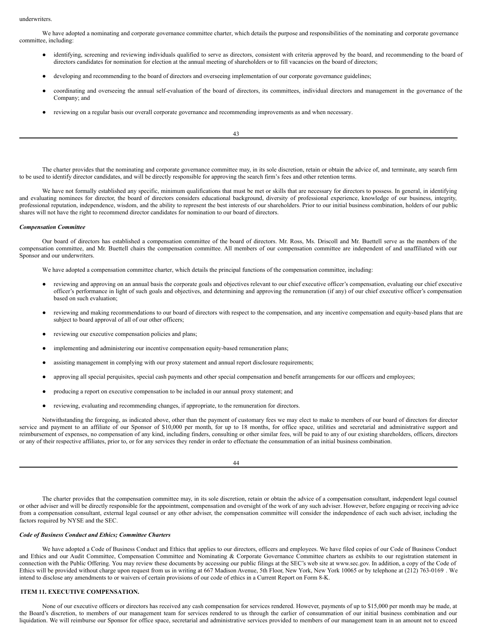#### underwriters.

We have adopted a nominating and corporate governance committee charter, which details the purpose and responsibilities of the nominating and corporate governance committee, including:

- identifying, screening and reviewing individuals qualified to serve as directors, consistent with criteria approved by the board, and recommending to the board of directors candidates for nomination for election at the annual meeting of shareholders or to fill vacancies on the board of directors;
- developing and recommending to the board of directors and overseeing implementation of our corporate governance guidelines;
- coordinating and overseeing the annual self-evaluation of the board of directors, its committees, individual directors and management in the governance of the Company; and
- reviewing on a regular basis our overall corporate governance and recommending improvements as and when necessary.

The charter provides that the nominating and corporate governance committee may, in its sole discretion, retain or obtain the advice of, and terminate, any search firm to be used to identify director candidates, and will be directly responsible for approving the search firm's fees and other retention terms.

We have not formally established any specific, minimum qualifications that must be met or skills that are necessary for directors to possess. In general, in identifying and evaluating nominees for director, the board of directors considers educational background, diversity of professional experience, knowledge of our business, integrity, professional reputation, independence, wisdom, and the ability to represent the best interests of our shareholders. Prior to our initial business combination, holders of our public shares will not have the right to recommend director candidates for nomination to our board of directors.

# *Compensation Committee*

Our board of directors has established a compensation committee of the board of directors. Mr. Ross, Ms. Driscoll and Mr. Buettell serve as the members of the compensation committee, and Mr. Buettell chairs the compensation committee. All members of our compensation committee are independent of and unaffiliated with our Sponsor and our underwriters.

We have adopted a compensation committee charter, which details the principal functions of the compensation committee, including:

- reviewing and approving on an annual basis the corporate goals and objectives relevant to our chief executive officer's compensation, evaluating our chief executive officer's performance in light of such goals and objectives, and determining and approving the remuneration (if any) of our chief executive officer's compensation based on such evaluation;
- reviewing and making recommendations to our board of directors with respect to the compensation, and any incentive compensation and equity-based plans that are subject to board approval of all of our other officers;
- reviewing our executive compensation policies and plans;
- implementing and administering our incentive compensation equity-based remuneration plans;
- assisting management in complying with our proxy statement and annual report disclosure requirements;
- approving all special perquisites, special cash payments and other special compensation and benefit arrangements for our officers and employees;
- producing a report on executive compensation to be included in our annual proxy statement; and
- reviewing, evaluating and recommending changes, if appropriate, to the remuneration for directors.

Notwithstanding the foregoing, as indicated above, other than the payment of customary fees we may elect to make to members of our board of directors for director service and payment to an affiliate of our Sponsor of \$10,000 per month, for up to 18 months, for office space, utilities and secretarial and administrative support and reimbursement of expenses, no compensation of any kind, including finders, consulting or other similar fees, will be paid to any of our existing shareholders, officers, directors or any of their respective affiliates, prior to, or for any services they render in order to effectuate the consummation of an initial business combination.

The charter provides that the compensation committee may, in its sole discretion, retain or obtain the advice of a compensation consultant, independent legal counsel or other adviser and will be directly responsible for the appointment, compensation and oversight of the work of any such adviser. However, before engaging or receiving advice from a compensation consultant, external legal counsel or any other adviser, the compensation committee will consider the independence of each such adviser, including the factors required by NYSE and the SEC.

#### *Code of Business Conduct and Ethics; Committee Charters*

We have adopted a Code of Business Conduct and Ethics that applies to our directors, officers and employees. We have filed copies of our Code of Business Conduct and Ethics and our Audit Committee, Compensation Committee and Nominating & Corporate Governance Committee charters as exhibits to our registration statement in connection with the Public Offering. You may review these documents by accessing our public filings at the SEC's web site at www.sec.gov. In addition, a copy of the Code of Ethics will be provided without charge upon request from us in writing at 667 Madison Avenue, 5th Floor, New York, New York 10065 or by telephone at (212) 763-0169. We intend to disclose any amendments to or waivers of certain provisions of our code of ethics in a Current Report on Form 8-K.

# <span id="page-27-0"></span>**ITEM 11. EXECUTIVE COMPENSATION.**

None of our executive officers or directors has received any cash compensation for services rendered. However, payments of up to \$15,000 per month may be made, at the Board's discretion, to members of our management team for services rendered to us through the earlier of consummation of our initial business combination and our liquidation. We will reimburse our Sponsor for office space, secretarial and administrative services provided to members of our management team in an amount not to exceed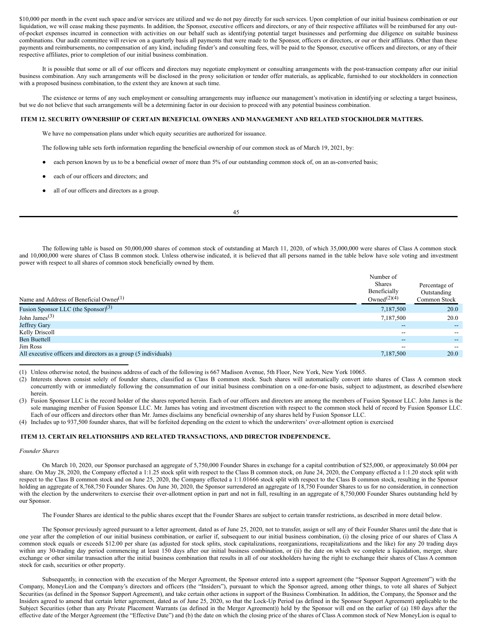\$10,000 per month in the event such space and/or services are utilized and we do not pay directly for such services. Upon completion of our initial business combination or our liquidation, we will cease making these payments. In addition, the Sponsor, executive officers and directors, or any of their respective affiliates will be reimbursed for any outof-pocket expenses incurred in connection with activities on our behalf such as identifying potential target businesses and performing due diligence on suitable business combinations. Our audit committee will review on a quarterly basis all payments that were made to the Sponsor, officers or directors, or our or their affiliates. Other than these payments and reimbursements, no compensation of any kind, including finder's and consulting fees, will be paid to the Sponsor, executive officers and directors, or any of their respective affiliates, prior to completion of our initial business combination.

It is possible that some or all of our officers and directors may negotiate employment or consulting arrangements with the post-transaction company after our initial business combination. Any such arrangements will be disclosed in the proxy solicitation or tender offer materials, as applicable, furnished to our stockholders in connection with a proposed business combination, to the extent they are known at such time.

The existence or terms of any such employment or consulting arrangements may influence our management's motivation in identifying or selecting a target business, but we do not believe that such arrangements will be a determining factor in our decision to proceed with any potential business combination.

# <span id="page-28-0"></span>**ITEM 12. SECURITY OWNERSHIP OF CERTAIN BENEFICIAL OWNERS AND MANAGEMENT AND RELATED STOCKHOLDER MATTERS.**

We have no compensation plans under which equity securities are authorized for issuance.

The following table sets forth information regarding the beneficial ownership of our common stock as of March 19, 2021, by:

- each person known by us to be a beneficial owner of more than 5% of our outstanding common stock of, on an as-converted basis;
- each of our officers and directors; and
- all of our officers and directors as a group.

45

The following table is based on 50,000,000 shares of common stock of outstanding at March 11, 2020, of which 35,000,000 were shares of Class A common stock and 10,000,000 were shares of Class B common stock. Unless otherwise indicated, it is believed that all persons named in the table below have sole voting and investment power with respect to all shares of common stock beneficially owned by them.

| Name and Address of Beneficial Owner <sup>(1)</sup>             | Number of<br><b>Shares</b><br>Beneficially<br>Owned <sup><math>(2)(4)</math></sup> | Percentage of<br>Outstanding<br>Common Stock |
|-----------------------------------------------------------------|------------------------------------------------------------------------------------|----------------------------------------------|
| Fusion Sponsor LLC (the Sponsor) <sup>(3)</sup>                 | 7,187,500                                                                          | 20.0                                         |
| John James <sup>(3)</sup>                                       | 7,187,500                                                                          | 20.0                                         |
| Jeffrey Gary                                                    | $\qquad \qquad -$                                                                  | $\hspace{0.05cm}$                            |
| Kelly Driscoll                                                  | $\overline{\phantom{m}}$                                                           |                                              |
| <b>Ben Buettell</b>                                             | $\qquad \qquad -$                                                                  |                                              |
| Jim Ross                                                        | $- -$                                                                              | $\hspace{0.05cm}$ – $\hspace{0.05cm}$        |
| All executive officers and directors as a group (5 individuals) | 7,187,500                                                                          | 20.0                                         |

(1) Unless otherwise noted, the business address of each of the following is 667 Madison Avenue, 5th Floor, New York, New York 10065.

- (2) Interests shown consist solely of founder shares, classified as Class B common stock. Such shares will automatically convert into shares of Class A common stock concurrently with or immediately following the consummation of our initial business combination on a one-for-one basis, subject to adjustment, as described elsewhere herein.
- (3) Fusion Sponsor LLC is the record holder of the shares reported herein. Each of our officers and directors are among the members of Fusion Sponsor LLC. John James is the sole managing member of Fusion Sponsor LLC. Mr. James has voting and investment discretion with respect to the common stock held of record by Fusion Sponsor LLC. Each of our officers and directors other than Mr. James disclaims any beneficial ownership of any shares held by Fusion Sponsor LLC.

(4) Includes up to 937,500 founder shares, that will be forfeited depending on the extent to which the underwriters' over-allotment option is exercised

# <span id="page-28-1"></span>**ITEM 13. CERTAIN RELATIONSHIPS AND RELATED TRANSACTIONS, AND DIRECTOR INDEPENDENCE.**

#### *Founder Shares*

On March 10, 2020, our Sponsor purchased an aggregate of 5,750,000 Founder Shares in exchange for a capital contribution of \$25,000, or approximately \$0.004 per share. On May 28, 2020, the Company effected a 1:1.25 stock split with respect to the Class B common stock, on June 24, 2020, the Company effected a 1:1.20 stock split with respect to the Class B common stock and on June 25, 2020, the Company effected a 1:1.01666 stock split with respect to the Class B common stock, resulting in the Sponsor holding an aggregate of 8,768,750 Founder Shares. On June 30, 2020, the Sponsor surrendered an aggregate of 18,750 Founder Shares to us for no consideration, in connection with the election by the underwriters to exercise their over-allotment option in part and not in full, resulting in an aggregate of 8,750,000 Founder Shares outstanding held by our Sponsor.

The Founder Shares are identical to the public shares except that the Founder Shares are subject to certain transfer restrictions, as described in more detail below.

The Sponsor previously agreed pursuant to a letter agreement, dated as of June 25, 2020, not to transfer, assign or sell any of their Founder Shares until the date that is one year after the completion of our initial business combination, or earlier if, subsequent to our initial business combination, (i) the closing price of our shares of Class A common stock equals or exceeds \$12.00 per share (as adjusted for stock splits, stock capitalizations, reorganizations, recapitalizations and the like) for any 20 trading days within any 30-trading day period commencing at least 150 days after our initial business combination, or (ii) the date on which we complete a liquidation, merger, share exchange or other similar transaction after the initial business combination that results in all of our stockholders having the right to exchange their shares of Class A common stock for cash, securities or other property.

Subsequently, in connection with the execution of the Merger Agreement, the Sponsor entered into a support agreement (the "Sponsor Support Agreement") with the Company, MoneyLion and the Company's directors and officers (the "Insiders"), pursuant to which the Sponsor agreed, among other things, to vote all shares of Subject Securities (as defined in the Sponsor Support Agreement), and take certain other actions in support of the Business Combination. In addition, the Company, the Sponsor and the Insiders agreed to amend that certain letter agreement, dated as of June 25, 2020, so that the Lock-Up Period (as defined in the Sponsor Support Agreement) applicable to the Subject Securities (other than any Private Placement Warrants (as defined in the Merger Agreement)) held by the Sponsor will end on the earlier of (a) 180 days after the effective date of the Merger Agreement (the "Effective Date") and (b) the date on which the closing price of the shares of Class A common stock of New MoneyLion is equal to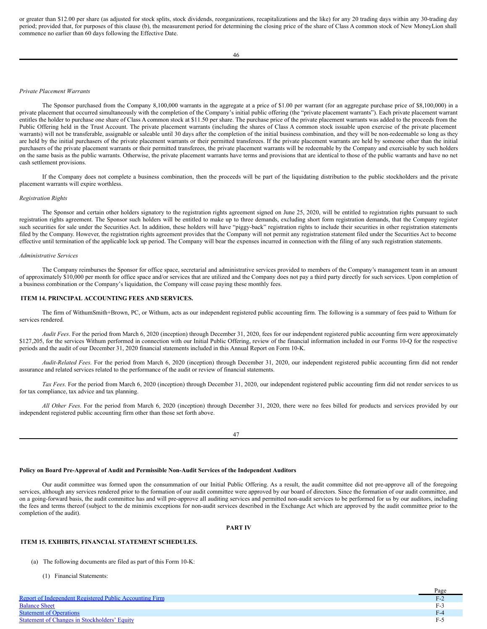or greater than \$12.00 per share (as adjusted for stock splits, stock dividends, reorganizations, recapitalizations and the like) for any 20 trading days within any 30-trading day period; provided that, for purposes of this clause (b), the measurement period for determining the closing price of the share of Class A common stock of New MoneyLion shall commence no earlier than 60 days following the Effective Date.

#### *Private Placement Warrants*

The Sponsor purchased from the Company 8,100,000 warrants in the aggregate at a price of \$1.00 per warrant (for an aggregate purchase price of \$8,100,000) in a private placement that occurred simultaneously with the completion of the Company's initial public offering (the "private placement warrants"). Each private placement warrants entitles the holder to purchase one share of Class A common stock at \$11.50 per share. The purchase price of the private placement warrants was added to the proceeds from the Public Offering held in the Trust Account. The private placement warrants (including the shares of Class A common stock issuable upon exercise of the private placement warrants) will not be transferable, assignable or saleable until 30 days after the completion of the initial business combination, and they will be non-redeemable so long as they are held by the initial purchasers of the private placement warrants or their permitted transferees. If the private placement warrants are held by someone other than the initial purchasers of the private placement warrants or their permitted transferees, the private placement warrants will be redeemable by the Company and exercisable by such holders on the same basis as the public warrants. Otherwise, the private placement warrants have terms and provisions that are identical to those of the public warrants and have no net cash settlement provisions.

If the Company does not complete a business combination, then the proceeds will be part of the liquidating distribution to the public stockholders and the private placement warrants will expire worthless.

#### *Registration Rights*

The Sponsor and certain other holders signatory to the registration rights agreement signed on June 25, 2020, will be entitled to registration rights pursuant to such registration rights agreement. The Sponsor such holders will be entitled to make up to three demands, excluding short form registration demands, that the Company register such securities for sale under the Securities Act. In addition, these holders will have "piggy-back" registration rights to include their securities in other registration statements filed by the Company. However, the registration rights agreement provides that the Company will not permit any registration statement filed under the Securities Act to become effective until termination of the applicable lock up period. The Company will bear the expenses incurred in connection with the filing of any such registration statements.

#### *Administrative Services*

The Company reimburses the Sponsor for office space, secretarial and administrative services provided to members of the Company's management team in an amount of approximately \$10,000 per month for office space and/or services that are utilized and the Company does not pay a third party directly for such services. Upon completion of a business combination or the Company's liquidation, the Company will cease paying these monthly fees.

# <span id="page-29-0"></span>**ITEM 14. PRINCIPAL ACCOUNTING FEES AND SERVICES.**

The firm of WithumSmith+Brown, PC, or Withum, acts as our independent registered public accounting firm. The following is a summary of fees paid to Withum for services rendered.

*Audit Fees*. For the period from March 6, 2020 (inception) through December 31, 2020, fees for our independent registered public accounting firm were approximately \$127,205, for the services Withum performed in connection with our Initial Public Offering, review of the financial information included in our Forms 10-Q for the respective periods and the audit of our December 31, 2020 financial statements included in this Annual Report on Form 10-K.

*Audit-Related Fees.* For the period from March 6, 2020 (inception) through December 31, 2020, our independent registered public accounting firm did not render assurance and related services related to the performance of the audit or review of financial statements.

*Tax Fees*. For the period from March 6, 2020 (inception) through December 31, 2020, our independent registered public accounting firm did not render services to us for tax compliance, tax advice and tax planning.

*All Other Fees*. For the period from March 6, 2020 (inception) through December 31, 2020, there were no fees billed for products and services provided by our independent registered public accounting firm other than those set forth above.

#### **Policy on Board Pre-Approval of Audit and Permissible Non-Audit Services of the Independent Auditors**

Our audit committee was formed upon the consummation of our Initial Public Offering. As a result, the audit committee did not pre-approve all of the foregoing services, although any services rendered prior to the formation of our audit committee were approved by our board of directors. Since the formation of our audit committee, and on a going-forward basis, the audit committee has and will pre-approve all auditing services and permitted non-audit services to be performed for us by our auditors, including the fees and terms thereof (subject to the de minimis exceptions for non-audit services described in the Exchange Act which are approved by the audit committee prior to the completion of the audit).

# **PART IV**

Page

#### <span id="page-29-1"></span>**ITEM 15. EXHIBITS, FINANCIAL STATEMENT SCHEDULES.**

- (a) The following documents are filed as part of this Form 10-K:
	- (1) Financial Statements:

| Report of Independent Registered Public Accounting Firm |  |
|---------------------------------------------------------|--|
| <b>Balance Sheet</b>                                    |  |
| <b>Statement of Operations</b>                          |  |
| <b>Statement of Changes in Stockholders' Equity</b>     |  |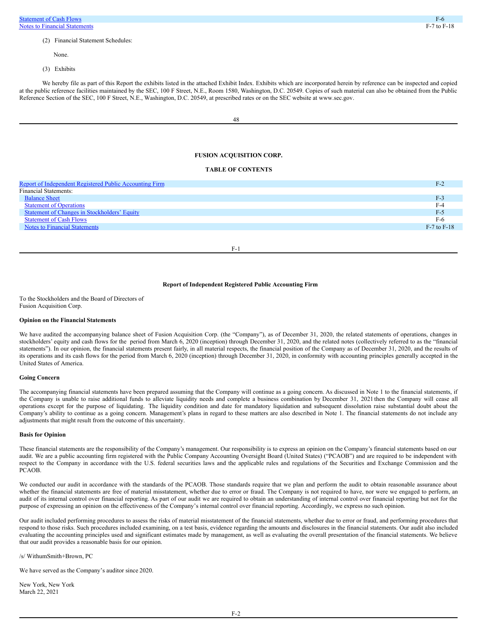(2) Financial Statement Schedules:

None.

(3) Exhibits

We hereby file as part of this Report the exhibits listed in the attached Exhibit Index. Exhibits which are incorporated herein by reference can be inspected and copied at the public reference facilities maintained by the SEC, 100 F Street, N.E., Room 1580, Washington, D.C. 20549. Copies of such material can also be obtained from the Public Reference Section of the SEC, 100 F Street, N.E., Washington, D.C. 20549, at prescribed rates or on the SEC website at www.sec.gov.

48

# **FUSION ACQUISITION CORP.**

# **TABLE OF CONTENTS**

| Report of Independent Registered Public Accounting Firm | $F-2$           |
|---------------------------------------------------------|-----------------|
| <b>Financial Statements:</b>                            |                 |
| <b>Balance Sheet</b>                                    | $F-3$           |
| <b>Statement of Operations</b>                          | $F-4$           |
| <b>Statement of Changes in Stockholders' Equity</b>     | $F-5$           |
| <b>Statement of Cash Flows</b>                          | F-6             |
| <b>Notes to Financial Statements</b>                    | $F-7$ to $F-18$ |
|                                                         |                 |

F-1

#### <span id="page-30-1"></span><span id="page-30-0"></span>**Report of Independent Registered Public Accounting Firm**

To the Stockholders and the Board of Directors of Fusion Acquisition Corp.

#### **Opinion on the Financial Statements**

We have audited the accompanying balance sheet of Fusion Acquisition Corp. (the "Company"), as of December 31, 2020, the related statements of operations, changes in stockholders' equity and cash flows for the period from March 6, 2020 (inception) through December 31, 2020, and the related notes (collectively referred to as the "financial statements"). In our opinion, the financial statements present fairly, in all material respects, the financial position of the Company as of December 31, 2020, and the results of its operations and its cash flows for the period from March 6, 2020 (inception) through December 31, 2020, in conformity with accounting principles generally accepted in the United States of America.

# **Going Concern**

The accompanying financial statements have been prepared assuming that the Company will continue as a going concern. As discussed in Note 1 to the financial statements, if the Company is unable to raise additional funds to alleviate liquidity needs and complete a business combination by December 31, 2021 then the Company will cease all operations except for the purpose of liquidating. The liquidity condition and date for mandatory liquidation and subsequent dissolution raise substantial doubt about the Company's ability to continue as a going concern. Management's plans in regard to these matters are also described in Note 1. The financial statements do not include any adjustments that might result from the outcome of this uncertainty.

#### **Basis for Opinion**

These financial statements are the responsibility of the Company's management. Our responsibility is to express an opinion on the Company's financial statements based on our audit. We are a public accounting firm registered with the Public Company Accounting Oversight Board (United States) ("PCAOB") and are required to be independent with respect to the Company in accordance with the U.S. federal securities laws and the applicable rules and regulations of the Securities and Exchange Commission and the PCAOB.

We conducted our audit in accordance with the standards of the PCAOB. Those standards require that we plan and perform the audit to obtain reasonable assurance about whether the financial statements are free of material misstatement, whether due to error or fraud. The Company is not required to have, nor were we engaged to perform, an audit of its internal control over financial reporting. As part of our audit we are required to obtain an understanding of internal control over financial reporting but not for the purpose of expressing an opinion on the effectiveness of the Company's internal control over financial reporting. Accordingly, we express no such opinion.

Our audit included performing procedures to assess the risks of material misstatement of the financial statements, whether due to error or fraud, and performing procedures that respond to those risks. Such procedures included examining, on a test basis, evidence regarding the amounts and disclosures in the financial statements. Our audit also included evaluating the accounting principles used and significant estimates made by management, as well as evaluating the overall presentation of the financial statements. We believe that our audit provides a reasonable basis for our opinion.

/s/ WithumSmith+Brown, PC

We have served as the Company's auditor since 2020.

New York, New York March 22, 2021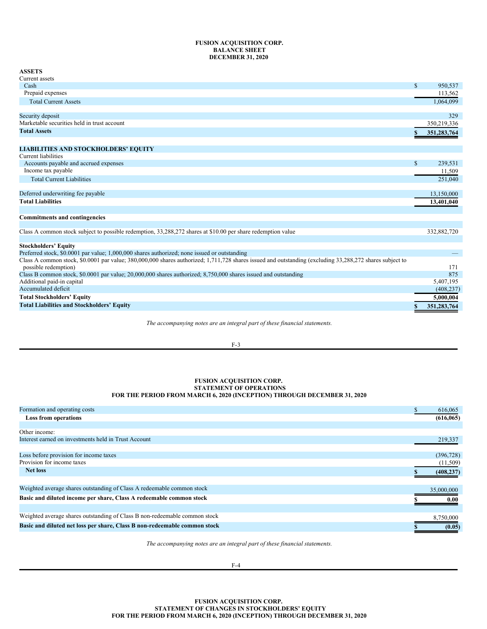# <span id="page-31-3"></span><span id="page-31-0"></span>**FUSION ACQUISITION CORP. BALANCE SHEET DECEMBER 31, 2020**

| <b>ASSETS</b>                                                                                                                                                                    |              |             |
|----------------------------------------------------------------------------------------------------------------------------------------------------------------------------------|--------------|-------------|
| Current assets                                                                                                                                                                   |              |             |
| Cash                                                                                                                                                                             | $\mathbb{S}$ | 950,537     |
| Prepaid expenses                                                                                                                                                                 |              | 113,562     |
| <b>Total Current Assets</b>                                                                                                                                                      |              | 1.064.099   |
| Security deposit                                                                                                                                                                 |              | 329         |
| Marketable securities held in trust account                                                                                                                                      |              | 350,219,336 |
| <b>Total Assets</b>                                                                                                                                                              |              | 351,283,764 |
| <b>LIABILITIES AND STOCKHOLDERS' EQUITY</b>                                                                                                                                      |              |             |
| <b>Current liabilities</b>                                                                                                                                                       |              |             |
| Accounts payable and accrued expenses                                                                                                                                            | $\mathbb{S}$ | 239,531     |
| Income tax payable                                                                                                                                                               |              | 11,509      |
| <b>Total Current Liabilities</b>                                                                                                                                                 |              | 251,040     |
| Deferred underwriting fee payable                                                                                                                                                |              | 13,150,000  |
| <b>Total Liabilities</b>                                                                                                                                                         |              | 13,401,040  |
| <b>Commitments and contingencies</b>                                                                                                                                             |              |             |
|                                                                                                                                                                                  |              |             |
| Class A common stock subject to possible redemption, 33,288,272 shares at \$10.00 per share redemption value                                                                     |              | 332,882,720 |
| <b>Stockholders' Equity</b>                                                                                                                                                      |              |             |
| Preferred stock, \$0.0001 par value; 1,000,000 shares authorized; none issued or outstanding                                                                                     |              |             |
| Class A common stock, \$0.0001 par value; 380,000,000 shares authorized; 1,711,728 shares issued and outstanding (excluding 33,288,272 shares subject to<br>possible redemption) |              | 171         |
| Class B common stock, \$0,0001 par value; 20,000,000 shares authorized; 8,750,000 shares issued and outstanding                                                                  |              | 875         |
| Additional paid-in capital                                                                                                                                                       |              | 5,407,195   |
| Accumulated deficit                                                                                                                                                              |              | (408, 237)  |
| <b>Total Stockholders' Equity</b>                                                                                                                                                |              | 5,000,004   |
| <b>Total Liabilities and Stockholders' Equity</b>                                                                                                                                |              | 351,283,764 |
|                                                                                                                                                                                  |              |             |

*The accompanying notes are an integral part of these financial statements.*

<span id="page-31-4"></span><span id="page-31-1"></span>F-3

# **FUSION ACQUISITION CORP. STATEMENT OF OPERATIONS FOR THE PERIOD FROM MARCH 6, 2020 (INCEPTION) THROUGH DECEMBER 31, 2020**

| Formation and operating costs                                              | 616,065    |
|----------------------------------------------------------------------------|------------|
| <b>Loss from operations</b>                                                | (616, 065) |
|                                                                            |            |
| Other income:                                                              |            |
| Interest earned on investments held in Trust Account                       | 219,337    |
|                                                                            |            |
| Loss before provision for income taxes                                     | (396, 728) |
| Provision for income taxes                                                 | (11,509)   |
| <b>Net loss</b>                                                            | (408, 237) |
|                                                                            |            |
| Weighted average shares outstanding of Class A redeemable common stock     | 35,000,000 |
| Basic and diluted income per share, Class A redeemable common stock        | 0.00       |
|                                                                            |            |
| Weighted average shares outstanding of Class B non-redeemable common stock | 8,750,000  |
| Basic and diluted net loss per share, Class B non-redeemable common stock  | (0.05)     |
|                                                                            |            |

<span id="page-31-5"></span><span id="page-31-2"></span>*The accompanying notes are an integral part of these financial statements.*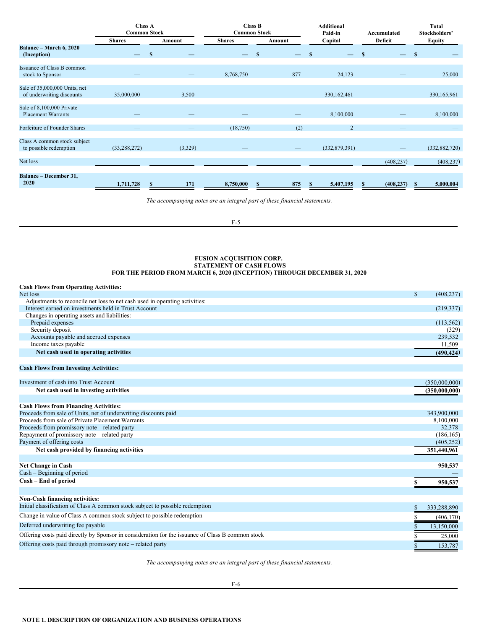|                                                            | <b>Class A</b><br><b>Common Stock</b> |         | <b>Common Stock</b> | <b>Class B</b> | <b>Additional</b><br>Paid-in | Accumulated  | Total<br>Stockholders' |
|------------------------------------------------------------|---------------------------------------|---------|---------------------|----------------|------------------------------|--------------|------------------------|
|                                                            | <b>Shares</b>                         | Amount  | <b>Shares</b>       | Amount         | Capital                      | Deficit      | <b>Equity</b>          |
| Balance – March 6, 2020<br>(Inception)                     |                                       | S       |                     | S              |                              | $\mathbf{s}$ |                        |
| Issuance of Class B common<br>stock to Sponsor             |                                       |         | 8,768,750           | 877            | 24,123                       |              | 25,000                 |
| Sale of 35,000,000 Units, net<br>of underwriting discounts | 35,000,000                            | 3,500   |                     |                | 330, 162, 461                |              | 330, 165, 961          |
| Sale of 8,100,000 Private<br><b>Placement Warrants</b>     |                                       |         |                     |                | 8,100,000                    |              | 8,100,000              |
| Forfeiture of Founder Shares                               |                                       |         | (18,750)            | (2)            | $\overline{2}$               |              |                        |
| Class A common stock subject<br>to possible redemption     | (33, 288, 272)                        | (3,329) |                     |                | (332, 879, 391)              |              | (332, 882, 720)        |
| Net loss                                                   |                                       |         |                     |                |                              | (408, 237)   | (408, 237)             |
| <b>Balance - December 31,</b><br>2020                      | 1,711,728                             | 171     | 8,750,000           | 875<br>S       | 5,407,195<br>-35             | (408, 237)   | 5,000,004              |

*The accompanying notes are an integral part of these financial statements.*

<span id="page-32-2"></span><span id="page-32-0"></span>F-5

# **FUSION ACQUISITION CORP. STATEMENT OF CASH FLOWS FOR THE PERIOD FROM MARCH 6, 2020 (INCEPTION) THROUGH DECEMBER 31, 2020**

| <b>Cash Flows from Operating Activities:</b>                                                                    |              |                          |
|-----------------------------------------------------------------------------------------------------------------|--------------|--------------------------|
| Net loss                                                                                                        | $\mathbb{S}$ | (408, 237)               |
| Adjustments to reconcile net loss to net cash used in operating activities:                                     |              |                          |
| Interest earned on investments held in Trust Account                                                            |              | (219, 337)               |
| Changes in operating assets and liabilities:                                                                    |              |                          |
| Prepaid expenses                                                                                                |              | (113, 562)               |
| Security deposit                                                                                                |              | (329)                    |
| Accounts payable and accrued expenses                                                                           |              | 239,532                  |
| Income taxes payable                                                                                            |              | 11,509                   |
| Net cash used in operating activities                                                                           |              | (490, 424)               |
|                                                                                                                 |              |                          |
| <b>Cash Flows from Investing Activities:</b>                                                                    |              |                          |
| Investment of cash into Trust Account                                                                           |              |                          |
|                                                                                                                 |              | (350,000,000)            |
| Net cash used in investing activities                                                                           |              | (350,000,000)            |
|                                                                                                                 |              |                          |
| <b>Cash Flows from Financing Activities:</b><br>Proceeds from sale of Units, net of underwriting discounts paid |              |                          |
| Proceeds from sale of Private Placement Warrants                                                                |              | 343,900,000<br>8,100,000 |
| Proceeds from promissory note – related party                                                                   |              | 32,378                   |
| Repayment of promissory note – related party                                                                    |              | (186, 165)               |
| Payment of offering costs                                                                                       |              | (405, 252)               |
| Net cash provided by financing activities                                                                       |              | 351,440,961              |
|                                                                                                                 |              |                          |
| <b>Net Change in Cash</b>                                                                                       |              | 950,537                  |
| $Cash - Beginning of period$                                                                                    |              |                          |
| Cash – End of period                                                                                            |              | 950,537                  |
|                                                                                                                 |              |                          |
| Non-Cash financing activities:                                                                                  |              |                          |
| Initial classification of Class A common stock subject to possible redemption                                   |              |                          |
|                                                                                                                 | \$           | 333,288,890              |
| Change in value of Class A common stock subject to possible redemption                                          |              | (406, 170)               |
| Deferred underwriting fee payable                                                                               | \$           | 13,150,000               |
| Offering costs paid directly by Sponsor in consideration for the issuance of Class B common stock               |              | 25,000                   |
| Offering costs paid through promissory note – related party                                                     |              | 153,787                  |
|                                                                                                                 |              |                          |

<span id="page-32-3"></span><span id="page-32-1"></span>*The accompanying notes are an integral part of these financial statements.*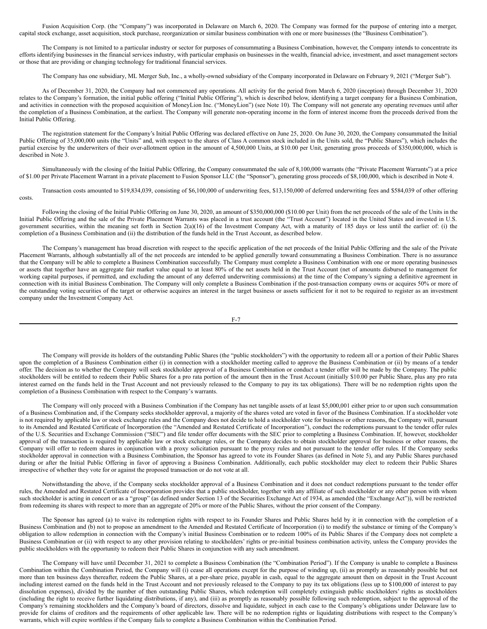Fusion Acquisition Corp. (the "Company") was incorporated in Delaware on March 6, 2020. The Company was formed for the purpose of entering into a merger, capital stock exchange, asset acquisition, stock purchase, reorganization or similar business combination with one or more businesses (the "Business Combination").

The Company is not limited to a particular industry or sector for purposes of consummating a Business Combination, however, the Company intends to concentrate its efforts identifying businesses in the financial services industry, with particular emphasis on businesses in the wealth, financial advice, investment, and asset management sectors or those that are providing or changing technology for traditional financial services.

The Company has one subsidiary, ML Merger Sub, Inc., a wholly-owned subsidiary of the Company incorporated in Delaware on February 9, 2021 ("Merger Sub").

As of December 31, 2020, the Company had not commenced any operations. All activity for the period from March 6, 2020 (inception) through December 31, 2020 relates to the Company's formation, the initial public offering ("Initial Public Offering"), which is described below, identifying a target company for a Business Combination, and activities in connection with the proposed acquisition of MoneyLion Inc. ("MoneyLion") (see Note 10). The Company will not generate any operating revenues until after the completion of a Business Combination, at the earliest. The Company will generate non-operating income in the form of interest income from the proceeds derived from the Initial Public Offering.

The registration statement for the Company's Initial Public Offering was declared effective on June 25, 2020. On June 30, 2020, the Company consummated the Initial Public Offering of 35,000,000 units (the "Units" and, with respect to the shares of Class A common stock included in the Units sold, the "Public Shares"), which includes the partial exercise by the underwriters of their over-allotment option in the amount of 4,500,000 Units, at \$10.00 per Unit, generating gross proceeds of \$350,000,000, which is described in Note 3.

Simultaneously with the closing of the Initial Public Offering, the Company consummated the sale of 8,100,000 warrants (the "Private Placement Warrants") at a price of \$1.00 per Private Placement Warrant in a private placement to Fusion Sponsor LLC (the "Sponsor"), generating gross proceeds of \$8,100,000, which is described in Note 4.

Transaction costs amounted to \$19,834,039, consisting of \$6,100,000 of underwriting fees, \$13,150,000 of deferred underwriting fees and \$584,039 of other offering costs.

Following the closing of the Initial Public Offering on June 30, 2020, an amount of \$350,000,000 (\$10.00 per Unit) from the net proceeds of the sale of the Units in the Initial Public Offering and the sale of the Private Placement Warrants was placed in a trust account (the "Trust Account") located in the United States and invested in U.S. government securities, within the meaning set forth in Section 2(a)(16) of the Investment Company Act, with a maturity of 185 days or less until the earlier of: (i) the completion of a Business Combination and (ii) the distribution of the funds held in the Trust Account, as described below.

The Company's management has broad discretion with respect to the specific application of the net proceeds of the Initial Public Offering and the sale of the Private Placement Warrants, although substantially all of the net proceeds are intended to be applied generally toward consummating a Business Combination. There is no assurance that the Company will be able to complete a Business Combination successfully. The Company must complete a Business Combination with one or more operating businesses or assets that together have an aggregate fair market value equal to at least 80% of the net assets held in the Trust Account (net of amounts disbursed to management for working capital purposes, if permitted, and excluding the amount of any deferred underwriting commissions) at the time of the Company's signing a definitive agreement in connection with its initial Business Combination. The Company will only complete a Business Combination if the post-transaction company owns or acquires 50% or more of the outstanding voting securities of the target or otherwise acquires an interest in the target business or assets sufficient for it not to be required to register as an investment company under the Investment Company Act.

$$
F-7
$$

The Company will provide its holders of the outstanding Public Shares (the "public stockholders") with the opportunity to redeem all or a portion of their Public Shares upon the completion of a Business Combination either (i) in connection with a stockholder meeting called to approve the Business Combination or (ii) by means of a tender offer. The decision as to whether the Company will seek stockholder approval of a Business Combination or conduct a tender offer will be made by the Company. The public stockholders will be entitled to redeem their Public Shares for a pro rata portion of the amount then in the Trust Account (initially \$10.00 per Public Share, plus any pro rata interest earned on the funds held in the Trust Account and not previously released to the Company to pay its tax obligations). There will be no redemption rights upon the completion of a Business Combination with respect to the Company's warrants.

The Company will only proceed with a Business Combination if the Company has net tangible assets of at least \$5,000,001 either prior to or upon such consummation of a Business Combination and, if the Company seeks stockholder approval, a majority of the shares voted are voted in favor of the Business Combination. If a stockholder vote is not required by applicable law or stock exchange rules and the Company does not decide to hold a stockholder vote for business or other reasons, the Company will, pursuant to its Amended and Restated Certificate of Incorporation (the "Amended and Restated Certificate of Incorporation"), conduct the redemptions pursuant to the tender offer rules of the U.S. Securities and Exchange Commission ("SEC") and file tender offer documents with the SEC prior to completing a Business Combination. If, however, stockholder approval of the transaction is required by applicable law or stock exchange rules, or the Company decides to obtain stockholder approval for business or other reasons, the Company will offer to redeem shares in conjunction with a proxy solicitation pursuant to the proxy rules and not pursuant to the tender offer rules. If the Company seeks stockholder approval in connection with a Business Combination, the Sponsor has agreed to vote its Founder Shares (as defined in Note 5), and any Public Shares purchased during or after the Initial Public Offering in favor of approving a Business Combination. Additionally, each public stockholder may elect to redeem their Public Shares irrespective of whether they vote for or against the proposed transaction or do not vote at all.

Notwithstanding the above, if the Company seeks stockholder approval of a Business Combination and it does not conduct redemptions pursuant to the tender offer rules, the Amended and Restated Certificate of Incorporation provides that a public stockholder, together with any affiliate of such stockholder or any other person with whom such stockholder is acting in concert or as a "group" (as defined under Section 13 of the Securities Exchange Act of 1934, as amended (the "Exchange Act")), will be restricted from redeeming its shares with respect to more than an aggregate of 20% or more of the Public Shares, without the prior consent of the Company.

The Sponsor has agreed (a) to waive its redemption rights with respect to its Founder Shares and Public Shares held by it in connection with the completion of a Business Combination and (b) not to propose an amendment to the Amended and Restated Certificate of Incorporation (i) to modify the substance or timing of the Company's obligation to allow redemption in connection with the Company's initial Business Combination or to redeem 100% of its Public Shares if the Company does not complete a Business Combination or (ii) with respect to any other provision relating to stockholders' rights or pre-initial business combination activity, unless the Company provides the public stockholders with the opportunity to redeem their Public Shares in conjunction with any such amendment.

The Company will have until December 31, 2021 to complete a Business Combination (the "Combination Period"). If the Company is unable to complete a Business Combination within the Combination Period, the Company will (i) cease all operations except for the purpose of winding up, (ii) as promptly as reasonably possible but not more than ten business days thereafter, redeem the Public Shares, at a per-share price, payable in cash, equal to the aggregate amount then on deposit in the Trust Account including interest earned on the funds held in the Trust Account and not previously released to the Company to pay its tax obligations (less up to \$100,000 of interest to pay dissolution expenses), divided by the number of then outstanding Public Shares, which redemption will completely extinguish public stockholders' rights as stockholders (including the right to receive further liquidating distributions, if any), and (iii) as promptly as reasonably possible following such redemption, subject to the approval of the Company's remaining stockholders and the Company's board of directors, dissolve and liquidate, subject in each case to the Company's obligations under Delaware law to provide for claims of creditors and the requirements of other applicable law. There will be no redemption rights or liquidating distributions with respect to the Company's warrants, which will expire worthless if the Company fails to complete a Business Combination within the Combination Period.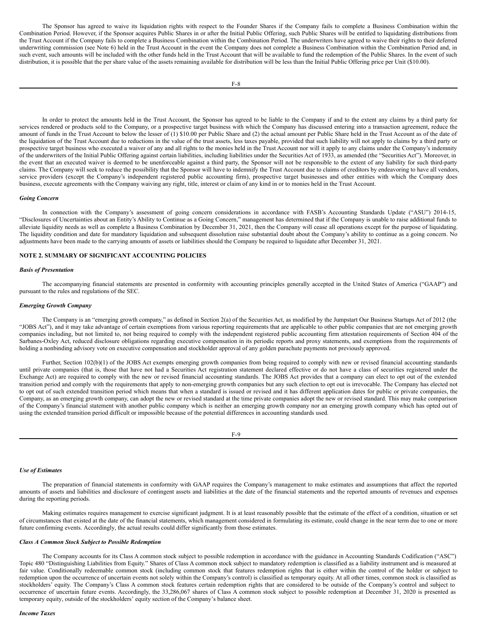The Sponsor has agreed to waive its liquidation rights with respect to the Founder Shares if the Company fails to complete a Business Combination within the Combination Period. However, if the Sponsor acquires Public Shares in or after the Initial Public Offering, such Public Shares will be entitled to liquidating distributions from the Trust Account if the Company fails to complete a Business Combination within the Combination Period. The underwriters have agreed to waive their rights to their deferred underwriting commission (see Note 6) held in the Trust Account in the event the Company does not complete a Business Combination within the Combination Period and, in such event, such amounts will be included with the other funds held in the Trust Account that will be available to fund the redemption of the Public Shares. In the event of such distribution, it is possible that the per share value of the assets remaining available for distribution will be less than the Initial Public Offering price per Unit (\$10.00).

In order to protect the amounts held in the Trust Account, the Sponsor has agreed to be liable to the Company if and to the extent any claims by a third party for services rendered or products sold to the Company, or a prospective target business with which the Company has discussed entering into a transaction agreement, reduce the amount of funds in the Trust Account to below the lesser of (1) \$10.00 per Public Share and (2) the actual amount per Public Share held in the Trust Account as of the date of the liquidation of the Trust Account due to reductions in the value of the trust assets, less taxes payable, provided that such liability will not apply to claims by a third party or prospective target business who executed a waiver of any and all rights to the monies held in the Trust Account nor will it apply to any claims under the Company's indemnity of the underwriters of the Initial Public Offering against certain liabilities, including liabilities under the Securities Act of 1933, as amended (the "Securities Act"). Moreover, in the event that an executed waiver is deemed to be unenforceable against a third party, the Sponsor will not be responsible to the extent of any liability for such third-party claims. The Company will seek to reduce the possibility that the Sponsor will have to indemnify the Trust Account due to claims of creditors by endeavoring to have all vendors, service providers (except the Company's independent registered public accounting firm), prospective target businesses and other entities with which the Company does business, execute agreements with the Company waiving any right, title, interest or claim of any kind in or to monies held in the Trust Account.

#### *Going Concern*

In connection with the Company's assessment of going concern considerations in accordance with FASB's Accounting Standards Update ("ASU") 2014-15, "Disclosures of Uncertainties about an Entity's Ability to Continue as a Going Concern," management has determined that if the Company is unable to raise additional funds to alleviate liquidity needs as well as complete a Business Combination by December 31, 2021, then the Company will cease all operations except for the purpose of liquidating. The liquidity condition and date for mandatory liquidation and subsequent dissolution raise substantial doubt about the Company's ability to continue as a going concern. No adjustments have been made to the carrying amounts of assets or liabilities should the Company be required to liquidate after December 31, 2021.

#### **NOTE 2. SUMMARY OF SIGNIFICANT ACCOUNTING POLICIES**

#### *Basis of Presentation*

The accompanying financial statements are presented in conformity with accounting principles generally accepted in the United States of America ("GAAP") and pursuant to the rules and regulations of the SEC.

#### *Emerging Growth Company*

The Company is an "emerging growth company," as defined in Section 2(a) of the Securities Act, as modified by the Jumpstart Our Business Startups Act of 2012 (the "JOBS Act"), and it may take advantage of certain exemptions from various reporting requirements that are applicable to other public companies that are not emerging growth companies including, but not limited to, not being required to comply with the independent registered public accounting firm attestation requirements of Section 404 of the Sarbanes-Oxley Act, reduced disclosure obligations regarding executive compensation in its periodic reports and proxy statements, and exemptions from the requirements of holding a nonbinding advisory vote on executive compensation and stockholder approval of any golden parachute payments not previously approved.

Further, Section 102(b)(1) of the JOBS Act exempts emerging growth companies from being required to comply with new or revised financial accounting standards until private companies (that is, those that have not had a Securities Act registration statement declared effective or do not have a class of securities registered under the Exchange Act) are required to comply with the new or revised financial accounting standards. The JOBS Act provides that a company can elect to opt out of the extended transition period and comply with the requirements that apply to non-emerging growth companies but any such election to opt out is irrevocable. The Company has elected not to opt out of such extended transition period which means that when a standard is issued or revised and it has different application dates for public or private companies, the Company, as an emerging growth company, can adopt the new or revised standard at the time private companies adopt the new or revised standard. This may make comparison of the Company's financial statement with another public company which is neither an emerging growth company nor an emerging growth company which has opted out of using the extended transition period difficult or impossible because of the potential differences in accounting standards used.

F-9

# *Use of Estimates*

The preparation of financial statements in conformity with GAAP requires the Company's management to make estimates and assumptions that affect the reported amounts of assets and liabilities and disclosure of contingent assets and liabilities at the date of the financial statements and the reported amounts of revenues and expenses during the reporting periods.

Making estimates requires management to exercise significant judgment. It is at least reasonably possible that the estimate of the effect of a condition, situation or set of circumstances that existed at the date of the financial statements, which management considered in formulating its estimate, could change in the near term due to one or more future confirming events. Accordingly, the actual results could differ significantly from those estimates.

# *Class A Common Stock Subject to Possible Redemption*

The Company accounts for its Class A common stock subject to possible redemption in accordance with the guidance in Accounting Standards Codification ("ASC") Topic 480 "Distinguishing Liabilities from Equity." Shares of Class A common stock subject to mandatory redemption is classified as a liability instrument and is measured at fair value. Conditionally redeemable common stock (including common stock that features redemption rights that is either within the control of the holder or subject to redemption upon the occurrence of uncertain events not solely within the Company's control) is classified as temporary equity. At all other times, common stock is classified as stockholders' equity. The Company's Class A common stock features certain redemption rights that are considered to be outside of the Company's control and subject to occurrence of uncertain future events. Accordingly, the 33,286,067 shares of Class A common stock subject to possible redemption at December 31, 2020 is presented as temporary equity, outside of the stockholders' equity section of the Company's balance sheet.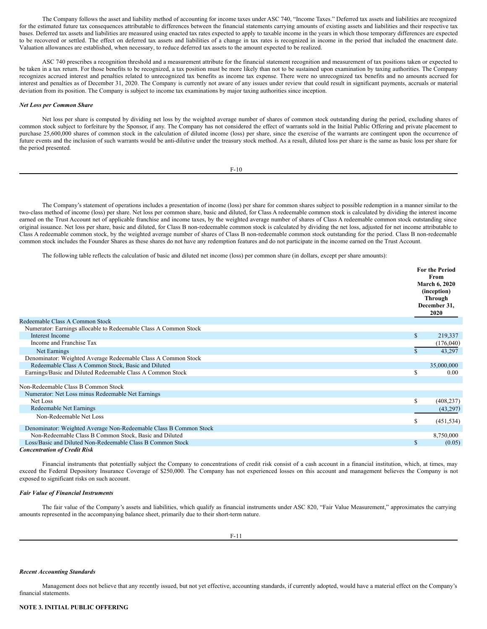The Company follows the asset and liability method of accounting for income taxes under ASC 740, "Income Taxes." Deferred tax assets and liabilities are recognized for the estimated future tax consequences attributable to differences between the financial statements carrying amounts of existing assets and liabilities and their respective tax bases. Deferred tax assets and liabilities are measured using enacted tax rates expected to apply to taxable income in the years in which those temporary differences are expected to be recovered or settled. The effect on deferred tax assets and liabilities of a change in tax rates is recognized in income in the period that included the enactment date. Valuation allowances are established, when necessary, to reduce deferred tax assets to the amount expected to be realized.

ASC 740 prescribes a recognition threshold and a measurement attribute for the financial statement recognition and measurement of tax positions taken or expected to be taken in a tax return. For those benefits to be recognized, a tax position must be more likely than not to be sustained upon examination by taxing authorities. The Company recognizes accrued interest and penalties related to unrecognized tax benefits as income tax expense. There were no unrecognized tax benefits and no amounts accrued for interest and penalties as of December 31, 2020. The Company is currently not aware of any issues under review that could result in significant payments, accruals or material deviation from its position. The Company is subject to income tax examinations by major taxing authorities since inception.

# *Net Loss per Common Share*

Net loss per share is computed by dividing net loss by the weighted average number of shares of common stock outstanding during the period, excluding shares of common stock subject to forfeiture by the Sponsor, if any. The Company has not considered the effect of warrants sold in the Initial Public Offering and private placement to purchase 25,600,000 shares of common stock in the calculation of diluted income (loss) per share, since the exercise of the warrants are contingent upon the occurrence of future events and the inclusion of such warrants would be anti-dilutive under the treasury stock method. As a result, diluted loss per share is the same as basic loss per share for the period presented.

F-10

The Company's statement of operations includes a presentation of income (loss) per share for common shares subject to possible redemption in a manner similar to the two-class method of income (loss) per share. Net loss per common share, basic and diluted, for Class A redeemable common stock is calculated by dividing the interest income earned on the Trust Account net of applicable franchise and income taxes, by the weighted average number of shares of Class A redeemable common stock outstanding since original issuance. Net loss per share, basic and diluted, for Class B non-redeemable common stock is calculated by dividing the net loss, adjusted for net income attributable to Class A redeemable common stock, by the weighted average number of shares of Class B non-redeemable common stock outstanding for the period. Class B non-redeemable common stock includes the Founder Shares as these shares do not have any redemption features and do not participate in the income earned on the Trust Account.

The following table reflects the calculation of basic and diluted net income (loss) per common share (in dollars, except per share amounts):

|                                                                   |              | <b>For the Period</b><br>From<br><b>March 6, 2020</b><br>(inception)<br><b>Through</b><br>December 31,<br>2020 |
|-------------------------------------------------------------------|--------------|----------------------------------------------------------------------------------------------------------------|
| Redeemable Class A Common Stock                                   |              |                                                                                                                |
| Numerator: Earnings allocable to Redeemable Class A Common Stock  |              |                                                                                                                |
| <b>Interest Income</b>                                            | $\mathbb{S}$ | 219,337                                                                                                        |
| Income and Franchise Tax                                          |              | (176,040)                                                                                                      |
| Net Earnings                                                      |              | 43,297                                                                                                         |
| Denominator: Weighted Average Redeemable Class A Common Stock     |              |                                                                                                                |
| Redeemable Class A Common Stock, Basic and Diluted                |              | 35,000,000                                                                                                     |
| Earnings/Basic and Diluted Redeemable Class A Common Stock        | S            | 0.00                                                                                                           |
|                                                                   |              |                                                                                                                |
| Non-Redeemable Class B Common Stock                               |              |                                                                                                                |
| Numerator: Net Loss minus Redeemable Net Earnings                 |              |                                                                                                                |
| Net Loss                                                          | S.           | (408, 237)                                                                                                     |
| <b>Redeemable Net Earnings</b>                                    |              | (43,297)                                                                                                       |
| Non-Redeemable Net Loss                                           | S.           | (451, 534)                                                                                                     |
| Denominator: Weighted Average Non-Redeemable Class B Common Stock |              |                                                                                                                |
| Non-Redeemable Class B Common Stock, Basic and Diluted            |              | 8,750,000                                                                                                      |
| Loss/Basic and Diluted Non-Redeemable Class B Common Stock        | $\mathbb{S}$ | (0.05)                                                                                                         |
| <b>Concentration of Credit Risk</b>                               |              |                                                                                                                |

Financial instruments that potentially subject the Company to concentrations of credit risk consist of a cash account in a financial institution, which, at times, may exceed the Federal Depository Insurance Coverage of \$250,000. The Company has not experienced losses on this account and management believes the Company is not exposed to significant risks on such account.

## *Fair Value of Financial Instruments*

The fair value of the Company's assets and liabilities, which qualify as financial instruments under ASC 820, "Fair Value Measurement," approximates the carrying amounts represented in the accompanying balance sheet, primarily due to their short-term nature.

#### *Recent Accounting Standards*

Management does not believe that any recently issued, but not yet effective, accounting standards, if currently adopted, would have a material effect on the Company's financial statements.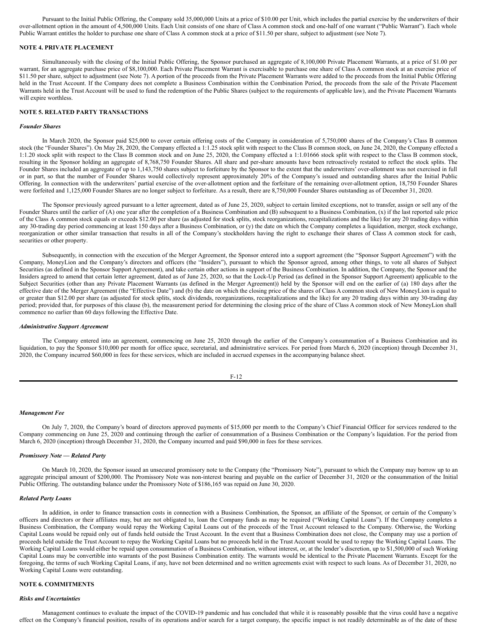Pursuant to the Initial Public Offering, the Company sold 35,000,000 Units at a price of \$10.00 per Unit, which includes the partial exercise by the underwriters of their over-allotment option in the amount of 4,500,000 Units. Each Unit consists of one share of Class A common stock and one-half of one warrant ("Public Warrant"). Each whole Public Warrant entitles the holder to purchase one share of Class A common stock at a price of \$11.50 per share, subject to adjustment (see Note 7).

#### **NOTE 4. PRIVATE PLACEMENT**

Simultaneously with the closing of the Initial Public Offering, the Sponsor purchased an aggregate of 8,100,000 Private Placement Warrants, at a price of \$1.00 per warrant, for an aggregate purchase price of \$8,100,000. Each Private Placement Warrant is exercisable to purchase one share of Class A common stock at an exercise price of \$11.50 per share, subject to adjustment (see Note 7). A portion of the proceeds from the Private Placement Warrants were added to the proceeds from the Initial Public Offering held in the Trust Account. If the Company does not complete a Business Combination within the Combination Period, the proceeds from the sale of the Private Placement Warrants held in the Trust Account will be used to fund the redemption of the Public Shares (subject to the requirements of applicable law), and the Private Placement Warrants will expire worthless.

# **NOTE 5. RELATED PARTY TRANSACTIONS**

#### *Founder Shares*

In March 2020, the Sponsor paid \$25,000 to cover certain offering costs of the Company in consideration of 5,750,000 shares of the Company's Class B common stock (the "Founder Shares"). On May 28, 2020, the Company effected a 1:1.25 stock split with respect to the Class B common stock, on June 24, 2020, the Company effected a 1:1.20 stock split with respect to the Class B common stock and on June 25, 2020, the Company effected a 1:1.01666 stock split with respect to the Class B common stock, resulting in the Sponsor holding an aggregate of 8,768,750 Founder Shares. All share and per-share amounts have been retroactively restated to reflect the stock splits. The Founder Shares included an aggregate of up to 1,143,750 shares subject to forfeiture by the Sponsor to the extent that the underwriters' over-allotment was not exercised in full or in part, so that the number of Founder Shares would collectively represent approximately 20% of the Company's issued and outstanding shares after the Initial Public Offering. In connection with the underwriters' partial exercise of the over-allotment option and the forfeiture of the remaining over-allotment option, 18,750 Founder Shares were forfeited and 1,125,000 Founder Shares are no longer subject to forfeiture. As a result, there are 8,750,000 Founder Shares outstanding as of December 31, 2020.

The Sponsor previously agreed pursuant to a letter agreement, dated as of June 25, 2020, subject to certain limited exceptions, not to transfer, assign or sell any of the Founder Shares until the earlier of (A) one year after the completion of a Business Combination and (B) subsequent to a Business Combination, (x) if the last reported sale price of the Class A common stock equals or exceeds \$12.00 per share (as adjusted for stock splits, stock reorganizations, recapitalizations and the like) for any 20 trading days within any 30-trading day period commencing at least 150 days after a Business Combination, or (y) the date on which the Company completes a liquidation, merger, stock exchange, reorganization or other similar transaction that results in all of the Company's stockholders having the right to exchange their shares of Class A common stock for cash, securities or other property.

Subsequently, in connection with the execution of the Merger Agreement, the Sponsor entered into a support agreement (the "Sponsor Support Agreement") with the Company, MoneyLion and the Company's directors and officers (the "Insiders"), pursuant to which the Sponsor agreed, among other things, to vote all shares of Subject Securities (as defined in the Sponsor Support Agreement), and take certain other actions in support of the Business Combination. In addition, the Company, the Sponsor and the Insiders agreed to amend that certain letter agreement, dated as of June 25, 2020, so that the Lock-Up Period (as defined in the Sponsor Support Agreement) applicable to the Subject Securities (other than any Private Placement Warrants (as defined in the Merger Agreement)) held by the Sponsor will end on the earlier of (a) 180 days after the effective date of the Merger Agreement (the "Effective Date") and (b) the date on which the closing price of the shares of Class A common stock of New MoneyLion is equal to or greater than \$12.00 per share (as adjusted for stock splits, stock dividends, reorganizations, recapitalizations and the like) for any 20 trading days within any 30-trading day period; provided that, for purposes of this clause (b), the measurement period for determining the closing price of the share of Class A common stock of New MoneyLion shall commence no earlier than 60 days following the Effective Date.

#### *Administrative Support Agreement*

The Company entered into an agreement, commencing on June 25, 2020 through the earlier of the Company's consummation of a Business Combination and its liquidation, to pay the Sponsor \$10,000 per month for office space, secretarial, and administrative services. For period from March 6, 2020 (inception) through December 31, 2020, the Company incurred \$60,000 in fees for these services, which are included in accrued expenses in the accompanying balance sheet.

# *Management Fee*

On July 7, 2020, the Company's board of directors approved payments of \$15,000 per month to the Company's Chief Financial Officer for services rendered to the Company commencing on June 25, 2020 and continuing through the earlier of consummation of a Business Combination or the Company's liquidation. For the period from March 6, 2020 (inception) through December 31, 2020, the Company incurred and paid \$90,000 in fees for these services.

# *Promissory Note — Related Party*

On March 10, 2020, the Sponsor issued an unsecured promissory note to the Company (the "Promissory Note"), pursuant to which the Company may borrow up to an aggregate principal amount of \$200,000. The Promissory Note was non-interest bearing and payable on the earlier of December 31, 2020 or the consummation of the Initial Public Offering. The outstanding balance under the Promissory Note of \$186,165 was repaid on June 30, 2020.

#### *Related Party Loans*

In addition, in order to finance transaction costs in connection with a Business Combination, the Sponsor, an affiliate of the Sponsor, or certain of the Company's officers and directors or their affiliates may, but are not obligated to, loan the Company funds as may be required ("Working Capital Loans"). If the Company completes a Business Combination, the Company would repay the Working Capital Loans out of the proceeds of the Trust Account released to the Company. Otherwise, the Working Capital Loans would be repaid only out of funds held outside the Trust Account. In the event that a Business Combination does not close, the Company may use a portion of proceeds held outside the Trust Account to repay the Working Capital Loans but no proceeds held in the Trust Account would be used to repay the Working Capital Loans. The Working Capital Loans would either be repaid upon consummation of a Business Combination, without interest, or, at the lender's discretion, up to \$1,500,000 of such Working Capital Loans may be convertible into warrants of the post Business Combination entity. The warrants would be identical to the Private Placement Warrants. Except for the foregoing, the terms of such Working Capital Loans, if any, have not been determined and no written agreements exist with respect to such loans. As of December 31, 2020, no Working Capital Loans were outstanding.

# **NOTE 6. COMMITMENTS**

#### *Risks and Uncertainties*

Management continues to evaluate the impact of the COVID-19 pandemic and has concluded that while it is reasonably possible that the virus could have a negative effect on the Company's financial position, results of its operations and/or search for a target company, the specific impact is not readily determinable as of the date of these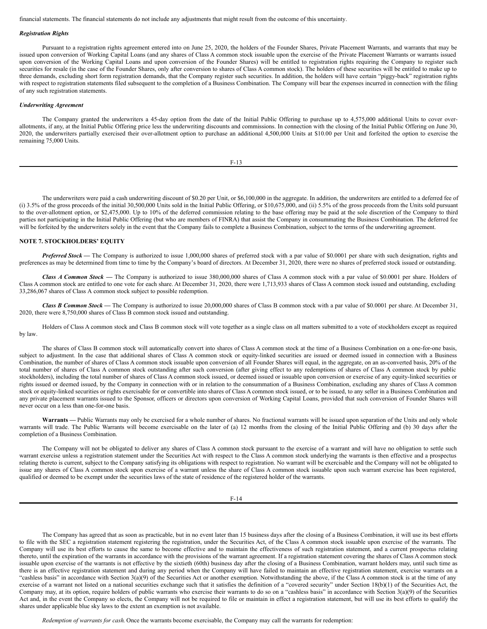financial statements. The financial statements do not include any adjustments that might result from the outcome of this uncertainty.

#### *Registration Rights*

Pursuant to a registration rights agreement entered into on June 25, 2020, the holders of the Founder Shares, Private Placement Warrants, and warrants that may be issued upon conversion of Working Capital Loans (and any shares of Class A common stock issuable upon the exercise of the Private Placement Warrants or warrants issued upon conversion of the Working Capital Loans and upon conversion of the Founder Shares) will be entitled to registration rights requiring the Company to register such securities for resale (in the case of the Founder Shares, only after conversion to shares of Class A common stock). The holders of these securities will be entitled to make up to three demands, excluding short form registration demands, that the Company register such securities. In addition, the holders will have certain "piggy-back" registration rights with respect to registration statements filed subsequent to the completion of a Business Combination. The Company will bear the expenses incurred in connection with the filing of any such registration statements.

# *Underwriting Agreement*

The Company granted the underwriters a 45-day option from the date of the Initial Public Offering to purchase up to 4,575,000 additional Units to cover overallotments, if any, at the Initial Public Offering price less the underwriting discounts and commissions. In connection with the closing of the Initial Public Offering on June 30, 2020, the underwriters partially exercised their over-allotment option to purchase an additional 4,500,000 Units at \$10.00 per Unit and forfeited the option to exercise the remaining 75,000 Units.

The underwriters were paid a cash underwriting discount of \$0.20 per Unit, or \$6,100,000 in the aggregate. In addition, the underwriters are entitled to a deferred fee of (i) 3.5% of the gross proceeds of the initial 30,500,000 Units sold in the Initial Public Offering, or \$10,675,000, and (ii) 5.5% of the gross proceeds from the Units sold pursuant to the over-allotment option, or \$2,475,000. Up to 10% of the deferred commission relating to the base offering may be paid at the sole discretion of the Company to third parties not participating in the Initial Public Offering (but who are members of FINRA) that assist the Company in consummating the Business Combination. The deferred fee will be forfeited by the underwriters solely in the event that the Company fails to complete a Business Combination, subject to the terms of the underwriting agreement.

### **NOTE 7. STOCKHOLDERS' EQUITY**

*Preferred Stock* — The Company is authorized to issue 1,000,000 shares of preferred stock with a par value of \$0.0001 per share with such designation, rights and preferences as may be determined from time to time by the Company's board of directors. At December 31, 2020, there were no shares of preferred stock issued or outstanding.

*Class A Common Stock* **—** The Company is authorized to issue 380,000,000 shares of Class A common stock with a par value of \$0.0001 per share. Holders of Class A common stock are entitled to one vote for each share. At December 31, 2020, there were 1,713,933 shares of Class A common stock issued and outstanding, excluding 33,286,067 shares of Class A common stock subject to possible redemption.

*Class B Common Stock* **—** The Company is authorized to issue 20,000,000 shares of Class B common stock with a par value of \$0.0001 per share. At December 31, 2020, there were 8,750,000 shares of Class B common stock issued and outstanding.

Holders of Class A common stock and Class B common stock will vote together as a single class on all matters submitted to a vote of stockholders except as required by law.

The shares of Class B common stock will automatically convert into shares of Class A common stock at the time of a Business Combination on a one-for-one basis, subject to adjustment. In the case that additional shares of Class A common stock or equity-linked securities are issued or deemed issued in connection with a Business Combination, the number of shares of Class A common stock issuable upon conversion of all Founder Shares will equal, in the aggregate, on an as-converted basis, 20% of the total number of shares of Class A common stock outstanding after such conversion (after giving effect to any redemptions of shares of Class A common stock by public stockholders), including the total number of shares of Class A common stock issued, or deemed issued or issuable upon conversion or exercise of any equity-linked securities or rights issued or deemed issued, by the Company in connection with or in relation to the consummation of a Business Combination, excluding any shares of Class A common stock or equity-linked securities or rights exercisable for or convertible into shares of Class A common stock issued, or to be issued, to any seller in a Business Combination and any private placement warrants issued to the Sponsor, officers or directors upon conversion of Working Capital Loans, provided that such conversion of Founder Shares will never occur on a less than one-for-one basis.

**Warrants —** Public Warrants may only be exercised for a whole number of shares. No fractional warrants will be issued upon separation of the Units and only whole warrants will trade. The Public Warrants will become exercisable on the later of (a) 12 months from the closing of the Initial Public Offering and (b) 30 days after the completion of a Business Combination.

The Company will not be obligated to deliver any shares of Class A common stock pursuant to the exercise of a warrant and will have no obligation to settle such warrant exercise unless a registration statement under the Securities Act with respect to the Class A common stock underlying the warrants is then effective and a prospectus relating thereto is current, subject to the Company satisfying its obligations with respect to registration. No warrant will be exercisable and the Company will not be obligated to issue any shares of Class A common stock upon exercise of a warrant unless the share of Class A common stock issuable upon such warrant exercise has been registered, qualified or deemed to be exempt under the securities laws of the state of residence of the registered holder of the warrants.

F-14

The Company has agreed that as soon as practicable, but in no event later than 15 business days after the closing of a Business Combination, it will use its best efforts to file with the SEC a registration statement registering the registration, under the Securities Act, of the Class A common stock issuable upon exercise of the warrants. The Company will use its best efforts to cause the same to become effective and to maintain the effectiveness of such registration statement, and a current prospectus relating thereto, until the expiration of the warrants in accordance with the provisions of the warrant agreement. If a registration statement covering the shares of Class A common stock issuable upon exercise of the warrants is not effective by the sixtieth (60th) business day after the closing of a Business Combination, warrant holders may, until such time as there is an effective registration statement and during any period when the Company will have failed to maintain an effective registration statement, exercise warrants on a "cashless basis" in accordance with Section 3(a)(9) of the Securities Act or another exemption. Notwithstanding the above, if the Class A common stock is at the time of any exercise of a warrant not listed on a national securities exchange such that it satisfies the definition of a "covered security" under Section 18(b)(1) of the Securities Act, the Company may, at its option, require holders of public warrants who exercise their warrants to do so on a "cashless basis" in accordance with Section 3(a)(9) of the Securities Act and, in the event the Company so elects, the Company will not be required to file or maintain in effect a registration statement, but will use its best efforts to qualify the shares under applicable blue sky laws to the extent an exemption is not available.

*Redemption of warrants for cash*. Once the warrants become exercisable, the Company may call the warrants for redemption: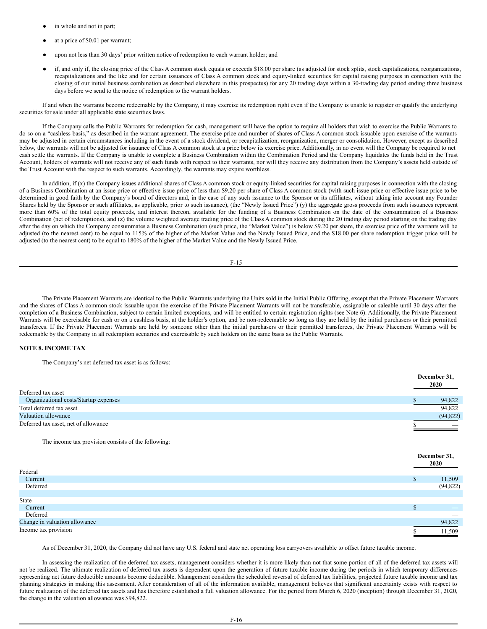- in whole and not in part;
- at a price of \$0.01 per warrant;
- upon not less than 30 days' prior written notice of redemption to each warrant holder; and
- if, and only if, the closing price of the Class A common stock equals or exceeds \$18.00 per share (as adjusted for stock splits, stock capitalizations, reorganizations, recapitalizations and the like and for certain issuances of Class A common stock and equity-linked securities for capital raising purposes in connection with the closing of our initial business combination as described elsewhere in this prospectus) for any 20 trading days within a 30-trading day period ending three business days before we send to the notice of redemption to the warrant holders.

If and when the warrants become redeemable by the Company, it may exercise its redemption right even if the Company is unable to register or qualify the underlying securities for sale under all applicable state securities laws.

If the Company calls the Public Warrants for redemption for cash, management will have the option to require all holders that wish to exercise the Public Warrants to do so on a "cashless basis," as described in the warrant agreement. The exercise price and number of shares of Class A common stock issuable upon exercise of the warrants may be adjusted in certain circumstances including in the event of a stock dividend, or recapitalization, reorganization, merger or consolidation. However, except as described below, the warrants will not be adjusted for issuance of Class A common stock at a price below its exercise price. Additionally, in no event will the Company be required to net cash settle the warrants. If the Company is unable to complete a Business Combination within the Combination Period and the Company liquidates the funds held in the Trust Account, holders of warrants will not receive any of such funds with respect to their warrants, nor will they receive any distribution from the Company's assets held outside of the Trust Account with the respect to such warrants. Accordingly, the warrants may expire worthless.

In addition, if (x) the Company issues additional shares of Class A common stock or equity-linked securities for capital raising purposes in connection with the closing of a Business Combination at an issue price or effective issue price of less than \$9.20 per share of Class A common stock (with such issue price or effective issue price to be determined in good faith by the Company's board of directors and, in the case of any such issuance to the Sponsor or its affiliates, without taking into account any Founder Shares held by the Sponsor or such affiliates, as applicable, prior to such issuance), (the "Newly Issued Price") (y) the aggregate gross proceeds from such issuances represent more than 60% of the total equity proceeds, and interest thereon, available for the funding of a Business Combination on the date of the consummation of a Business Combination (net of redemptions), and (z) the volume weighted average trading price of the Class A common stock during the 20 trading day period starting on the trading day after the day on which the Company consummates a Business Combination (such price, the "Market Value") is below \$9.20 per share, the exercise price of the warrants will be adjusted (to the nearest cent) to be equal to 115% of the higher of the Market Value and the Newly Issued Price, and the \$18.00 per share redemption trigger price will be adjusted (to the nearest cent) to be equal to 180% of the higher of the Market Value and the Newly Issued Price.

The Private Placement Warrants are identical to the Public Warrants underlying the Units sold in the Initial Public Offering, except that the Private Placement Warrants and the shares of Class A common stock issuable upon the exercise of the Private Placement Warrants will not be transferable, assignable or saleable until 30 days after the completion of a Business Combination, subject to certain limited exceptions, and will be entitled to certain registration rights (see Note 6). Additionally, the Private Placement Warrants will be exercisable for cash or on a cashless basis, at the holder's option, and be non-redeemable so long as they are held by the initial purchasers or their permitted transferees. If the Private Placement Warrants are held by someone other than the initial purchasers or their permitted transferees, the Private Placement Warrants will be redeemable by the Company in all redemption scenarios and exercisable by such holders on the same basis as the Public Warrants.

# **NOTE 8. INCOME TAX**

The Company's net deferred tax asset is as follows:

| Deferred tax asset                    | December 31,<br>2020     |
|---------------------------------------|--------------------------|
| Organizational costs/Startup expenses | 94,822                   |
| Total deferred tax asset              | 94,822                   |
| Valuation allowance                   | (94, 822)                |
| Deferred tax asset, net of allowance  | $\overline{\phantom{a}}$ |

The income tax provision consists of the following:

| Federal                       |    | December 31,<br>2020            |
|-------------------------------|----|---------------------------------|
| Current                       | D. | 11,509                          |
| Deferred                      |    | (94, 822)                       |
|                               |    |                                 |
| State                         |    |                                 |
| Current                       |    | $\overline{\phantom{a}}$        |
| Deferred                      |    | $\hspace{0.1mm}-\hspace{0.1mm}$ |
| Change in valuation allowance |    | 94,822                          |
| Income tax provision          |    | 11,509                          |

As of December 31, 2020, the Company did not have any U.S. federal and state net operating loss carryovers available to offset future taxable income.

In assessing the realization of the deferred tax assets, management considers whether it is more likely than not that some portion of all of the deferred tax assets will not be realized. The ultimate realization of deferred tax assets is dependent upon the generation of future taxable income during the periods in which temporary differences representing net future deductible amounts become deductible. Management considers the scheduled reversal of deferred tax liabilities, projected future taxable income and tax planning strategies in making this assessment. After consideration of all of the information available, management believes that significant uncertainty exists with respect to future realization of the deferred tax assets and has therefore established a full valuation allowance. For the period from March 6, 2020 (inception) through December 31, 2020, the change in the valuation allowance was \$94,822.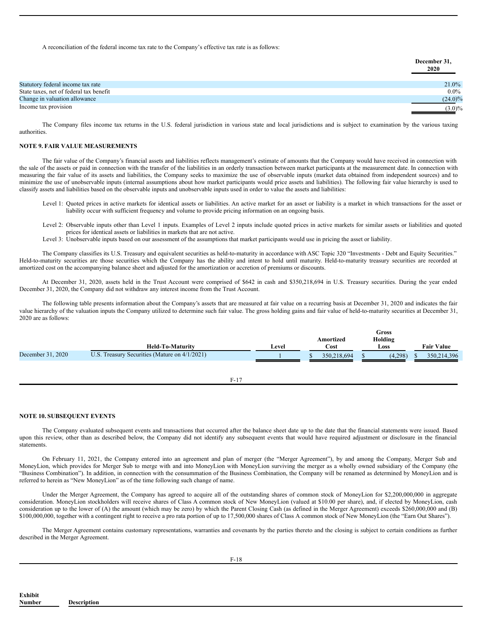A reconciliation of the federal income tax rate to the Company's effective tax rate is as follows:

|                                         | December 31,<br>2020 |
|-----------------------------------------|----------------------|
| Statutory federal income tax rate       | 21.0%                |
| State taxes, net of federal tax benefit | $0.0\%$              |
| Change in valuation allowance           | $(24.0)\%$           |
| Income tax provision                    | $(3.0)\%$            |

The Company files income tax returns in the U.S. federal jurisdiction in various state and local jurisdictions and is subject to examination by the various taxing authorities.

#### **NOTE 9. FAIR VALUE MEASUREMENTS**

The fair value of the Company's financial assets and liabilities reflects management's estimate of amounts that the Company would have received in connection with the sale of the assets or paid in connection with the transfer of the liabilities in an orderly transaction between market participants at the measurement date. In connection with measuring the fair value of its assets and liabilities, the Company seeks to maximize the use of observable inputs (market data obtained from independent sources) and to minimize the use of unobservable inputs (internal assumptions about how market participants would price assets and liabilities). The following fair value hierarchy is used to classify assets and liabilities based on the observable inputs and unobservable inputs used in order to value the assets and liabilities:

- Level 1: Quoted prices in active markets for identical assets or liabilities. An active market for an asset or liability is a market in which transactions for the asset or liability occur with sufficient frequency and volume to provide pricing information on an ongoing basis.
- Level 2: Observable inputs other than Level 1 inputs. Examples of Level 2 inputs include quoted prices in active markets for similar assets or liabilities and quoted prices for identical assets or liabilities in markets that are not active.
- Level 3: Unobservable inputs based on our assessment of the assumptions that market participants would use in pricing the asset or liability.

The Company classifies its U.S. Treasury and equivalent securities as held-to-maturity in accordance with ASC Topic 320 "Investments - Debt and Equity Securities." Held-to-maturity securities are those securities which the Company has the ability and intent to hold until maturity. Held-to-maturity treasury securities are recorded at amortized cost on the accompanying balance sheet and adjusted for the amortization or accretion of premiums or discounts.

At December 31, 2020, assets held in the Trust Account were comprised of \$642 in cash and \$350,218,694 in U.S. Treasury securities. During the year ended December 31, 2020, the Company did not withdraw any interest income from the Trust Account.

The following table presents information about the Company's assets that are measured at fair value on a recurring basis at December 31, 2020 and indicates the fair value hierarchy of the valuation inputs the Company utilized to determine such fair value. The gross holding gains and fair value of held-to-maturity securities at December 31, 2020 are as follows:

|                   | <b>Held-To-Maturity</b>                       | Level | Amortized<br>Cost | <b>Gross</b><br>Holding<br>Loss | <b>Fair Value</b> |
|-------------------|-----------------------------------------------|-------|-------------------|---------------------------------|-------------------|
| December 31, 2020 | U.S. Treasury Securities (Mature on 4/1/2021) |       | 350,218,694       | (4,298)                         | 350,214,396       |
|                   |                                               |       |                   |                                 |                   |

$$
F-17
$$

# **NOTE 10. SUBSEQUENT EVENTS**

The Company evaluated subsequent events and transactions that occurred after the balance sheet date up to the date that the financial statements were issued. Based upon this review, other than as described below, the Company did not identify any subsequent events that would have required adjustment or disclosure in the financial statements.

On February 11, 2021, the Company entered into an agreement and plan of merger (the "Merger Agreement"), by and among the Company, Merger Sub and MoneyLion, which provides for Merger Sub to merge with and into MoneyLion with MoneyLion surviving the merger as a wholly owned subsidiary of the Company (the "Business Combination"). In addition, in connection with the consummation of the Business Combination, the Company will be renamed as determined by MoneyLion and is referred to herein as "New MoneyLion" as of the time following such change of name.

Under the Merger Agreement, the Company has agreed to acquire all of the outstanding shares of common stock of MoneyLion for \$2,200,000,000 in aggregate consideration. MoneyLion stockholders will receive shares of Class A common stock of New MoneyLion (valued at \$10.00 per share), and, if elected by MoneyLion, cash consideration up to the lower of (A) the amount (which may be zero) by which the Parent Closing Cash (as defined in the Merger Agreement) exceeds \$260,000,000 and (B) \$100,000,000, together with a contingent right to receive a pro rata portion of up to 17,500,000 shares of Class A common stock of New MoneyLion (the "Earn Out Shares").

The Merger Agreement contains customary representations, warranties and covenants by the parties thereto and the closing is subject to certain conditions as further described in the Merger Agreement.

**Exhibit Number Description**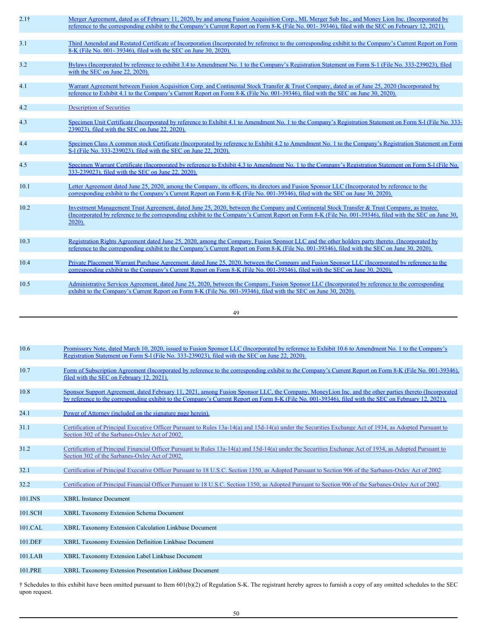| $2.1\dagger$ | Merger Agreement, dated as of February 11, 2020, by and among Fusion Acquisition Corp., ML Merger Sub Inc., and Money Lion Inc. (Incorporated by<br>reference to the corresponding exhibit to the Company's Current Report on Form 8-K (File No. 001-39346), filed with the SEC on February 12, 2021).               |
|--------------|----------------------------------------------------------------------------------------------------------------------------------------------------------------------------------------------------------------------------------------------------------------------------------------------------------------------|
| 3.1          | Third Amended and Restated Certificate of Incorporation (Incorporated by reference to the corresponding exhibit to the Company's Current Report on Form<br>8-K (File No. 001-39346), filed with the SEC on June 30, 2020).                                                                                           |
| 3.2          | Bylaws (Incorporated by reference to exhibit 3.4 to Amendment No. 1 to the Company's Registration Statement on Form S-1 (File No. 333-239023), filed<br>with the SEC on June 22, 2020).                                                                                                                              |
| 4.1          | Warrant Agreement between Fusion Acquisition Corp. and Continental Stock Transfer & Trust Company, dated as of June 25, 2020 (Incorporated by<br>reference to Exhibit 4.1 to the Company's Current Report on Form 8-K (File No. 001-39346), filed with the SEC on June 30, 2020).                                    |
| 4.2          | <b>Description of Securities</b>                                                                                                                                                                                                                                                                                     |
| 4.3          | Specimen Unit Certificate (Incorporated by reference to Exhibit 4.1 to Amendment No. 1 to the Company's Registration Statement on Form S-1 (File No. 333-<br>239023), filed with the SEC on June 22, 2020).                                                                                                          |
| 4.4          | Specimen Class A common stock Certificate (Incorporated by reference to Exhibit 4.2 to Amendment No. 1 to the Company's Registration Statement on Form<br>S-1 (File No. 333-239023), filed with the SEC on June 22, 2020).                                                                                           |
| 4.5          | Specimen Warrant Certificate (Incorporated by reference to Exhibit 4.3 to Amendment No. 1 to the Company's Registration Statement on Form S-1 (File No.<br>333-239023), filed with the SEC on June 22, 2020).                                                                                                        |
| 10.1         | Letter Agreement dated June 25, 2020, among the Company, its officers, its directors and Fusion Sponsor LLC (Incorporated by reference to the<br>corresponding exhibit to the Company's Current Report on Form 8-K (File No. 001-39346), filed with the SEC on June 30, 2020).                                       |
| 10.2         | Investment Management Trust Agreement, dated June 25, 2020, between the Company and Continental Stock Transfer & Trust Company, as trustee.<br>(Incorporated by reference to the corresponding exhibit to the Company's Current Report on Form 8-K (File No. 001-39346), filed with the SEC on June 30,<br>$2020$ ). |
| 10.3         | Registration Rights Agreement dated June 25, 2020, among the Company, Fusion Sponsor LLC and the other holders party thereto. (Incorporated by<br>reference to the corresponding exhibit to the Company's Current Report on Form 8-K (File No. 001-39346), filed with the SEC on June 30, 2020).                     |
| 10.4         | Private Placement Warrant Purchase Agreement, dated June 25, 2020, between the Company and Fusion Sponsor LLC (Incorporated by reference to the<br>corresponding exhibit to the Company's Current Report on Form 8-K (File No. 001-39346), filed with the SEC on June 30, 2020).                                     |
| 10.5         | Administrative Services Agreement, dated June 25, 2020, between the Company, Fusion Sponsor LLC (Incorporated by reference to the corresponding<br>exhibit to the Company's Current Report on Form 8-K (File No. 001-39346), filed with the SEC on June 30, 2020).                                                   |
|              |                                                                                                                                                                                                                                                                                                                      |

49

| 10.6    | Promissory Note, dated March 10, 2020, issued to Fusion Sponsor LLC (Incorporated by reference to Exhibit 10.6 to Amendment No. 1 to the Company's<br>Registration Statement on Form S-1 (File No. 333-239023), filed with the SEC on June 22, 2020).                                                          |  |
|---------|----------------------------------------------------------------------------------------------------------------------------------------------------------------------------------------------------------------------------------------------------------------------------------------------------------------|--|
| 10.7    | Form of Subscription Agreement (Incorporated by reference to the corresponding exhibit to the Company's Current Report on Form 8-K (File No. 001-39346),<br>filed with the SEC on February 12, 2021).                                                                                                          |  |
| 10.8    | Sponsor Support Agreement, dated February 11, 2021, among Fusion Sponsor LLC, the Company, MoneyLion Inc. and the other parties thereto (Incorporated<br>by reference to the corresponding exhibit to the Company's Current Report on Form 8-K (File No. 001-39346), filed with the SEC on February 12, 2021). |  |
| 24.1    | Power of Attorney (included on the signature page herein).                                                                                                                                                                                                                                                     |  |
| 31.1    | Certification of Principal Executive Officer Pursuant to Rules 13a-14(a) and 15d-14(a) under the Securities Exchange Act of 1934, as Adopted Pursuant to<br>Section 302 of the Sarbanes-Oxley Act of 2002.                                                                                                     |  |
| 31.2    | Certification of Principal Financial Officer Pursuant to Rules 13a-14(a) and 15d-14(a) under the Securities Exchange Act of 1934, as Adopted Pursuant to<br>Section 302 of the Sarbanes-Oxley Act of 2002.                                                                                                     |  |
| 32.1    | Certification of Principal Executive Officer Pursuant to 18 U.S.C. Section 1350, as Adopted Pursuant to Section 906 of the Sarbanes-Oxley Act of 2002.                                                                                                                                                         |  |
| 32.2    | Certification of Principal Financial Officer Pursuant to 18 U.S.C. Section 1350, as Adopted Pursuant to Section 906 of the Sarbanes-Oxley Act of 2002.                                                                                                                                                         |  |
| 101.INS | <b>XBRL Instance Document</b>                                                                                                                                                                                                                                                                                  |  |
| 101.SCH | <b>XBRL Taxonomy Extension Schema Document</b>                                                                                                                                                                                                                                                                 |  |
| 101.CAL | XBRL Taxonomy Extension Calculation Linkbase Document                                                                                                                                                                                                                                                          |  |
| 101.DEF | XBRL Taxonomy Extension Definition Linkbase Document                                                                                                                                                                                                                                                           |  |
| 101.LAB | XBRL Taxonomy Extension Label Linkbase Document                                                                                                                                                                                                                                                                |  |
| 101.PRE | XBRL Taxonomy Extension Presentation Linkbase Document                                                                                                                                                                                                                                                         |  |
|         |                                                                                                                                                                                                                                                                                                                |  |

† Schedules to this exhibit have been omitted pursuant to Item 601(b)(2) of Regulation S-K. The registrant hereby agrees to furnish a copy of any omitted schedules to the SEC upon request.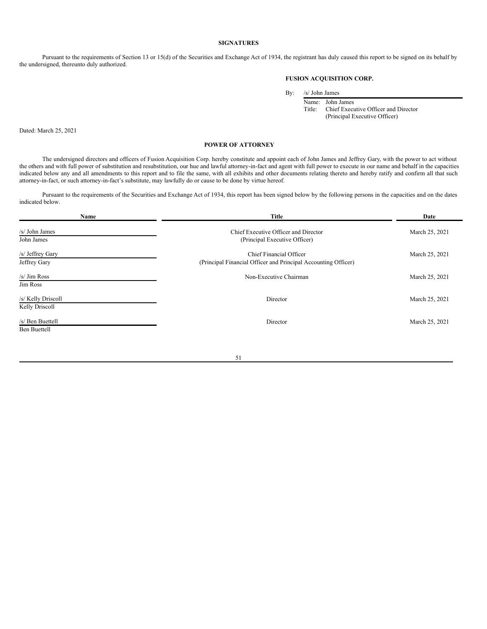# **SIGNATURES**

Pursuant to the requirements of Section 13 or 15(d) of the Securities and Exchange Act of 1934, the registrant has duly caused this report to be signed on its behalf by the undersigned, thereunto duly authorized.

# **FUSION ACQUISITION CORP.**

By: /s/ John James

Name: John James<br>Title: Chief Execu Chief Executive Officer and Director (Principal Executive Officer)

Dated: March 25, 2021

# <span id="page-41-0"></span>**POWER OF ATTORNEY**

The undersigned directors and officers of Fusion Acquisition Corp. hereby constitute and appoint each of John James and Jeffrey Gary, with the power to act without the others and with full power of substitution and resubstitution, our hue and lawful attorney-in-fact and agent with full power to execute in our name and behalf in the capacities indicated below any and all amendments to this report and to file the same, with all exhibits and other documents relating thereto and hereby ratify and confirm all that such attorney-in-fact, or such attorney-in-fact's substitute, may lawfully do or cause to be done by virtue hereof.

Pursuant to the requirements of the Securities and Exchange Act of 1934, this report has been signed below by the following persons in the capacities and on the dates indicated below.

| Name                                    | <b>Title</b>                                                                              | Date           |
|-----------------------------------------|-------------------------------------------------------------------------------------------|----------------|
| /s/ John James<br>John James            | Chief Executive Officer and Director<br>(Principal Executive Officer)                     | March 25, 2021 |
| /s/ Jeffrey Gary<br>Jeffrey Gary        | Chief Financial Officer<br>(Principal Financial Officer and Principal Accounting Officer) | March 25, 2021 |
| /s/ Jim Ross<br>Jim Ross                | Non-Executive Chairman                                                                    | March 25, 2021 |
| /s/ Kelly Driscoll<br>Kelly Driscoll    | Director                                                                                  | March 25, 2021 |
| /s/ Ben Buettell<br><b>Ben Buettell</b> | Director                                                                                  | March 25, 2021 |

# 51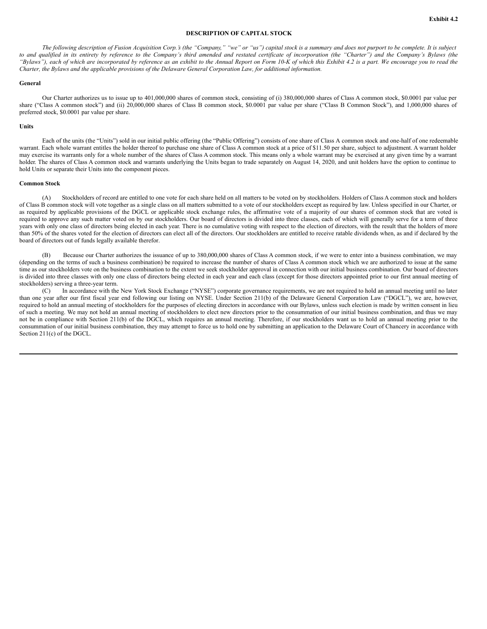# **DESCRIPTION OF CAPITAL STOCK**

The following description of Fusion Acquisition Corp.'s (the "Company," "we" or "us") capital stock is a summary and does not purport to be complete. It is subject to and qualified in its entirety by reference to the Company's third amended and restated certificate of incorporation (the "Charter") and the Company's Bylaws (the "Bylaws"), each of which are incorporated by reference as an exhibit to the Annual Report on Form 10-K of which this Exhibit 4.2 is a part. We encourage you to read the Charter, the Bylaws and the applicable provisions of the Delaware General Corporation Law, for additional information.

#### **General**

Our Charter authorizes us to issue up to 401,000,000 shares of common stock, consisting of (i) 380,000,000 shares of Class A common stock, \$0.0001 par value per share ("Class A common stock") and (ii) 20,000,000 shares of Class B common stock, \$0.0001 par value per share ("Class B Common Stock"), and 1,000,000 shares of preferred stock, \$0.0001 par value per share.

#### **Units**

Each of the units (the "Units") sold in our initial public offering (the "Public Offering") consists of one share of Class A common stock and one-half of one redeemable warrant. Each whole warrant entitles the holder thereof to purchase one share of Class A common stock at a price of \$11.50 per share, subject to adjustment. A warrant holder may exercise its warrants only for a whole number of the shares of Class A common stock. This means only a whole warrant may be exercised at any given time by a warrant holder. The shares of Class A common stock and warrants underlying the Units began to trade separately on August 14, 2020, and unit holders have the option to continue to hold Units or separate their Units into the component pieces.

#### **Common Stock**

(A) Stockholders of record are entitled to one vote for each share held on all matters to be voted on by stockholders. Holders of Class A common stock and holders of Class B common stock will vote together as a single class on all matters submitted to a vote of our stockholders except as required by law. Unless specified in our Charter, or as required by applicable provisions of the DGCL or applicable stock exchange rules, the affirmative vote of a majority of our shares of common stock that are voted is required to approve any such matter voted on by our stockholders. Our board of directors is divided into three classes, each of which will generally serve for a term of three years with only one class of directors being elected in each year. There is no cumulative voting with respect to the election of directors, with the result that the holders of more than 50% of the shares voted for the election of directors can elect all of the directors. Our stockholders are entitled to receive ratable dividends when, as and if declared by the board of directors out of funds legally available therefor.

(B) Because our Charter authorizes the issuance of up to 380,000,000 shares of Class A common stock, if we were to enter into a business combination, we may (depending on the terms of such a business combination) be required to increase the number of shares of Class A common stock which we are authorized to issue at the same time as our stockholders vote on the business combination to the extent we seek stockholder approval in connection with our initial business combination. Our board of directors is divided into three classes with only one class of directors being elected in each year and each class (except for those directors appointed prior to our first annual meeting of stockholders) serving a three-year term.

(C) In accordance with the New York Stock Exchange ("NYSE") corporate governance requirements, we are not required to hold an annual meeting until no later than one year after our first fiscal year end following our listing on NYSE. Under Section 211(b) of the Delaware General Corporation Law ("DGCL"), we are, however, required to hold an annual meeting of stockholders for the purposes of electing directors in accordance with our Bylaws, unless such election is made by written consent in lieu of such a meeting. We may not hold an annual meeting of stockholders to elect new directors prior to the consummation of our initial business combination, and thus we may not be in compliance with Section 211(b) of the DGCL, which requires an annual meeting. Therefore, if our stockholders want us to hold an annual meeting prior to the consummation of our initial business combination, they may attempt to force us to hold one by submitting an application to the Delaware Court of Chancery in accordance with Section 211(c) of the DGCL.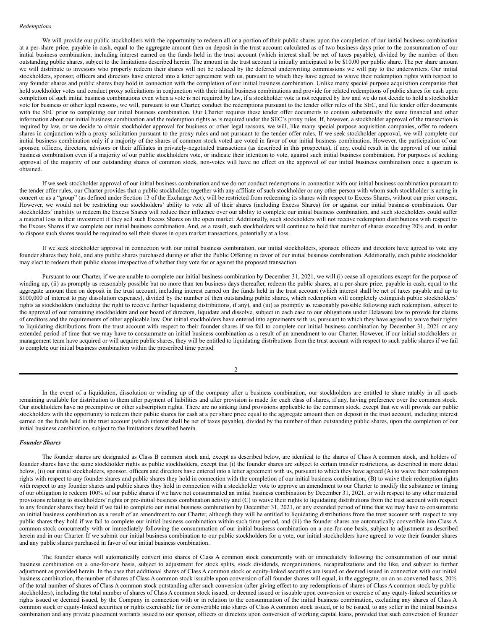We will provide our public stockholders with the opportunity to redeem all or a portion of their public shares upon the completion of our initial business combination at a per-share price, payable in cash, equal to the aggregate amount then on deposit in the trust account calculated as of two business days prior to the consummation of our initial business combination, including interest earned on the funds held in the trust account (which interest shall be net of taxes payable), divided by the number of then outstanding public shares, subject to the limitations described herein. The amount in the trust account is initially anticipated to be \$10.00 per public share. The per share amount we will distribute to investors who properly redeem their shares will not be reduced by the deferred underwriting commissions we will pay to the underwriters. Our initial stockholders, sponsor, officers and directors have entered into a letter agreement with us, pursuant to which they have agreed to waive their redemption rights with respect to any founder shares and public shares they hold in connection with the completion of our initial business combination. Unlike many special purpose acquisition companies that hold stockholder votes and conduct proxy solicitations in conjunction with their initial business combinations and provide for related redemptions of public shares for cash upon completion of such initial business combinations even when a vote is not required by law, if a stockholder vote is not required by law and we do not decide to hold a stockholder vote for business or other legal reasons, we will, pursuant to our Charter, conduct the redemptions pursuant to the tender offer rules of the SEC, and file tender offer documents with the SEC prior to completing our initial business combination. Our Charter requires these tender offer documents to contain substantially the same financial and other information about our initial business combination and the redemption rights as is required under the SEC's proxy rules. If, however, a stockholder approval of the transaction is required by law, or we decide to obtain stockholder approval for business or other legal reasons, we will, like many special purpose acquisition companies, offer to redeem shares in conjunction with a proxy solicitation pursuant to the proxy rules and not pursuant to the tender offer rules. If we seek stockholder approval, we will complete our initial business combination only if a majority of the shares of common stock voted are voted in favor of our initial business combination. However, the participation of our sponsor, officers, directors, advisors or their affiliates in privately-negotiated transactions (as described in this prospectus), if any, could result in the approval of our initial business combination even if a majority of our public stockholders vote, or indicate their intention to vote, against such initial business combination. For purposes of seeking approval of the majority of our outstanding shares of common stock, non-votes will have no effect on the approval of our initial business combination once a quorum is obtained.

If we seek stockholder approval of our initial business combination and we do not conduct redemptions in connection with our initial business combination pursuant to the tender offer rules, our Charter provides that a public stockholder, together with any affiliate of such stockholder or any other person with whom such stockholder is acting in concert or as a "group" (as defined under Section 13 of the Exchange Act), will be restricted from redeeming its shares with respect to Excess Shares, without our prior consent. However, we would not be restricting our stockholders' ability to vote all of their shares (including Excess Shares) for or against our initial business combination. Our stockholders' inability to redeem the Excess Shares will reduce their influence over our ability to complete our initial business combination, and such stockholders could suffer a material loss in their investment if they sell such Excess Shares on the open market. Additionally, such stockholders will not receive redemption distributions with respect to the Excess Shares if we complete our initial business combination. And, as a result, such stockholders will continue to hold that number of shares exceeding 20% and, in order to dispose such shares would be required to sell their shares in open market transactions, potentially at a loss.

If we seek stockholder approval in connection with our initial business combination, our initial stockholders, sponsor, officers and directors have agreed to vote any founder shares they hold, and any public shares purchased during or after the Public Offering in favor of our initial business combination. Additionally, each public stockholder may elect to redeem their public shares irrespective of whether they vote for or against the proposed transaction.

Pursuant to our Charter, if we are unable to complete our initial business combination by December 31, 2021, we will (i) cease all operations except for the purpose of winding up, (ii) as promptly as reasonably possible but no more than ten business days thereafter, redeem the public shares, at a per-share price, payable in cash, equal to the aggregate amount then on deposit in the trust account, including interest earned on the funds held in the trust account (which interest shall be net of taxes payable and up to  $$100,000$  of interest to pay dissolution expenses), divided by the number of then outstanding public shares, which redemption will completely extinguish public stockholders' rights as stockholders (including the right to receive further liquidating distributions, if any), and (iii) as promptly as reasonably possible following such redemption, subject to the approval of our remaining stockholders and our board of directors, liquidate and dissolve, subject in each case to our obligations under Delaware law to provide for claims of creditors and the requirements of other applicable law. Our initial stockholders have entered into agreements with us, pursuant to which they have agreed to waive their rights to liquidating distributions from the trust account with respect to their founder shares if we fail to complete our initial business combination by December 31, 2021 or any extended period of time that we may have to consummate an initial business combination as a result of an amendment to our Charter. However, if our initial stockholders or management team have acquired or will acquire public shares, they will be entitled to liquidating distributions from the trust account with respect to such public shares if we fail to complete our initial business combination within the prescribed time period.

| I |
|---|

In the event of a liquidation, dissolution or winding up of the company after a business combination, our stockholders are entitled to share ratably in all assets remaining available for distribution to them after payment of liabilities and after provision is made for each class of shares, if any, having preference over the common stock. Our stockholders have no preemptive or other subscription rights. There are no sinking fund provisions applicable to the common stock, except that we will provide our public stockholders with the opportunity to redeem their public shares for cash at a per share price equal to the aggregate amount then on deposit in the trust account, including interest earned on the funds held in the trust account (which interest shall be net of taxes payable), divided by the number of then outstanding public shares, upon the completion of our initial business combination, subject to the limitations described herein.

#### *Founder Shares*

The founder shares are designated as Class B common stock and, except as described below, are identical to the shares of Class A common stock, and holders of founder shares have the same stockholder rights as public stockholders, except that (i) the founder shares are subject to certain transfer restrictions, as described in more detail below, (ii) our initial stockholders, sponsor, officers and directors have entered into a letter agreement with us, pursuant to which they have agreed (A) to waive their redemption rights with respect to any founder shares and public shares they hold in connection with the completion of our initial business combination, (B) to waive their redemption rights with respect to any founder shares and public shares they hold in connection with a stockholder vote to approve an amendment to our Charter to modify the substance or timing of our obligation to redeem 100% of our public shares if we have not consummated an initial business combination by December 31, 2021, or with respect to any other material provisions relating to stockholders' rights or pre-initial business combination activity and (C) to waive their rights to liquidating distributions from the trust account with respect to any founder shares they hold if we fail to complete our initial business combination by December 31, 2021, or any extended period of time that we may have to consummate an initial business combination as a result of an amendment to our Charter, although they will be entitled to liquidating distributions from the trust account with respect to any public shares they hold if we fail to complete our initial business combination within such time period, and (iii) the founder shares are automatically convertible into Class A common stock concurrently with or immediately following the consummation of our initial business combination on a one-for-one basis, subject to adjustment as described herein and in our Charter. If we submit our initial business combination to our public stockholders for a vote, our initial stockholders have agreed to vote their founder shares and any public shares purchased in favor of our initial business combination.

The founder shares will automatically convert into shares of Class A common stock concurrently with or immediately following the consummation of our initial business combination on a one-for-one basis, subject to adjustment for stock splits, stock dividends, reorganizations, recapitalizations and the like, and subject to further adjustment as provided herein. In the case that additional shares of Class A common stock or equity-linked securities are issued or deemed issued in connection with our initial business combination, the number of shares of Class A common stock issuable upon conversion of all founder shares will equal, in the aggregate, on an as-converted basis, 20% of the total number of shares of Class A common stock outstanding after such conversion (after giving effect to any redemptions of shares of Class A common stock by public stockholders), including the total number of shares of Class A common stock issued, or deemed issued or issuable upon conversion or exercise of any equity-linked securities or rights issued or deemed issued, by the Company in connection with or in relation to the consummation of the initial business combination, excluding any shares of Class A common stock or equity-linked securities or rights exercisable for or convertible into shares of Class A common stock issued, or to be issued, to any seller in the initial business combination and any private placement warrants issued to our sponsor, officers or directors upon conversion of working capital loans, provided that such conversion of founder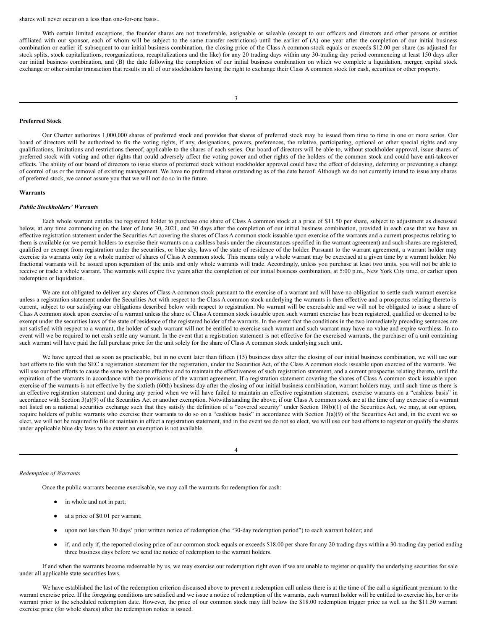shares will never occur on a less than one-for-one basis..

With certain limited exceptions, the founder shares are not transferable, assignable or saleable (except to our officers and directors and other persons or entities affiliated with our sponsor, each of whom will be subject to the same transfer restrictions) until the earlier of (A) one year after the completion of our initial business combination or earlier if, subsequent to our initial business combination, the closing price of the Class A common stock equals or exceeds \$12.00 per share (as adjusted for stock splits, stock capitalizations, reorganizations, recapitalizations and the like) for any 20 trading days within any 30-trading day period commencing at least 150 days after our initial business combination, and (B) the date following the completion of our initial business combination on which we complete a liquidation, merger, capital stock exchange or other similar transaction that results in all of our stockholders having the right to exchange their Class A common stock for cash, securities or other property.

### **Preferred Stock**

Our Charter authorizes 1,000,000 shares of preferred stock and provides that shares of preferred stock may be issued from time to time in one or more series. Our board of directors will be authorized to fix the voting rights, if any, designations, powers, preferences, the relative, participating, optional or other special rights and any qualifications, limitations and restrictions thereof, applicable to the shares of each series. Our board of directors will be able to, without stockholder approval, issue shares of preferred stock with voting and other rights that could adversely affect the voting power and other rights of the holders of the common stock and could have anti-takeover effects. The ability of our board of directors to issue shares of preferred stock without stockholder approval could have the effect of delaying, deferring or preventing a change of control of us or the removal of existing management. We have no preferred shares outstanding as of the date hereof. Although we do not currently intend to issue any shares of preferred stock, we cannot assure you that we will not do so in the future.

#### **Warrants**

#### *Public Stockholders' Warrants*

Each whole warrant entitles the registered holder to purchase one share of Class A common stock at a price of \$11.50 per share, subject to adjustment as discussed below, at any time commencing on the later of June 30, 2021, and 30 days after the completion of our initial business combination, provided in each case that we have an effective registration statement under the Securities Act covering the shares of Class A common stock issuable upon exercise of the warrants and a current prospectus relating to them is available (or we permit holders to exercise their warrants on a cashless basis under the circumstances specified in the warrant agreement) and such shares are registered, qualified or exempt from registration under the securities, or blue sky, laws of the state of residence of the holder. Pursuant to the warrant agreement, a warrant holder may exercise its warrants only for a whole number of shares of Class A common stock. This means only a whole warrant may be exercised at a given time by a warrant holder. No fractional warrants will be issued upon separation of the units and only whole warrants will trade. Accordingly, unless you purchase at least two units, you will not be able to receive or trade a whole warrant. The warrants will expire five years after the completion of our initial business combination, at 5:00 p.m., New York City time, or earlier upon redemption or liquidation..

We are not obligated to deliver any shares of Class A common stock pursuant to the exercise of a warrant and will have no obligation to settle such warrant exercise unless a registration statement under the Securities Act with respect to the Class A common stock underlying the warrants is then effective and a prospectus relating thereto is current, subject to our satisfying our obligations described below with respect to registration. No warrant will be exercisable and we will not be obligated to issue a share of Class A common stock upon exercise of a warrant unless the share of Class A common stock issuable upon such warrant exercise has been registered, qualified or deemed to be exempt under the securities laws of the state of residence of the registered holder of the warrants. In the event that the conditions in the two immediately preceding sentences are not satisfied with respect to a warrant, the holder of such warrant will not be entitled to exercise such warrant and such warrant may have no value and expire worthless. In no event will we be required to net cash settle any warrant. In the event that a registration statement is not effective for the exercised warrants, the purchaser of a unit containing such warrant will have paid the full purchase price for the unit solely for the share of Class A common stock underlying such unit.

We have agreed that as soon as practicable, but in no event later than fifteen (15) business days after the closing of our initial business combination, we will use our best efforts to file with the SEC a registration statement for the registration, under the Securities Act, of the Class A common stock issuable upon exercise of the warrants. We will use our best efforts to cause the same to become effective and to maintain the effectiveness of such registration statement, and a current prospectus relating thereto, until the expiration of the warrants in accordance with the provisions of the warrant agreement. If a registration statement covering the shares of Class A common stock issuable upon exercise of the warrants is not effective by the sixtieth (60th) business day after the closing of our initial business combination, warrant holders may, until such time as there is an effective registration statement and during any period when we will have failed to maintain an effective registration statement, exercise warrants on a "cashless basis" in accordance with Section 3(a)(9) of the Securities Act or another exemption. Notwithstanding the above, if our Class A common stock are at the time of any exercise of a warrant not listed on a national securities exchange such that they satisfy the definition of a "covered security" under Section 18(b)(1) of the Securities Act, we may, at our option, require holders of public warrants who exercise their warrants to do so on a "cashless basis" in accordance with Section 3(a)(9) of the Securities Act and, in the event we so elect, we will not be required to file or maintain in effect a registration statement, and in the event we do not so elect, we will use our best efforts to register or qualify the shares under applicable blue sky laws to the extent an exemption is not available.

4

# *Redemption of Warrants*

Once the public warrants become exercisable, we may call the warrants for redemption for cash:

- in whole and not in part;
- at a price of \$0.01 per warrant:
- upon not less than 30 days' prior written notice of redemption (the "30-day redemption period") to each warrant holder; and
- if, and only if, the reported closing price of our common stock equals or exceeds \$18.00 per share for any 20 trading days within a 30-trading day period ending three business days before we send the notice of redemption to the warrant holders.

If and when the warrants become redeemable by us, we may exercise our redemption right even if we are unable to register or qualify the underlying securities for sale under all applicable state securities laws.

We have established the last of the redemption criterion discussed above to prevent a redemption call unless there is at the time of the call a significant premium to the warrant exercise price. If the foregoing conditions are satisfied and we issue a notice of redemption of the warrants, each warrant holder will be entitled to exercise his, her or its warrant prior to the scheduled redemption date. However, the price of our common stock may fall below the \$18.00 redemption trigger price as well as the \$11.50 warrant exercise price (for whole shares) after the redemption notice is issued.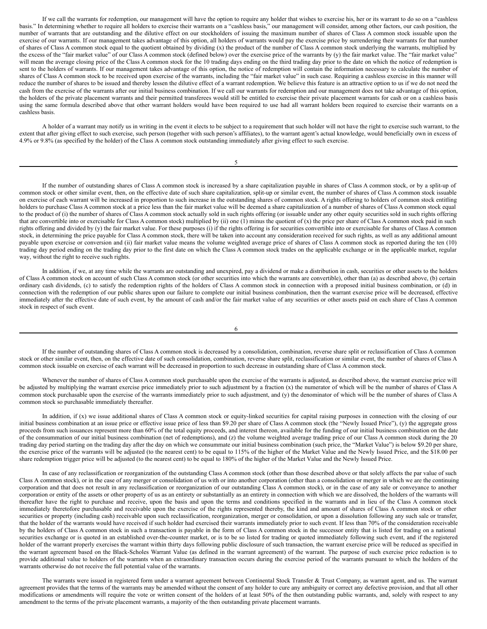<span id="page-45-0"></span>If we call the warrants for redemption, our management will have the option to require any holder that wishes to exercise his, her or its warrant to do so on a "cashless basis." In determining whether to require all holders to exercise their warrants on a "cashless basis," our management will consider, among other factors, our cash position, the number of warrants that are outstanding and the dilutive effect on our stockholders of issuing the maximum number of shares of Class A common stock issuable upon the exercise of our warrants. If our management takes advantage of this option, all holders of warrants would pay the exercise price by surrendering their warrants for that number of shares of Class A common stock equal to the quotient obtained by dividing (x) the product of the number of Class A common stock underlying the warrants, multiplied by the excess of the "fair market value" of our Class A common stock (defined below) over the exercise price of the warrants by (y) the fair market value. The "fair market value" will mean the average closing price of the Class A common stock for the 10 trading days ending on the third trading day prior to the date on which the notice of redemption is sent to the holders of warrants. If our management takes advantage of this option, the notice of redemption will contain the information necessary to calculate the number of shares of Class A common stock to be received upon exercise of the warrants, including the "fair market value" in such case. Requiring a cashless exercise in this manner will reduce the number of shares to be issued and thereby lessen the dilutive effect of a warrant redemption. We believe this feature is an attractive option to us if we do not need the cash from the exercise of the warrants after our initial business combination. If we call our warrants for redemption and our management does not take advantage of this option, the holders of the private placement warrants and their permitted transferees would still be entitled to exercise their private placement warrants for cash or on a cashless basis using the same formula described above that other warrant holders would have been required to use had all warrant holders been required to exercise their warrants on a cashless basis.

A holder of a warrant may notify us in writing in the event it elects to be subject to a requirement that such holder will not have the right to exercise such warrant, to the extent that after giving effect to such exercise, such person (together with such person's affiliates), to the warrant agent's actual knowledge, would beneficially own in excess of 4.9% or 9.8% (as specified by the holder) of the Class A common stock outstanding immediately after giving effect to such exercise.

5

If the number of outstanding shares of Class A common stock is increased by a share capitalization payable in shares of Class A common stock, or by a split-up of common stock or other similar event, then, on the effective date of such share capitalization, split-up or similar event, the number of shares of Class A common stock issuable on exercise of each warrant will be increased in proportion to such increase in the outstanding shares of common stock. A rights offering to holders of common stock entitling holders to purchase Class A common stock at a price less than the fair market value will be deemed a share capitalization of a number of shares of Class A common stock equal to the product of (i) the number of shares of Class A common stock actually sold in such rights offering (or issuable under any other equity securities sold in such rights offering that are convertible into or exercisable for Class A common stock) multiplied by (ii) one (1) minus the quotient of (x) the price per share of Class A common stock paid in such rights offering and divided by (y) the fair market value. For these purposes (i) if the rights offering is for securities convertible into or exercisable for shares of Class A common stock, in determining the price payable for Class A common stock, there will be taken into account any consideration received for such rights, as well as any additional amount payable upon exercise or conversion and (ii) fair market value means the volume weighted average price of shares of Class A common stock as reported during the ten (10) trading day period ending on the trading day prior to the first date on which the Class A common stock trades on the applicable exchange or in the applicable market, regular way, without the right to receive such rights.

In addition, if we, at any time while the warrants are outstanding and unexpired, pay a dividend or make a distribution in cash, securities or other assets to the holders of Class A common stock on account of such Class A common stock (or other securities into which the warrants are convertible), other than (a) as described above, (b) certain ordinary cash dividends, (c) to satisfy the redemption rights of the holders of Class A common stock in connection with a proposed initial business combination, or (d) in connection with the redemption of our public shares upon our failure to complete our initial business combination, then the warrant exercise price will be decreased, effective immediately after the effective date of such event, by the amount of cash and/or the fair market value of any securities or other assets paid on each share of Class A common stock in respect of such event.

6

If the number of outstanding shares of Class A common stock is decreased by a consolidation, combination, reverse share split or reclassification of Class A common stock or other similar event, then, on the effective date of such consolidation, combination, reverse share split, reclassification or similar event, the number of shares of Class A common stock issuable on exercise of each warrant will be decreased in proportion to such decrease in outstanding share of Class A common stock.

Whenever the number of shares of Class A common stock purchasable upon the exercise of the warrants is adjusted, as described above, the warrant exercise price will be adjusted by multiplying the warrant exercise price immediately prior to such adjustment by a fraction (x) the numerator of which will be the number of shares of Class A common stock purchasable upon the exercise of the warrants immediately prior to such adjustment, and (y) the denominator of which will be the number of shares of Class A common stock so purchasable immediately thereafter.

In addition, if (x) we issue additional shares of Class A common stock or equity-linked securities for capital raising purposes in connection with the closing of our initial business combination at an issue price or effective issue price of less than \$9.20 per share of Class A common stock (the "Newly Issued Price"), (y) the aggregate gross proceeds from such issuances represent more than 60% of the total equity proceeds, and interest thereon, available for the funding of our initial business combination on the date of the consummation of our initial business combination (net of redemptions), and (z) the volume weighted average trading price of our Class A common stock during the 20 trading day period starting on the trading day after the day on which we consummate our initial business combination (such price, the "Market Value") is below \$9.20 per share, the exercise price of the warrants will be adjusted (to the nearest cent) to be equal to 115% of the higher of the Market Value and the Newly Issued Price, and the \$18.00 per share redemption trigger price will be adjusted (to the nearest cent) to be equal to 180% of the higher of the Market Value and the Newly Issued Price.

In case of any reclassification or reorganization of the outstanding Class A common stock (other than those described above or that solely affects the par value of such Class A common stock), or in the case of any merger or consolidation of us with or into another corporation (other than a consolidation or merger in which we are the continuing corporation and that does not result in any reclassification or reorganization of our outstanding Class A common stock), or in the case of any sale or conveyance to another corporation or entity of the assets or other property of us as an entirety or substantially as an entirety in connection with which we are dissolved, the holders of the warrants will thereafter have the right to purchase and receive, upon the basis and upon the terms and conditions specified in the warrants and in lieu of the Class A common stock immediately theretofore purchasable and receivable upon the exercise of the rights represented thereby, the kind and amount of shares of Class A common stock or other securities or property (including cash) receivable upon such reclassification, reorganization, merger or consolidation, or upon a dissolution following any such sale or transfer, that the holder of the warrants would have received if such holder had exercised their warrants immediately prior to such event. If less than 70% of the consideration receivable by the holders of Class A common stock in such a transaction is payable in the form of Class A common stock in the successor entity that is listed for trading on a national securities exchange or is quoted in an established over-the-counter market, or is to be so listed for trading or quoted immediately following such event, and if the registered holder of the warrant properly exercises the warrant within thirty days following public disclosure of such transaction, the warrant exercise price will be reduced as specified in the warrant agreement based on the Black-Scholes Warrant Value (as defined in the warrant agreement) of the warrant. The purpose of such exercise price reduction is to provide additional value to holders of the warrants when an extraordinary transaction occurs during the exercise period of the warrants pursuant to which the holders of the warrants otherwise do not receive the full potential value of the warrants.

The warrants were issued in registered form under a warrant agreement between Continental Stock Transfer & Trust Company, as warrant agent, and us. The warrant agreement provides that the terms of the warrants may be amended without the consent of any holder to cure any ambiguity or correct any defective provision, and that all other modifications or amendments will require the vote or written consent of the holders of at least 50% of the then outstanding public warrants, and, solely with respect to any amendment to the terms of the private placement warrants, a majority of the then outstanding private placement warrants.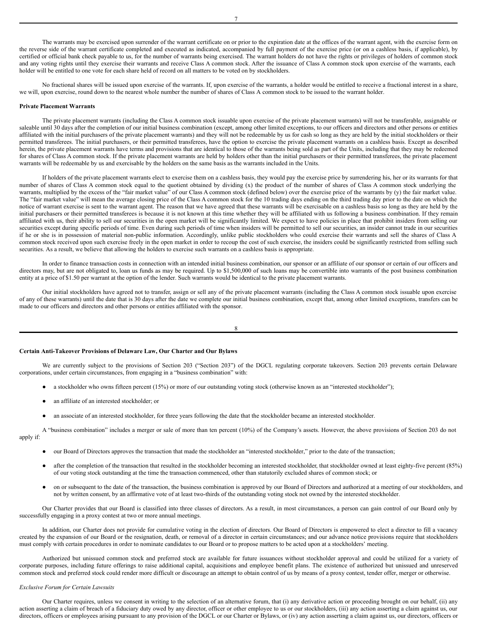The warrants may be exercised upon surrender of the warrant certificate on or prior to the expiration date at the offices of the warrant agent, with the exercise form on the reverse side of the warrant certificate completed and executed as indicated, accompanied by full payment of the exercise price (or on a cashless basis, if applicable), by certified or official bank check payable to us, for the number of warrants being exercised. The warrant holders do not have the rights or privileges of holders of common stock and any voting rights until they exercise their warrants and receive Class A common stock. After the issuance of Class A common stock upon exercise of the warrants, each holder will be entitled to one vote for each share held of record on all matters to be voted on by stockholders.

No fractional shares will be issued upon exercise of the warrants. If, upon exercise of the warrants, a holder would be entitled to receive a fractional interest in a share, we will, upon exercise, round down to the nearest whole number the number of shares of Class A common stock to be issued to the warrant holder.

#### **Private Placement Warrants**

The private placement warrants (including the Class A common stock issuable upon exercise of the private placement warrants) will not be transferable, assignable or saleable until 30 days after the completion of our initial business combination (except, among other limited exceptions, to our officers and directors and other persons or entities affiliated with the initial purchasers of the private placement warrants) and they will not be redeemable by us for cash so long as they are held by the initial stockholders or their permitted transferees. The initial purchasers, or their permitted transferees, have the option to exercise the private placement warrants on a cashless basis. Except as described herein, the private placement warrants have terms and provisions that are identical to those of the warrants being sold as part of the Units, including that they may be redeemed for shares of Class A common stock. If the private placement warrants are held by holders other than the initial purchasers or their permitted transferees, the private placement warrants will be redeemable by us and exercisable by the holders on the same basis as the warrants included in the Units.

If holders of the private placement warrants elect to exercise them on a cashless basis, they would pay the exercise price by surrendering his, her or its warrants for that number of shares of Class A common stock equal to the quotient obtained by dividing (x) the product of the number of shares of Class A common stock underlying the warrants, multiplied by the excess of the "fair market value" of our Class A common stock (defined below) over the exercise price of the warrants by (y) the fair market value. The "fair market value" will mean the average closing price of the Class A common stock for the 10 trading days ending on the third trading day prior to the date on which the notice of warrant exercise is sent to the warrant agent. The reason that we have agreed that these warrants will be exercisable on a cashless basis so long as they are held by the initial purchasers or their permitted transferees is because it is not known at this time whether they will be affiliated with us following a business combination. If they remain affiliated with us, their ability to sell our securities in the open market will be significantly limited. We expect to have policies in place that prohibit insiders from selling our securities except during specific periods of time. Even during such periods of time when insiders will be permitted to sell our securities, an insider cannot trade in our securities if he or she is in possession of material non-public information. Accordingly, unlike public stockholders who could exercise their warrants and sell the shares of Class A common stock received upon such exercise freely in the open market in order to recoup the cost of such exercise, the insiders could be significantly restricted from selling such securities. As a result, we believe that allowing the holders to exercise such warrants on a cashless basis is appropriate.

In order to finance transaction costs in connection with an intended initial business combination, our sponsor or an affiliate of our sponsor or certain of our officers and directors may, but are not obligated to, loan us funds as may be required. Up to \$1,500,000 of such loans may be convertible into warrants of the post business combination entity at a price of \$1.50 per warrant at the option of the lender. Such warrants would be identical to the private placement warrants.

Our initial stockholders have agreed not to transfer, assign or sell any of the private placement warrants (including the Class A common stock issuable upon exercise of any of these warrants) until the date that is 30 days after the date we complete our initial business combination, except that, among other limited exceptions, transfers can be made to our officers and directors and other persons or entities affiliated with the sponsor.

8

#### **Certain Anti-Takeover Provisions of Delaware Law, Our Charter and Our Bylaws**

We are currently subject to the provisions of Section 203 ("Section 203") of the DGCL regulating corporate takeovers. Section 203 prevents certain Delaware corporations, under certain circumstances, from engaging in a "business combination" with:

- a stockholder who owns fifteen percent (15%) or more of our outstanding voting stock (otherwise known as an "interested stockholder");
- an affiliate of an interested stockholder; or
- an associate of an interested stockholder, for three years following the date that the stockholder became an interested stockholder.

A "business combination" includes a merger or sale of more than ten percent (10%) of the Company's assets. However, the above provisions of Section 203 do not apply if:

- our Board of Directors approves the transaction that made the stockholder an "interested stockholder," prior to the date of the transaction;
- after the completion of the transaction that resulted in the stockholder becoming an interested stockholder, that stockholder owned at least eighty-five percent (85%) of our voting stock outstanding at the time the transaction commenced, other than statutorily excluded shares of common stock; or
- on or subsequent to the date of the transaction, the business combination is approved by our Board of Directors and authorized at a meeting of our stockholders, and not by written consent, by an affirmative vote of at least two-thirds of the outstanding voting stock not owned by the interested stockholder.

Our Charter provides that our Board is classified into three classes of directors. As a result, in most circumstances, a person can gain control of our Board only by successfully engaging in a proxy contest at two or more annual meetings.

In addition, our Charter does not provide for cumulative voting in the election of directors. Our Board of Directors is empowered to elect a director to fill a vacancy created by the expansion of our Board or the resignation, death, or removal of a director in certain circumstances; and our advance notice provisions require that stockholders must comply with certain procedures in order to nominate candidates to our Board or to propose matters to be acted upon at a stockholders' meeting.

Authorized but unissued common stock and preferred stock are available for future issuances without stockholder approval and could be utilized for a variety of corporate purposes, including future offerings to raise additional capital, acquisitions and employee benefit plans. The existence of authorized but unissued and unreserved common stock and preferred stock could render more difficult or discourage an attempt to obtain control of us by means of a proxy contest, tender offer, merger or otherwise.

#### *Exclusive Forum for Certain Lawsuits*

Our Charter requires, unless we consent in writing to the selection of an alternative forum, that (i) any derivative action or proceeding brought on our behalf, (ii) any action asserting a claim of breach of a fiduciary duty owed by any director, officer or other employee to us or our stockholders, (iii) any action asserting a claim against us, our directors, officers or employees arising pursuant to any provision of the DGCL or our Charter or Bylaws, or (iv) any action asserting a claim against us, our directors, officers or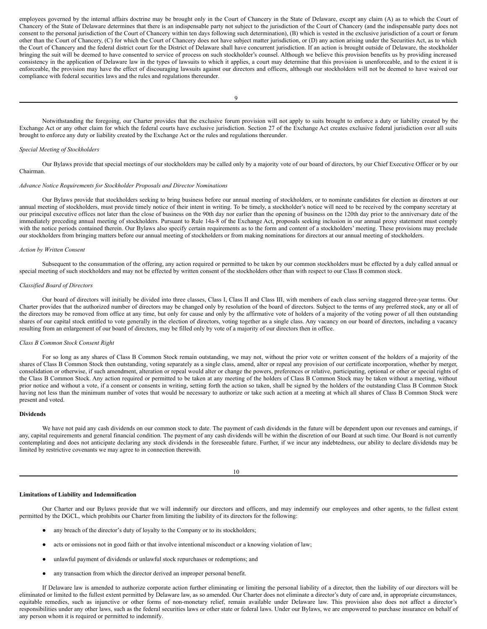employees governed by the internal affairs doctrine may be brought only in the Court of Chancery in the State of Delaware, except any claim (A) as to which the Court of Chancery of the State of Delaware determines that there is an indispensable party not subject to the jurisdiction of the Court of Chancery (and the indispensable party does not consent to the personal jurisdiction of the Court of Chancery within ten days following such determination), (B) which is vested in the exclusive jurisdiction of a court or forum other than the Court of Chancery, (C) for which the Court of Chancery does not have subject matter jurisdiction, or (D) any action arising under the Securities Act, as to which the Court of Chancery and the federal district court for the District of Delaware shall have concurrent jurisdiction. If an action is brought outside of Delaware, the stockholder bringing the suit will be deemed to have consented to service of process on such stockholder's counsel. Although we believe this provision benefits us by providing increased consistency in the application of Delaware law in the types of lawsuits to which it applies, a court may determine that this provision is unenforceable, and to the extent it is enforceable, the provision may have the effect of discouraging lawsuits against our directors and officers, although our stockholders will not be deemed to have waived our compliance with federal securities laws and the rules and regulations thereunder.

Notwithstanding the foregoing, our Charter provides that the exclusive forum provision will not apply to suits brought to enforce a duty or liability created by the Exchange Act or any other claim for which the federal courts have exclusive jurisdiction. Section 27 of the Exchange Act creates exclusive federal jurisdiction over all suits brought to enforce any duty or liability created by the Exchange Act or the rules and regulations thereunder.

#### *Special Meeting of Stockholders*

Our Bylaws provide that special meetings of our stockholders may be called only by a majority vote of our board of directors, by our Chief Executive Officer or by our Chairman.

# *Advance Notice Requirements for Stockholder Proposals and Director Nominations*

Our Bylaws provide that stockholders seeking to bring business before our annual meeting of stockholders, or to nominate candidates for election as directors at our annual meeting of stockholders, must provide timely notice of their intent in writing. To be timely, a stockholder's notice will need to be received by the company secretary at our principal executive offices not later than the close of business on the 90th day nor earlier than the opening of business on the 120th day prior to the anniversary date of the immediately preceding annual meeting of stockholders. Pursuant to Rule 14a-8 of the Exchange Act, proposals seeking inclusion in our annual proxy statement must comply with the notice periods contained therein. Our Bylaws also specify certain requirements as to the form and content of a stockholders' meeting. These provisions may preclude our stockholders from bringing matters before our annual meeting of stockholders or from making nominations for directors at our annual meeting of stockholders.

#### *Action by Written Consent*

Subsequent to the consummation of the offering, any action required or permitted to be taken by our common stockholders must be effected by a duly called annual or special meeting of such stockholders and may not be effected by written consent of the stockholders other than with respect to our Class B common stock.

#### *Classified Board of Directors*

Our board of directors will initially be divided into three classes, Class I, Class II and Class III, with members of each class serving staggered three-year terms. Our Charter provides that the authorized number of directors may be changed only by resolution of the board of directors. Subject to the terms of any preferred stock, any or all of the directors may be removed from office at any time, but only for cause and only by the affirmative vote of holders of a majority of the voting power of all then outstanding shares of our capital stock entitled to vote generally in the election of directors, voting together as a single class. Any vacancy on our board of directors, including a vacancy resulting from an enlargement of our board of directors, may be filled only by vote of a majority of our directors then in office.

#### *Class B Common Stock Consent Right*

For so long as any shares of Class B Common Stock remain outstanding, we may not, without the prior vote or written consent of the holders of a majority of the shares of Class B Common Stock then outstanding, voting separately as a single class, amend, alter or repeal any provision of our certificate incorporation, whether by merger, consolidation or otherwise, if such amendment, alteration or repeal would alter or change the powers, preferences or relative, participating, optional or other or special rights of the Class B Common Stock. Any action required or permitted to be taken at any meeting of the holders of Class B Common Stock may be taken without a meeting, without prior notice and without a vote, if a consent or consents in writing, setting forth the action so taken, shall be signed by the holders of the outstanding Class B Common Stock having not less than the minimum number of votes that would be necessary to authorize or take such action at a meeting at which all shares of Class B Common Stock were present and voted.

#### **Dividends**

We have not paid any cash dividends on our common stock to date. The payment of cash dividends in the future will be dependent upon our revenues and earnings, if any, capital requirements and general financial condition. The payment of any cash dividends will be within the discretion of our Board at such time. Our Board is not currently contemplating and does not anticipate declaring any stock dividends in the foreseeable future. Further, if we incur any indebtedness, our ability to declare dividends may be limited by restrictive covenants we may agree to in connection therewith.

# 10

#### **Limitations of Liability and Indemnification**

Our Charter and our Bylaws provide that we will indemnify our directors and officers, and may indemnify our employees and other agents, to the fullest extent permitted by the DGCL, which prohibits our Charter from limiting the liability of its directors for the following:

- any breach of the director's duty of loyalty to the Company or to its stockholders;
- acts or omissions not in good faith or that involve intentional misconduct or a knowing violation of law;
- unlawful payment of dividends or unlawful stock repurchases or redemptions; and
- any transaction from which the director derived an improper personal benefit.

If Delaware law is amended to authorize corporate action further eliminating or limiting the personal liability of a director, then the liability of our directors will be eliminated or limited to the fullest extent permitted by Delaware law, as so amended. Our Charter does not eliminate a director's duty of care and, in appropriate circumstances, equitable remedies, such as injunctive or other forms of non-monetary relief, remain available under Delaware law. This provision also does not affect a director's responsibilities under any other laws, such as the federal securities laws or other state or federal laws. Under our Bylaws, we are empowered to purchase insurance on behalf of any person whom it is required or permitted to indemnify.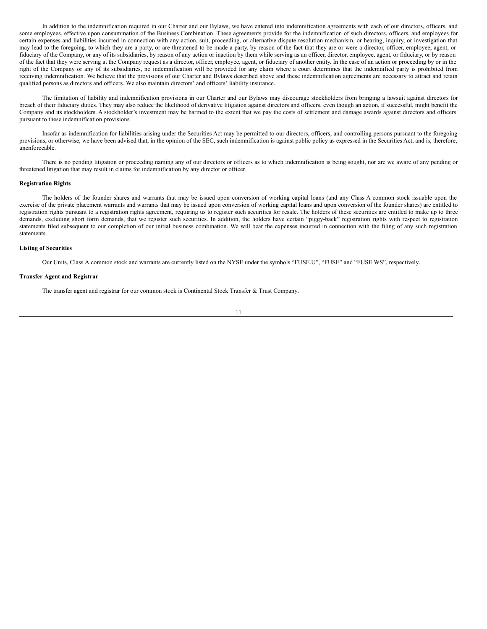In addition to the indemnification required in our Charter and our Bylaws, we have entered into indemnification agreements with each of our directors, officers, and some employees, effective upon consummation of the Business Combination. These agreements provide for the indemnification of such directors, officers, and employees for certain expenses and liabilities incurred in connection with any action, suit, proceeding, or alternative dispute resolution mechanism, or hearing, inquiry, or investigation that may lead to the foregoing, to which they are a party, or are threatened to be made a party, by reason of the fact that they are or were a director, officer, employee, agent, or fiduciary of the Company, or any of its subsidiaries, by reason of any action or inaction by them while serving as an officer, director, employee, agent, or fiduciary, or by reason of the fact that they were serving at the Company request as a director, officer, employee, agent, or fiduciary of another entity. In the case of an action or proceeding by or in the right of the Company or any of its subsidiaries, no indemnification will be provided for any claim where a court determines that the indemnified party is prohibited from receiving indemnification. We believe that the provisions of our Charter and Bylaws described above and these indemnification agreements are necessary to attract and retain qualified persons as directors and officers. We also maintain directors' and officers' liability insurance.

The limitation of liability and indemnification provisions in our Charter and our Bylaws may discourage stockholders from bringing a lawsuit against directors for breach of their fiduciary duties. They may also reduce the likelihood of derivative litigation against directors and officers, even though an action, if successful, might benefit the Company and its stockholders. A stockholder's investment may be harmed to the extent that we pay the costs of settlement and damage awards against directors and officers pursuant to these indemnification provisions.

Insofar as indemnification for liabilities arising under the Securities Act may be permitted to our directors, officers, and controlling persons pursuant to the foregoing provisions, or otherwise, we have been advised that, in the opinion of the SEC, such indemnification is against public policy as expressed in the Securities Act, and is, therefore, unenforceable.

There is no pending litigation or proceeding naming any of our directors or officers as to which indemnification is being sought, nor are we aware of any pending or threatened litigation that may result in claims for indemnification by any director or officer.

#### **Registration Rights**

The holders of the founder shares and warrants that may be issued upon conversion of working capital loans (and any Class A common stock issuable upon the exercise of the private placement warrants and warrants that may be issued upon conversion of working capital loans and upon conversion of the founder shares) are entitled to registration rights pursuant to a registration rights agreement, requiring us to register such securities for resale. The holders of these securities are entitled to make up to three demands, excluding short form demands, that we register such securities. In addition, the holders have certain "piggy-back" registration rights with respect to registration statements filed subsequent to our completion of our initial business combination. We will bear the expenses incurred in connection with the filing of any such registration statements.

# **Listing of Securities**

Our Units, Class A common stock and warrants are currently listed on the NYSE under the symbols "FUSE.U", "FUSE" and "FUSE WS", respectively.

#### **Transfer Agent and Registrar**

The transfer agent and registrar for our common stock is Continental Stock Transfer & Trust Company.

11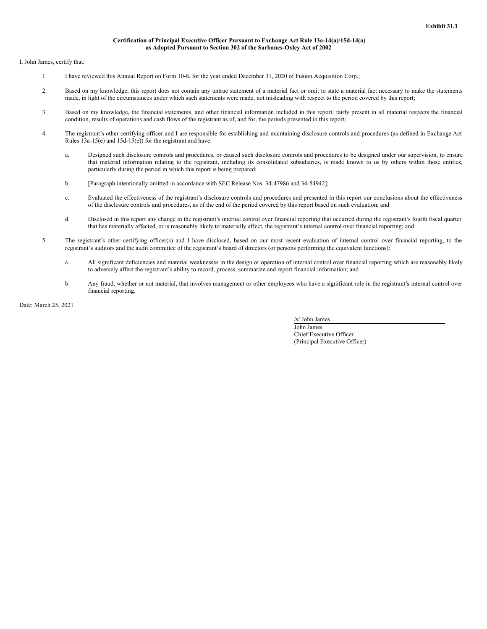## **Certification of Principal Executive Officer Pursuant to Exchange Act Rule 13a-14(a)/15d-14(a) as Adopted Pursuant to Section 302 of the Sarbanes-Oxley Act of 2002**

<span id="page-49-0"></span>I, John James, certify that:

- 1. I have reviewed this Annual Report on Form 10-K for the year ended December 31, 2020 of Fusion Acquisition Corp.;
- 2. Based on my knowledge, this report does not contain any untrue statement of a material fact or omit to state a material fact necessary to make the statements made, in light of the circumstances under which such statements were made, not misleading with respect to the period covered by this report;
- 3. Based on my knowledge, the financial statements, and other financial information included in this report, fairly present in all material respects the financial condition, results of operations and cash flows of the registrant as of, and for, the periods presented in this report;
- 4. The registrant's other certifying officer and I are responsible for establishing and maintaining disclosure controls and procedures (as defined in Exchange Act Rules 13a-15(e) and 15d-15(e)) for the registrant and have:
	- a. Designed such disclosure controls and procedures, or caused such disclosure controls and procedures to be designed under our supervision, to ensure that material information relating to the registrant, including its consolidated subsidiaries, is made known to us by others within those entities, particularly during the period in which this report is being prepared;
	- b. [Paragraph intentionally omitted in accordance with SEC Release Nos. 34-47986 and 34-54942];
	- c. Evaluated the effectiveness of the registrant's disclosure controls and procedures and presented in this report our conclusions about the effectiveness of the disclosure controls and procedures, as of the end of the period covered by this report based on such evaluation; and
	- d. Disclosed in this report any change in the registrant's internal control over financial reporting that occurred during the registrant's fourth fiscal quarter that has materially affected, or is reasonably likely to materially affect, the registrant's internal control over financial reporting; and
- 5. The registrant's other certifying officer(s) and I have disclosed, based on our most recent evaluation of internal control over financial reporting, to the registrant's auditors and the audit committee of the registrant's board of directors (or persons performing the equivalent functions):
	- a. All significant deficiencies and material weaknesses in the design or operation of internal control over financial reporting which are reasonably likely to adversely affect the registrant's ability to record, process, summarize and report financial information; and
	- b. Any fraud, whether or not material, that involves management or other employees who have a significant role in the registrant's internal control over financial reporting.

Date: March 25, 2021

/s/ John James

John James Chief Executive Officer (Principal Executive Officer)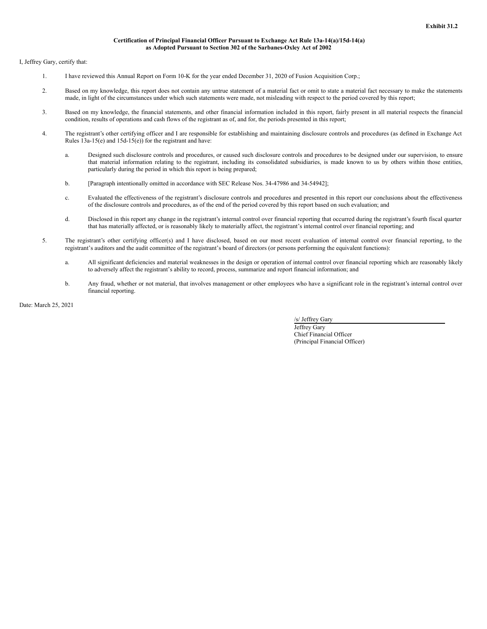### **Certification of Principal Financial Officer Pursuant to Exchange Act Rule 13a-14(a)/15d-14(a) as Adopted Pursuant to Section 302 of the Sarbanes-Oxley Act of 2002**

<span id="page-50-0"></span>I, Jeffrey Gary, certify that:

- 1. I have reviewed this Annual Report on Form 10-K for the year ended December 31, 2020 of Fusion Acquisition Corp.;
- 2. Based on my knowledge, this report does not contain any untrue statement of a material fact or omit to state a material fact necessary to make the statements made, in light of the circumstances under which such statements were made, not misleading with respect to the period covered by this report;
- 3. Based on my knowledge, the financial statements, and other financial information included in this report, fairly present in all material respects the financial condition, results of operations and cash flows of the registrant as of, and for, the periods presented in this report;
- 4. The registrant's other certifying officer and I are responsible for establishing and maintaining disclosure controls and procedures (as defined in Exchange Act Rules 13a-15(e) and 15d-15(e)) for the registrant and have:
	- a. Designed such disclosure controls and procedures, or caused such disclosure controls and procedures to be designed under our supervision, to ensure that material information relating to the registrant, including its consolidated subsidiaries, is made known to us by others within those entities, particularly during the period in which this report is being prepared;
	- b. [Paragraph intentionally omitted in accordance with SEC Release Nos. 34-47986 and 34-54942];
	- c. Evaluated the effectiveness of the registrant's disclosure controls and procedures and presented in this report our conclusions about the effectiveness of the disclosure controls and procedures, as of the end of the period covered by this report based on such evaluation; and
	- d. Disclosed in this report any change in the registrant's internal control over financial reporting that occurred during the registrant's fourth fiscal quarter that has materially affected, or is reasonably likely to materially affect, the registrant's internal control over financial reporting; and
- 5. The registrant's other certifying officer(s) and I have disclosed, based on our most recent evaluation of internal control over financial reporting, to the registrant's auditors and the audit committee of the registrant's board of directors (or persons performing the equivalent functions):
	- a. All significant deficiencies and material weaknesses in the design or operation of internal control over financial reporting which are reasonably likely to adversely affect the registrant's ability to record, process, summarize and report financial information; and
	- b. Any fraud, whether or not material, that involves management or other employees who have a significant role in the registrant's internal control over financial reporting.

Date: March 25, 2021

/s/ Jeffrey Gary

Jeffrey Gary Chief Financial Officer (Principal Financial Officer)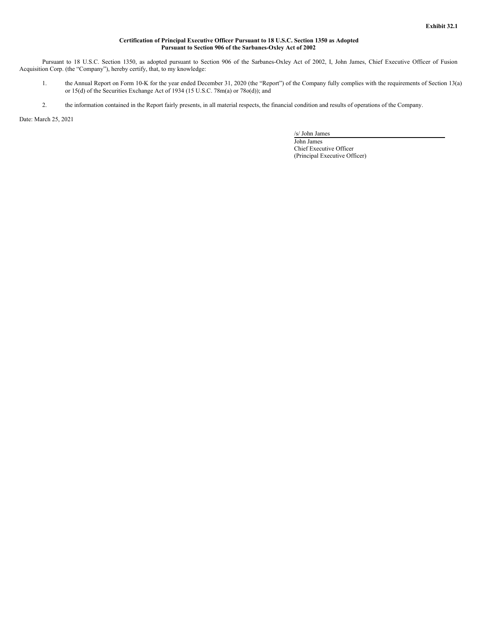# **Certification of Principal Executive Officer Pursuant to 18 U.S.C. Section 1350 as Adopted Pursuant to Section 906 of the Sarbanes-Oxley Act of 2002**

<span id="page-51-0"></span>Pursuant to 18 U.S.C. Section 1350, as adopted pursuant to Section 906 of the Sarbanes-Oxley Act of 2002, I, John James, Chief Executive Officer of Fusion Acquisition Corp. (the "Company"), hereby certify, that, to my knowledge:

- 1. the Annual Report on Form 10-K for the year ended December 31, 2020 (the "Report") of the Company fully complies with the requirements of Section 13(a) or 15(d) of the Securities Exchange Act of 1934 (15 U.S.C. 78m(a) or 78o(d)); and
- 2. the information contained in the Report fairly presents, in all material respects, the financial condition and results of operations of the Company.

Date: March 25, 2021

/s/ John James

John James Chief Executive Officer (Principal Executive Officer)